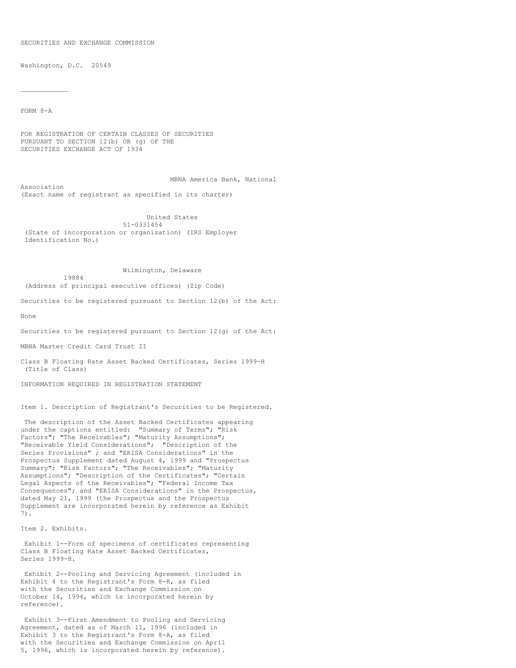#### SECURITIES AND EXCHANGE COMMISSION

Washington, D.C. 20549

FORM 8-A

 $\mathcal{L}_\text{max}$ 

FOR REGISTRATION OF CERTAIN CLASSES OF SECURITIES PURSUANT TO SECTION 12(b) OR (g) OF THE SECURITIES EXCHANGE ACT OF 1934

MBNA America Bank, National Association (Exact name of registrant as specified in its charter)

United States 51-0331454 (State of incorporation or organization) (IRS Employer Identification No.)

### Wilmington, Delaware

(Address of principal executive offices) (Zip Code)

Securities to be registered pursuant to Section 12(b) of the Act:

None

Securities to be registered pursuant to Section  $12(q)$  of the Act:

MBNA Master Credit Card Trust II

19884

Class B Floating Rate Asset Backed Certificates, Series 1999-H (Title of Class)

INFORMATION REQUIRED IN REGISTRATION STATEMENT

Item 1. Description of Registrant's Securities to be Registered.

The description of the Asset Backed Certificates appearing under the captions entitled: "Summary of Terms"; "Risk Factors"; "The Receivables"; "Maturity Assumptions"; "Receivable Yield Considerations"; "Description of the Series Provisions" ; and "ERISA Considerations" in the Prospectus Supplement dated August 4, 1999 and "Prospectus Summary"; "Risk Factors"; "The Receivables"; "Maturity Assumptions"; "Description of the Certificates"; "Certain Legal Aspects of the Receivables"; "Federal Income Tax Consequences"; and "ERISA Considerations" in the Prospectus, dated May 21, 1999 (the Prospectus and the Prospectus Supplement are incorporated herein by reference as Exhibit 7).

Item 2. Exhibits.

Exhibit 1--Form of specimens of certificates representing Class B Floating Rate Asset Backed Certificates, Series 1999-H.

Exhibit 2--Pooling and Servicing Agreement (included in Exhibit 4 to the Registrant's Form 8-K, as filed with the Securities and Exchange Commission on October 14, 1994, which is incorporated herein by reference).

Exhibit 3--First Amendment to Pooling and Servicing Agreement, dated as of March 11, 1996 (included in Exhibit 3 to the Registrant's Form 8-A, as filed with the Securities and Exchange Commission on April 5, 1996, which is incorporated herein by reference).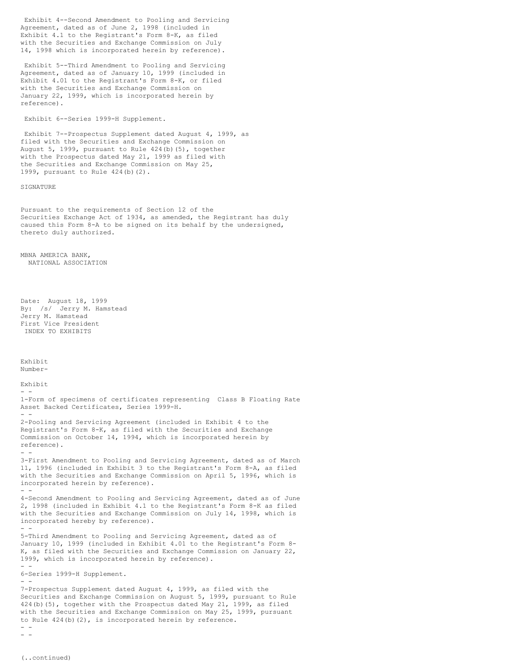Exhibit 4--Second Amendment to Pooling and Servicing Agreement, dated as of June 2, 1998 (included in Exhibit 4.1 to the Registrant's Form 8-K, as filed with the Securities and Exchange Commission on July 14, 1998 which is incorporated herein by reference).

Exhibit 5--Third Amendment to Pooling and Servicing Agreement, dated as of January 10, 1999 (included in Exhibit 4.01 to the Registrant's Form 8-K, or filed with the Securities and Exchange Commission on January 22, 1999, which is incorporated herein by reference).

Exhibit 6--Series 1999-H Supplement.

Exhibit 7--Prospectus Supplement dated August 4, 1999, as filed with the Securities and Exchange Commission on August 5, 1999, pursuant to Rule 424(b)(5), together with the Prospectus dated May 21, 1999 as filed with the Securities and Exchange Commission on May 25, 1999, pursuant to Rule 424(b)(2).

#### SIGNATURE

Pursuant to the requirements of Section 12 of the Securities Exchange Act of 1934, as amended, the Registrant has duly caused this Form 8-A to be signed on its behalf by the undersigned, thereto duly authorized.

MBNA AMERICA BANK, NATIONAL ASSOCIATION

Date: August 18, 1999 By: /s/ Jerry M. Hamstead Jerry M. Hamstead First Vice President INDEX TO EXHIBITS

Exhibit Number-

Exhibit - - 1-Form of specimens of certificates representing Class B Floating Rate Asset Backed Certificates, Series 1999-H. - - 2-Pooling and Servicing Agreement (included in Exhibit 4 to the Registrant's Form 8-K, as filed with the Securities and Exchange Commission on October 14, 1994, which is incorporated herein by reference). - - 3-First Amendment to Pooling and Servicing Agreement, dated as of March 11, 1996 (included in Exhibit 3 to the Registrant's Form 8-A, as filed with the Securities and Exchange Commission on April 5, 1996, which is incorporated herein by reference). - - 4-Second Amendment to Pooling and Servicing Agreement, dated as of June 2, 1998 (included in Exhibit 4.1 to the Registrant's Form 8-K as filed with the Securities and Exchange Commission on July 14, 1998, which is incorporated hereby by reference). - - 5-Third Amendment to Pooling and Servicing Agreement, dated as of January 10, 1999 (included in Exhibit 4.01 to the Registrant's Form 8- K, as filed with the Securities and Exchange Commission on January 22, 1999, which is incorporated herein by reference).  $-$ 6-Series 1999-H Supplement. - - 7-Prospectus Supplement dated August 4, 1999, as filed with the Securities and Exchange Commission on August 5, 1999, pursuant to Rule 424(b)(5), together with the Prospectus dated May 21, 1999, as filed with the Securities and Exchange Commission on May 25, 1999, pursuant to Rule 424(b)(2), is incorporated herein by reference. - - - -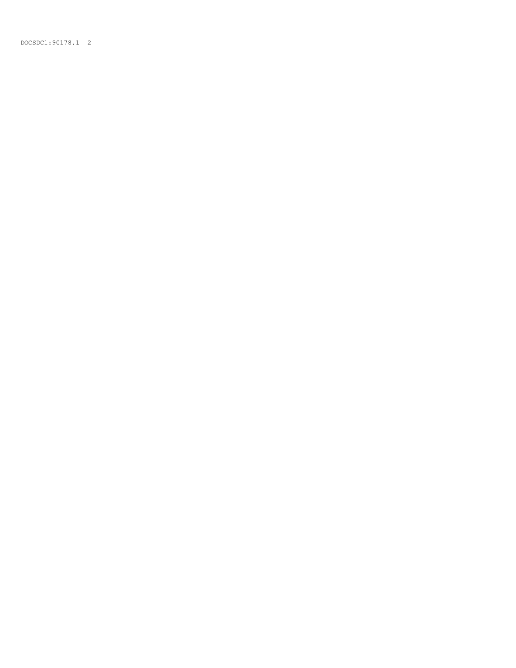DOCSDC1:90178.1 2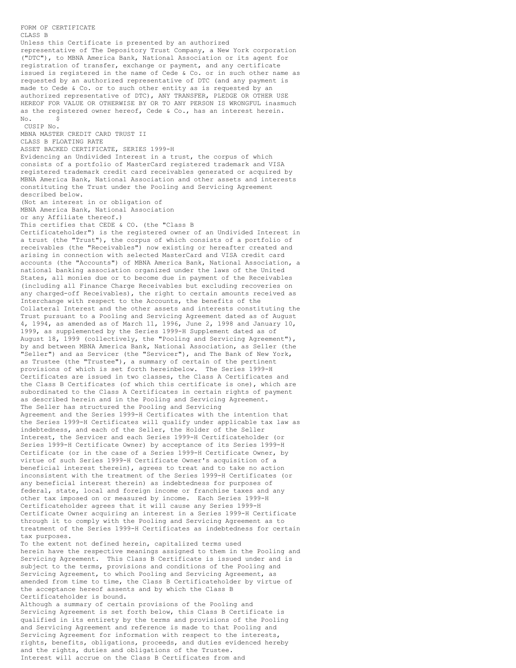CLASS B Unless this Certificate is presented by an authorized representative of The Depository Trust Company, a New York corporation ("DTC"), to MBNA America Bank, National Association or its agent for registration of transfer, exchange or payment, and any certificate issued is registered in the name of Cede & Co. or in such other name as requested by an authorized representative of DTC (and any payment is made to Cede & Co. or to such other entity as is requested by an authorized representative of DTC), ANY TRANSFER, PLEDGE OR OTHER USE HEREOF FOR VALUE OR OTHERWISE BY OR TO ANY PERSON IS WRONGFUL inasmuch as the registered owner hereof, Cede & Co., has an interest herein.  $N_O$   $S$ CUSIP No. MBNA MASTER CREDIT CARD TRUST II CLASS B FLOATING RATE ASSET BACKED CERTIFICATE, SERIES 1999-H Evidencing an Undivided Interest in a trust, the corpus of which consists of a portfolio of MasterCard registered trademark and VISA registered trademark credit card receivables generated or acquired by MBNA America Bank, National Association and other assets and interests constituting the Trust under the Pooling and Servicing Agreement described below. (Not an interest in or obligation of MBNA America Bank, National Association or any Affiliate thereof.) This certifies that CEDE & CO. (the "Class B Certificateholder") is the registered owner of an Undivided Interest in a trust (the "Trust"), the corpus of which consists of a portfolio of receivables (the "Receivables") now existing or hereafter created and arising in connection with selected MasterCard and VISA credit card accounts (the "Accounts") of MBNA America Bank, National Association, a national banking association organized under the laws of the United States, all monies due or to become due in payment of the Receivables (including all Finance Charge Receivables but excluding recoveries on any charged-off Receivables), the right to certain amounts received as Interchange with respect to the Accounts, the benefits of the Collateral Interest and the other assets and interests constituting the Trust pursuant to a Pooling and Servicing Agreement dated as of August 4, 1994, as amended as of March 11, 1996, June 2, 1998 and January 10, 1999, as supplemented by the Series 1999-H Supplement dated as of August 18, 1999 (collectively, the "Pooling and Servicing Agreement"), by and between MBNA America Bank, National Association, as Seller (the "Seller") and as Servicer (the "Servicer"), and The Bank of New York, as Trustee (the "Trustee"), a summary of certain of the pertinent provisions of which is set forth hereinbelow. The Series 1999-H Certificates are issued in two classes, the Class A Certificates and the Class B Certificates (of which this certificate is one), which are subordinated to the Class A Certificates in certain rights of payment as described herein and in the Pooling and Servicing Agreement. The Seller has structured the Pooling and Servicing Agreement and the Series 1999-H Certificates with the intention that the Series 1999-H Certificates will qualify under applicable tax law as indebtedness, and each of the Seller, the Holder of the Seller Interest, the Servicer and each Series 1999-H Certificateholder (or Series 1999-H Certificate Owner) by acceptance of its Series 1999-H Certificate (or in the case of a Series 1999-H Certificate Owner, by virtue of such Series 1999-H Certificate Owner's acquisition of a beneficial interest therein), agrees to treat and to take no action inconsistent with the treatment of the Series 1999-H Certificates (or any beneficial interest therein) as indebtedness for purposes of federal, state, local and foreign income or franchise taxes and any other tax imposed on or measured by income. Each Series 1999-H Certificateholder agrees that it will cause any Series 1999-H Certificate Owner acquiring an interest in a Series 1999-H Certificate through it to comply with the Pooling and Servicing Agreement as to treatment of the Series 1999-H Certificates as indebtedness for certain tax purposes. To the extent not defined herein, capitalized terms used herein have the respective meanings assigned to them in the Pooling and Servicing Agreement. This Class B Certificate is issued under and is subject to the terms, provisions and conditions of the Pooling and Servicing Agreement, to which Pooling and Servicing Agreement, as amended from time to time, the Class B Certificateholder by virtue of the acceptance hereof assents and by which the Class B Certificateholder is bound.

FORM OF CERTIFICATE

Although a summary of certain provisions of the Pooling and Servicing Agreement is set forth below, this Class B Certificate is qualified in its entirety by the terms and provisions of the Pooling and Servicing Agreement and reference is made to that Pooling and Servicing Agreement for information with respect to the interests, rights, benefits, obligations, proceeds, and duties evidenced hereby and the rights, duties and obligations of the Trustee. Interest will accrue on the Class B Certificates from and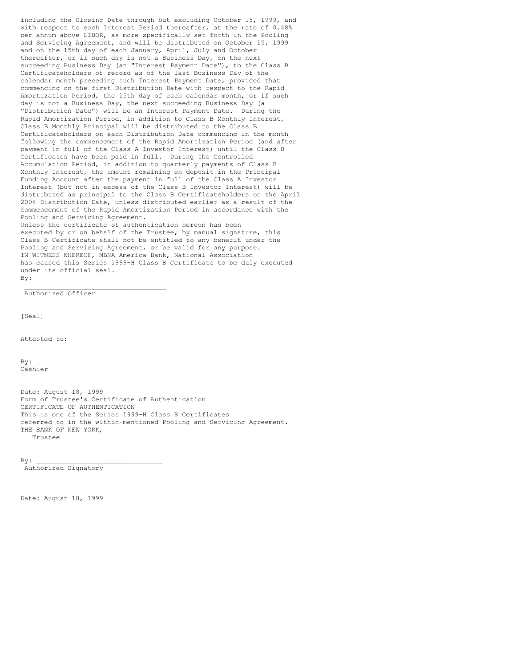including the Closing Date through but excluding October 15, 1999, and with respect to each Interest Period thereafter, at the rate of 0.48% per annum above LIBOR, as more specifically set forth in the Pooling and Servicing Agreement, and will be distributed on October 15, 1999 and on the 15th day of each January, April, July and October thereafter, or if such day is not a Business Day, on the next succeeding Business Day (an "Interest Payment Date"), to the Class B Certificateholders of record as of the last Business Day of the calendar month preceding such Interest Payment Date, provided that commencing on the first Distribution Date with respect to the Rapid Amortization Period, the 15th day of each calendar month, or if such day is not a Business Day, the next succeeding Business Day (a "Distribution Date") will be an Interest Payment Date. During the Rapid Amortization Period, in addition to Class B Monthly Interest, Class B Monthly Principal will be distributed to the Class B Certificateholders on each Distribution Date commencing in the month following the commencement of the Rapid Amortization Period (and after payment in full of the Class A Investor Interest) until the Class B Certificates have been paid in full. During the Controlled Accumulation Period, in addition to quarterly payments of Class B Monthly Interest, the amount remaining on deposit in the Principal Funding Account after the payment in full of the Class A Investor Interest (but not in excess of the Class B Investor Interest) will be distributed as principal to the Class B Certificateholders on the April 2004 Distribution Date, unless distributed earlier as a result of the commencement of the Rapid Amortization Period in accordance with the Pooling and Servicing Agreement. Unless the certificate of authentication hereon has been executed by or on behalf of the Trustee, by manual signature, this Class B Certificate shall not be entitled to any benefit under the Pooling and Servicing Agreement, or be valid for any purpose.

IN WITNESS WHEREOF, MBNA America Bank, National Association has caused this Series 1999-H Class B Certificate to be duly executed under its official seal.

\_\_\_\_\_\_\_\_\_\_\_\_\_\_\_\_\_\_\_\_\_\_\_\_\_\_\_\_\_\_\_\_\_\_\_\_ Authorized Officer

[Seal]

By:

Attested to:

 $\mathbf{By:}$ Cashier

Date: August 18, 1999 Form of Trustee's Certificate of Authentication CERTIFICATE OF AUTHENTICATION This is one of the Series 1999-H Class B Certificates referred to in the within-mentioned Pooling and Servicing Agreement. THE BANK OF NEW YORK, Trustee

 $\mathbf{By:}$ 

Authorized Signatory

Date: August 18, 1999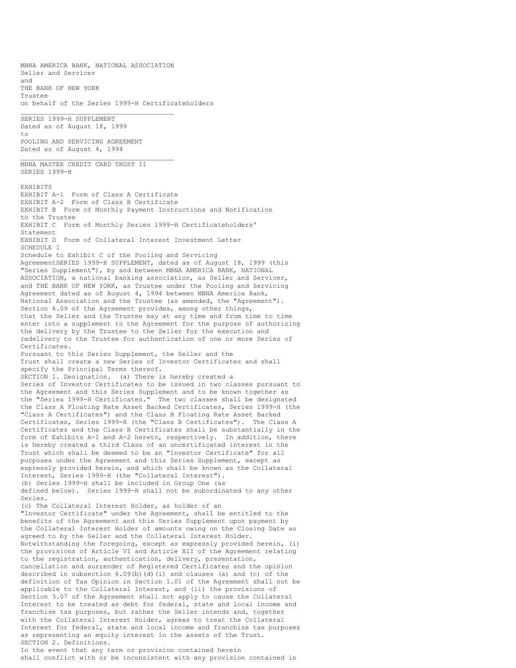MBNA AMERICA BANK, NATIONAL ASSOCIATION Seller and Servicer and THE BANK OF NEW YORK Trustee on behalf of the Series 1999-H Certificateholders \_\_\_\_\_\_\_\_\_\_\_\_\_\_\_\_\_\_\_\_\_\_\_\_\_\_\_\_\_\_\_\_\_\_\_\_\_\_\_ SERIES 1999-H SUPPLEMENT Dated as of August 18, 1999  $t_{\Omega}$ POOLING AND SERVICING AGREEMENT Dated as of August 4, 1994 \_\_\_\_\_\_\_\_\_\_\_\_\_\_\_\_\_\_\_\_\_\_\_\_\_\_\_\_\_\_\_\_\_\_\_\_\_\_\_ MBNA MASTER CREDIT CARD TRUST II SERIES 1999-H EXHIBITS EXHIBIT A-1 Form of Class A Certificate EXHIBIT A-2 Form of Class B Certificate EXHIBIT B Form of Monthly Payment Instructions and Notification to the Trustee EXHIBIT C Form of Monthly Series 1999-H Certificateholders' Statement EXHIBIT D Form of Collateral Interest Investment Letter SCHEDULE 1 Schedule to Exhibit C of the Pooling and Servicing AgreementSERIES 1999-H SUPPLEMENT, dated as of August 18, 1999 (this "Series Supplement"), by and between MBNA AMERICA BANK, NATIONAL ASSOCIATION, a national banking association, as Seller and Servicer, and THE BANK OF NEW YORK, as Trustee under the Pooling and Servicing Agreement dated as of August 4, 1994 between MBNA America Bank, National Association and the Trustee (as amended, the "Agreement"). Section 6.09 of the Agreement provides, among other things, that the Seller and the Trustee may at any time and from time to time enter into a supplement to the Agreement for the purpose of authorizing the delivery by the Trustee to the Seller for the execution and redelivery to the Trustee for authentication of one or more Series of Certificates. Pursuant to this Series Supplement, the Seller and the Trust shall create a new Series of Investor Certificates and shall specify the Principal Terms thereof. SECTION 1. Designation. (a) There is hereby created a Series of Investor Certificates to be issued in two classes pursuant to the Agreement and this Series Supplement and to be known together as the "Series 1999-H Certificates." The two classes shall be designated the Class A Floating Rate Asset Backed Certificates, Series 1999-H (the "Class A Certificates") and the Class B Floating Rate Asset Backed Certificates, Series 1999-H (the "Class B Certificates"). The Class A Certificates and the Class B Certificates shall be substantially in the form of Exhibits A-1 and A-2 hereto, respectively. In addition, there is hereby created a third Class of an uncertificated interest in the Trust which shall be deemed to be an "Investor Certificate" for all purposes under the Agreement and this Series Supplement, except as expressly provided herein, and which shall be known as the Collateral Interest, Series 1999-H (the "Collateral Interest"). (b) Series 1999-H shall be included in Group One (as defined below). Series 1999-H shall not be subordinated to any other Series. (c) The Collateral Interest Holder, as holder of an "Investor Certificate" under the Agreement, shall be entitled to the benefits of the Agreement and this Series Supplement upon payment by the Collateral Interest Holder of amounts owing on the Closing Date as agreed to by the Seller and the Collateral Interest Holder. Notwithstanding the foregoing, except as expressly provided herein, (i) the provisions of Article VI and Article XII of the Agreement relating to the registration, authentication, delivery, presentation, cancellation and surrender of Registered Certificates and the opinion described in subsection 6.09(b)(d)(i) and clauses (a) and (c) of the definition of Tax Opinion in Section 1.01 of the Agreement shall not be applicable to the Collateral Interest, and (ii) the provisions of Section 3.07 of the Agreement shall not apply to cause the Collateral Interest to be treated as debt for federal, state and local income and franchise tax purposes, but rather the Seller intends and, together with the Collateral Interest Holder, agrees to treat the Collateral Interest for federal, state and local income and franchise tax purposes as representing an equity interest in the assets of the Trust. SECTION 2. Definitions. In the event that any term or provision contained herein

shall conflict with or be inconsistent with any provision contained in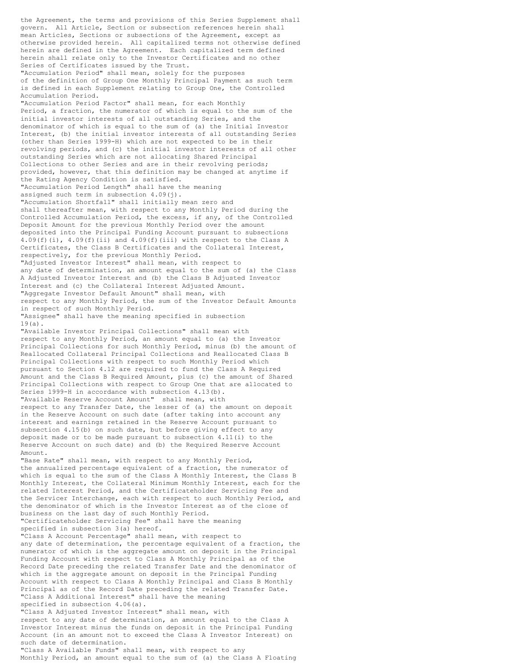govern. All Article, Section or subsection references herein shall mean Articles, Sections or subsections of the Agreement, except as otherwise provided herein. All capitalized terms not otherwise defined herein are defined in the Agreement. Each capitalized term defined herein shall relate only to the Investor Certificates and no other Series of Certificates issued by the Trust. "Accumulation Period" shall mean, solely for the purposes of the definition of Group One Monthly Principal Payment as such term is defined in each Supplement relating to Group One, the Controlled Accumulation Period. "Accumulation Period Factor" shall mean, for each Monthly Period, a fraction, the numerator of which is equal to the sum of the initial investor interests of all outstanding Series, and the denominator of which is equal to the sum of (a) the Initial Investor Interest, (b) the initial investor interests of all outstanding Series (other than Series 1999-H) which are not expected to be in their revolving periods, and (c) the initial investor interests of all other outstanding Series which are not allocating Shared Principal Collections to other Series and are in their revolving periods; provided, however, that this definition may be changed at anytime if the Rating Agency Condition is satisfied. "Accumulation Period Length" shall have the meaning assigned such term in subsection 4.09(j). "Accumulation Shortfall" shall initially mean zero and shall thereafter mean, with respect to any Monthly Period during the Controlled Accumulation Period, the excess, if any, of the Controlled Deposit Amount for the previous Monthly Period over the amount deposited into the Principal Funding Account pursuant to subsections 4.09(f)(i), 4.09(f)(ii) and 4.09(f)(iii) with respect to the Class A Certificates, the Class B Certificates and the Collateral Interest, respectively, for the previous Monthly Period. "Adjusted Investor Interest" shall mean, with respect to any date of determination, an amount equal to the sum of (a) the Class A Adjusted Investor Interest and (b) the Class B Adjusted Investor Interest and (c) the Collateral Interest Adjusted Amount. "Aggregate Investor Default Amount" shall mean, with respect to any Monthly Period, the sum of the Investor Default Amounts in respect of such Monthly Period. "Assignee" shall have the meaning specified in subsection  $19(A)$ . "Available Investor Principal Collections" shall mean with respect to any Monthly Period, an amount equal to (a) the Investor Principal Collections for such Monthly Period, minus (b) the amount of Reallocated Collateral Principal Collections and Reallocated Class B Principal Collections with respect to such Monthly Period which pursuant to Section 4.12 are required to fund the Class A Required Amount and the Class B Required Amount, plus (c) the amount of Shared Principal Collections with respect to Group One that are allocated to Series 1999-H in accordance with subsection 4.13(b). "Available Reserve Account Amount" shall mean, with respect to any Transfer Date, the lesser of (a) the amount on deposit in the Reserve Account on such date (after taking into account any interest and earnings retained in the Reserve Account pursuant to subsection 4.15(b) on such date, but before giving effect to any deposit made or to be made pursuant to subsection 4.11(i) to the Reserve Account on such date) and (b) the Required Reserve Account Amount. "Base Rate" shall mean, with respect to any Monthly Period, the annualized percentage equivalent of a fraction, the numerator of which is equal to the sum of the Class A Monthly Interest, the Class B Monthly Interest, the Collateral Minimum Monthly Interest, each for the related Interest Period, and the Certificateholder Servicing Fee and the Servicer Interchange, each with respect to such Monthly Period, and the denominator of which is the Investor Interest as of the close of business on the last day of such Monthly Period. "Certificateholder Servicing Fee" shall have the meaning specified in subsection 3(a) hereof. "Class A Account Percentage" shall mean, with respect to any date of determination, the percentage equivalent of a fraction, the numerator of which is the aggregate amount on deposit in the Principal Funding Account with respect to Class A Monthly Principal as of the Record Date preceding the related Transfer Date and the denominator of which is the aggregate amount on deposit in the Principal Funding Account with respect to Class A Monthly Principal and Class B Monthly Principal as of the Record Date preceding the related Transfer Date. "Class A Additional Interest" shall have the meaning specified in subsection 4.06(a). "Class A Adjusted Investor Interest" shall mean, with respect to any date of determination, an amount equal to the Class A Investor Interest minus the funds on deposit in the Principal Funding Account (in an amount not to exceed the Class A Investor Interest) on such date of determination. "Class A Available Funds" shall mean, with respect to any Monthly Period, an amount equal to the sum of (a) the Class A Floating

the Agreement, the terms and provisions of this Series Supplement shall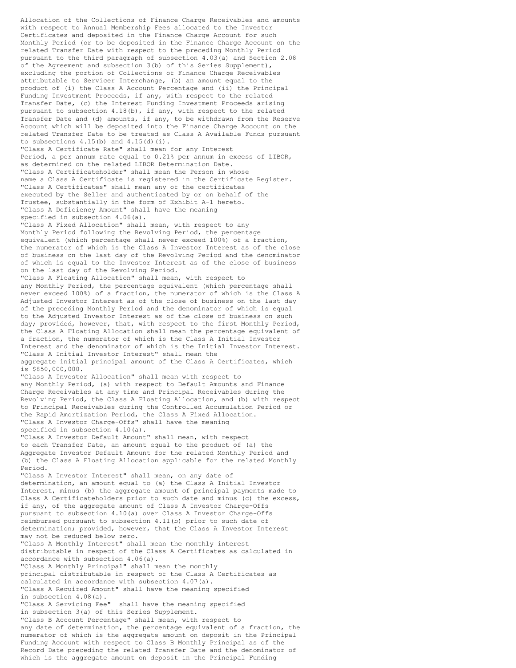Allocation of the Collections of Finance Charge Receivables and amounts with respect to Annual Membership Fees allocated to the Investor Certificates and deposited in the Finance Charge Account for such Monthly Period (or to be deposited in the Finance Charge Account on the related Transfer Date with respect to the preceding Monthly Period pursuant to the third paragraph of subsection 4.03(a) and Section 2.08 of the Agreement and subsection 3(b) of this Series Supplement), excluding the portion of Collections of Finance Charge Receivables attributable to Servicer Interchange, (b) an amount equal to the product of (i) the Class A Account Percentage and (ii) the Principal Funding Investment Proceeds, if any, with respect to the related Transfer Date, (c) the Interest Funding Investment Proceeds arising pursuant to subsection 4.18(b), if any, with respect to the related Transfer Date and (d) amounts, if any, to be withdrawn from the Reserve Account which will be deposited into the Finance Charge Account on the related Transfer Date to be treated as Class A Available Funds pursuant to subsections  $4.15(b)$  and  $4.15(d)(i)$ . "Class A Certificate Rate" shall mean for any Interest Period, a per annum rate equal to 0.21% per annum in excess of LIBOR, as determined on the related LIBOR Determination Date. "Class A Certificateholder" shall mean the Person in whose name a Class A Certificate is registered in the Certificate Register. "Class A Certificates" shall mean any of the certificates executed by the Seller and authenticated by or on behalf of the Trustee, substantially in the form of Exhibit A-1 hereto. "Class A Deficiency Amount" shall have the meaning specified in subsection 4.06(a). "Class A Fixed Allocation" shall mean, with respect to any Monthly Period following the Revolving Period, the percentage equivalent (which percentage shall never exceed 100%) of a fraction, the numerator of which is the Class A Investor Interest as of the close of business on the last day of the Revolving Period and the denominator of which is equal to the Investor Interest as of the close of business on the last day of the Revolving Period. "Class A Floating Allocation" shall mean, with respect to any Monthly Period, the percentage equivalent (which percentage shall never exceed 100%) of a fraction, the numerator of which is the Class A Adjusted Investor Interest as of the close of business on the last day of the preceding Monthly Period and the denominator of which is equal to the Adjusted Investor Interest as of the close of business on such day; provided, however, that, with respect to the first Monthly Period, the Class A Floating Allocation shall mean the percentage equivalent of a fraction, the numerator of which is the Class A Initial Investor Interest and the denominator of which is the Initial Investor Interest. "Class A Initial Investor Interest" shall mean the aggregate initial principal amount of the Class A Certificates, which is \$850,000,000. "Class A Investor Allocation" shall mean with respect to any Monthly Period, (a) with respect to Default Amounts and Finance Charge Receivables at any time and Principal Receivables during the Revolving Period, the Class A Floating Allocation, and (b) with respect to Principal Receivables during the Controlled Accumulation Period or the Rapid Amortization Period, the Class A Fixed Allocation. "Class A Investor Charge-Offs" shall have the meaning specified in subsection 4.10(a). "Class A Investor Default Amount" shall mean, with respect to each Transfer Date, an amount equal to the product of (a) the Aggregate Investor Default Amount for the related Monthly Period and (b) the Class A Floating Allocation applicable for the related Monthly Period. "Class A Investor Interest" shall mean, on any date of determination, an amount equal to (a) the Class A Initial Investor Interest, minus (b) the aggregate amount of principal payments made to Class A Certificateholders prior to such date and minus (c) the excess, if any, of the aggregate amount of Class A Investor Charge-Offs pursuant to subsection 4.10(a) over Class A Investor Charge-Offs reimbursed pursuant to subsection 4.11(b) prior to such date of determination; provided, however, that the Class A Investor Interest may not be reduced below zero. "Class A Monthly Interest" shall mean the monthly interest distributable in respect of the Class A Certificates as calculated in accordance with subsection 4.06(a). "Class A Monthly Principal" shall mean the monthly principal distributable in respect of the Class A Certificates as calculated in accordance with subsection 4.07(a). "Class A Required Amount" shall have the meaning specified in subsection 4.08(a).<br>"Class A Servicing Fee" shall have the meaning specified in subsection 3(a) of this Series Supplement. "Class B Account Percentage" shall mean, with respect to any date of determination, the percentage equivalent of a fraction, the numerator of which is the aggregate amount on deposit in the Principal Funding Account with respect to Class B Monthly Principal as of the Record Date preceding the related Transfer Date and the denominator of which is the aggregate amount on deposit in the Principal Funding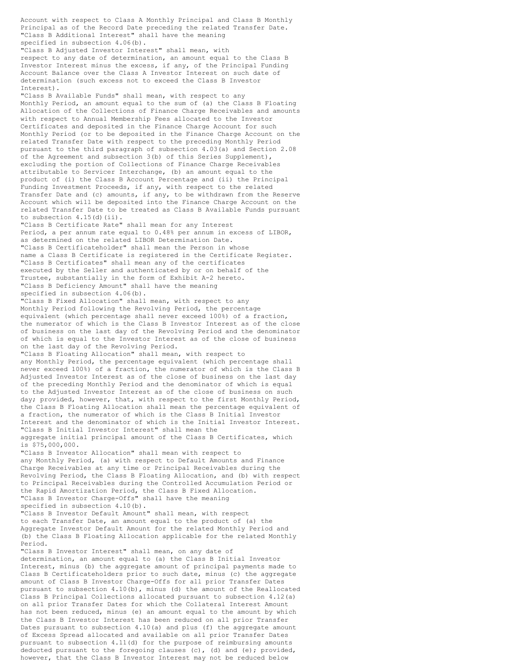Account with respect to Class A Monthly Principal and Class B Monthly Principal as of the Record Date preceding the related Transfer Date. "Class B Additional Interest" shall have the meaning specified in subsection 4.06(b). "Class B Adjusted Investor Interest" shall mean, with respect to any date of determination, an amount equal to the Class B Investor Interest minus the excess, if any, of the Principal Funding Account Balance over the Class A Investor Interest on such date of determination (such excess not to exceed the Class B Investor Interest). "Class B Available Funds" shall mean, with respect to any Monthly Period, an amount equal to the sum of (a) the Class B Floating Allocation of the Collections of Finance Charge Receivables and amounts with respect to Annual Membership Fees allocated to the Investor Certificates and deposited in the Finance Charge Account for such Monthly Period (or to be deposited in the Finance Charge Account on the related Transfer Date with respect to the preceding Monthly Period pursuant to the third paragraph of subsection 4.03(a) and Section 2.08 of the Agreement and subsection 3(b) of this Series Supplement), excluding the portion of Collections of Finance Charge Receivables attributable to Servicer Interchange, (b) an amount equal to the product of (i) the Class B Account Percentage and (ii) the Principal Funding Investment Proceeds, if any, with respect to the related Transfer Date and (c) amounts, if any, to be withdrawn from the Reserve Account which will be deposited into the Finance Charge Account on the related Transfer Date to be treated as Class B Available Funds pursuant to subsection 4.15(d)(ii). "Class B Certificate Rate" shall mean for any Interest Period, a per annum rate equal to 0.48% per annum in excess of LIBOR, as determined on the related LIBOR Determination Date. "Class B Certificateholder" shall mean the Person in whose name a Class B Certificate is registered in the Certificate Register. "Class B Certificates" shall mean any of the certificates executed by the Seller and authenticated by or on behalf of the Trustee, substantially in the form of Exhibit A-2 hereto. "Class B Deficiency Amount" shall have the meaning specified in subsection 4.06(b). "Class B Fixed Allocation" shall mean, with respect to any Monthly Period following the Revolving Period, the percentage equivalent (which percentage shall never exceed 100%) of a fraction, the numerator of which is the Class B Investor Interest as of the close of business on the last day of the Revolving Period and the denominator of which is equal to the Investor Interest as of the close of business on the last day of the Revolving Period. "Class B Floating Allocation" shall mean, with respect to any Monthly Period, the percentage equivalent (which percentage shall never exceed 100%) of a fraction, the numerator of which is the Class B Adjusted Investor Interest as of the close of business on the last day of the preceding Monthly Period and the denominator of which is equal to the Adjusted Investor Interest as of the close of business on such day; provided, however, that, with respect to the first Monthly Period, the Class B Floating Allocation shall mean the percentage equivalent of a fraction, the numerator of which is the Class B Initial Investor Interest and the denominator of which is the Initial Investor Interest. "Class B Initial Investor Interest" shall mean the aggregate initial principal amount of the Class B Certificates, which is \$75,000,000. "Class B Investor Allocation" shall mean with respect to any Monthly Period, (a) with respect to Default Amounts and Finance Charge Receivables at any time or Principal Receivables during the Revolving Period, the Class B Floating Allocation, and (b) with respect to Principal Receivables during the Controlled Accumulation Period or the Rapid Amortization Period, the Class B Fixed Allocation. "Class B Investor Charge-Offs" shall have the meaning specified in subsection 4.10(b). "Class B Investor Default Amount" shall mean, with respect to each Transfer Date, an amount equal to the product of (a) the Aggregate Investor Default Amount for the related Monthly Period and (b) the Class B Floating Allocation applicable for the related Monthly Period. "Class B Investor Interest" shall mean, on any date of determination, an amount equal to (a) the Class B Initial Investor Interest, minus (b) the aggregate amount of principal payments made to Class B Certificateholders prior to such date, minus (c) the aggregate amount of Class B Investor Charge-Offs for all prior Transfer Dates pursuant to subsection 4.10(b), minus (d) the amount of the Reallocated Class B Principal Collections allocated pursuant to subsection 4.12(a) on all prior Transfer Dates for which the Collateral Interest Amount has not been reduced, minus (e) an amount equal to the amount by which the Class B Investor Interest has been reduced on all prior Transfer Dates pursuant to subsection 4.10(a) and plus (f) the aggregate amount of Excess Spread allocated and available on all prior Transfer Dates pursuant to subsection 4.11(d) for the purpose of reimbursing amounts deducted pursuant to the foregoing clauses (c), (d) and (e); provided, however, that the Class B Investor Interest may not be reduced below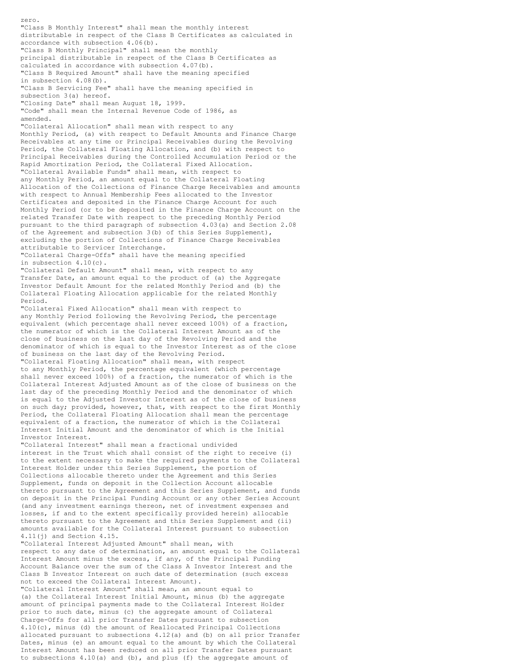"Class B Monthly Interest" shall mean the monthly interest distributable in respect of the Class B Certificates as calculated in accordance with subsection 4.06(b). "Class B Monthly Principal" shall mean the monthly principal distributable in respect of the Class B Certificates as calculated in accordance with subsection 4.07(b). "Class B Required Amount" shall have the meaning specified in subsection 4.08(b). "Class B Servicing Fee" shall have the meaning specified in subsection 3(a) hereof. "Closing Date" shall mean August 18, 1999. "Code" shall mean the Internal Revenue Code of 1986, as amended. "Collateral Allocation" shall mean with respect to any Monthly Period, (a) with respect to Default Amounts and Finance Charge Receivables at any time or Principal Receivables during the Revolving Period, the Collateral Floating Allocation, and (b) with respect to Principal Receivables during the Controlled Accumulation Period or the Rapid Amortization Period, the Collateral Fixed Allocation. "Collateral Available Funds" shall mean, with respect to any Monthly Period, an amount equal to the Collateral Floating Allocation of the Collections of Finance Charge Receivables and amounts with respect to Annual Membership Fees allocated to the Investor Certificates and deposited in the Finance Charge Account for such Monthly Period (or to be deposited in the Finance Charge Account on the related Transfer Date with respect to the preceding Monthly Period pursuant to the third paragraph of subsection 4.03(a) and Section 2.08 of the Agreement and subsection 3(b) of this Series Supplement), excluding the portion of Collections of Finance Charge Receivables attributable to Servicer Interchange. "Collateral Charge-Offs" shall have the meaning specified in subsection 4.10(c). "Collateral Default Amount" shall mean, with respect to any Transfer Date, an amount equal to the product of (a) the Aggregate Investor Default Amount for the related Monthly Period and (b) the Collateral Floating Allocation applicable for the related Monthly Period. "Collateral Fixed Allocation" shall mean with respect to any Monthly Period following the Revolving Period, the percentage equivalent (which percentage shall never exceed 100%) of a fraction, the numerator of which is the Collateral Interest Amount as of the close of business on the last day of the Revolving Period and the denominator of which is equal to the Investor Interest as of the close of business on the last day of the Revolving Period. "Collateral Floating Allocation" shall mean, with respect to any Monthly Period, the percentage equivalent (which percentage shall never exceed 100%) of a fraction, the numerator of which is the Collateral Interest Adjusted Amount as of the close of business on the last day of the preceding Monthly Period and the denominator of which is equal to the Adjusted Investor Interest as of the close of business on such day; provided, however, that, with respect to the first Monthly Period, the Collateral Floating Allocation shall mean the percentage equivalent of a fraction, the numerator of which is the Collateral Interest Initial Amount and the denominator of which is the Initial Investor Interest. "Collateral Interest" shall mean a fractional undivided interest in the Trust which shall consist of the right to receive (i) to the extent necessary to make the required payments to the Collateral Interest Holder under this Series Supplement, the portion of Collections allocable thereto under the Agreement and this Series Supplement, funds on deposit in the Collection Account allocable thereto pursuant to the Agreement and this Series Supplement, and funds on deposit in the Principal Funding Account or any other Series Account (and any investment earnings thereon, net of investment expenses and losses, if and to the extent specifically provided herein) allocable thereto pursuant to the Agreement and this Series Supplement and (ii) amounts available for the Collateral Interest pursuant to subsection 4.11(j) and Section 4.15. "Collateral Interest Adjusted Amount" shall mean, with respect to any date of determination, an amount equal to the Collateral Interest Amount minus the excess, if any, of the Principal Funding Account Balance over the sum of the Class A Investor Interest and the Class B Investor Interest on such date of determination (such excess not to exceed the Collateral Interest Amount). "Collateral Interest Amount" shall mean, an amount equal to (a) the Collateral Interest Initial Amount, minus (b) the aggregate amount of principal payments made to the Collateral Interest Holder prior to such date, minus (c) the aggregate amount of Collateral Charge-Offs for all prior Transfer Dates pursuant to subsection 4.10(c), minus (d) the amount of Reallocated Principal Collections allocated pursuant to subsections 4.12(a) and (b) on all prior Transfer Dates, minus (e) an amount equal to the amount by which the Collateral Interest Amount has been reduced on all prior Transfer Dates pursuant

to subsections 4.10(a) and (b), and plus (f) the aggregate amount of

zero.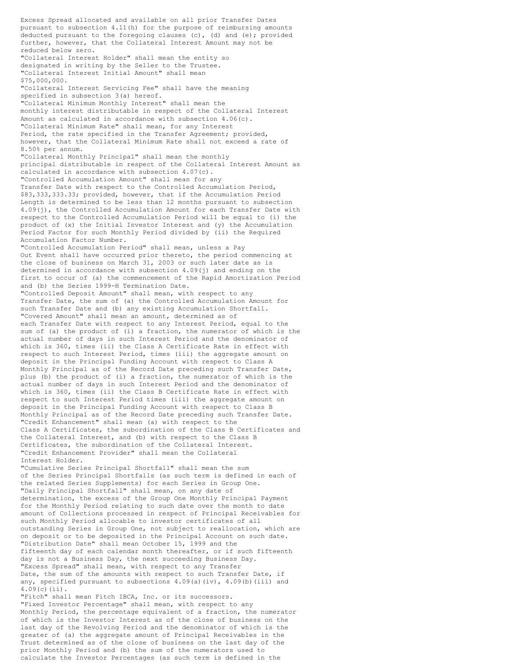Excess Spread allocated and available on all prior Transfer Dates pursuant to subsection 4.11(h) for the purpose of reimbursing amounts deducted pursuant to the foregoing clauses (c), (d) and (e); provided further, however, that the Collateral Interest Amount may not be reduced below zero. "Collateral Interest Holder" shall mean the entity so designated in writing by the Seller to the Trustee. "Collateral Interest Initial Amount" shall mean \$75,000,000. "Collateral Interest Servicing Fee" shall have the meaning specified in subsection 3(a) hereof. "Collateral Minimum Monthly Interest" shall mean the monthly interest distributable in respect of the Collateral Interest Amount as calculated in accordance with subsection 4.06(c). "Collateral Minimum Rate" shall mean, for any Interest Period, the rate specified in the Transfer Agreement; provided, however, that the Collateral Minimum Rate shall not exceed a rate of 8.50% per annum. "Collateral Monthly Principal" shall mean the monthly principal distributable in respect of the Collateral Interest Amount as calculated in accordance with subsection 4.07(c). "Controlled Accumulation Amount" shall mean for any Transfer Date with respect to the Controlled Accumulation Period, \$83,333,333.33; provided, however, that if the Accumulation Period Length is determined to be less than 12 months pursuant to subsection 4.09(j), the Controlled Accumulation Amount for each Transfer Date with respect to the Controlled Accumulation Period will be equal to (i) the product of (x) the Initial Investor Interest and (y) the Accumulation Period Factor for such Monthly Period divided by (ii) the Required Accumulation Factor Number. "Controlled Accumulation Period" shall mean, unless a Pay Out Event shall have occurred prior thereto, the period commencing at the close of business on March 31, 2003 or such later date as is determined in accordance with subsection 4.09(j) and ending on the first to occur of (a) the commencement of the Rapid Amortization Period and (b) the Series 1999-H Termination Date. "Controlled Deposit Amount" shall mean, with respect to any Transfer Date, the sum of (a) the Controlled Accumulation Amount for such Transfer Date and (b) any existing Accumulation Shortfall. "Covered Amount" shall mean an amount, determined as of each Transfer Date with respect to any Interest Period, equal to the sum of (a) the product of (i) a fraction, the numerator of which is the actual number of days in such Interest Period and the denominator of which is 360, times (ii) the Class A Certificate Rate in effect with respect to such Interest Period, times (iii) the aggregate amount on deposit in the Principal Funding Account with respect to Class A Monthly Principal as of the Record Date preceding such Transfer Date, plus (b) the product of (i) a fraction, the numerator of which is the actual number of days in such Interest Period and the denominator of which is 360, times (ii) the Class B Certificate Rate in effect with respect to such Interest Period times (iii) the aggregate amount on deposit in the Principal Funding Account with respect to Class B Monthly Principal as of the Record Date preceding such Transfer Date. "Credit Enhancement" shall mean (a) with respect to the Class A Certificates, the subordination of the Class B Certificates and the Collateral Interest, and (b) with respect to the Class B Certificates, the subordination of the Collateral Interest. "Credit Enhancement Provider" shall mean the Collateral Interest Holder. "Cumulative Series Principal Shortfall" shall mean the sum of the Series Principal Shortfalls (as such term is defined in each of the related Series Supplements) for each Series in Group One. "Daily Principal Shortfall" shall mean, on any date of determination, the excess of the Group One Monthly Principal Payment for the Monthly Period relating to such date over the month to date amount of Collections processed in respect of Principal Receivables for such Monthly Period allocable to investor certificates of all outstanding Series in Group One, not subject to reallocation, which are on deposit or to be deposited in the Principal Account on such date. "Distribution Date" shall mean October 15, 1999 and the fifteenth day of each calendar month thereafter, or if such fifteenth day is not a Business Day, the next succeeding Business Day. "Excess Spread" shall mean, with respect to any Transfer Date, the sum of the amounts with respect to such Transfer Date, if any, specified pursuant to subsections  $4.09(a)(iv)$ ,  $4.09(b)(iii)$  and 4.09(c)(ii). "Fitch" shall mean Fitch IBCA, Inc. or its successors. "Fixed Investor Percentage" shall mean, with respect to any

Monthly Period, the percentage equivalent of a fraction, the numerator of which is the Investor Interest as of the close of business on the last day of the Revolving Period and the denominator of which is the greater of (a) the aggregate amount of Principal Receivables in the Trust determined as of the close of business on the last day of the prior Monthly Period and (b) the sum of the numerators used to calculate the Investor Percentages (as such term is defined in the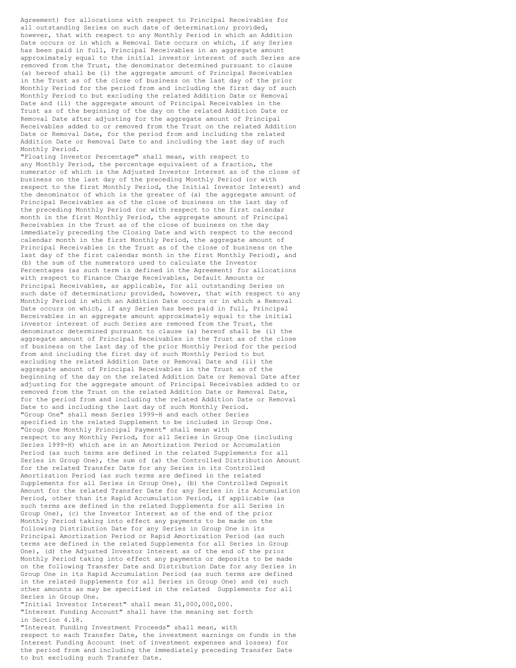Agreement) for allocations with respect to Principal Receivables for all outstanding Series on such date of determination; provided, however, that with respect to any Monthly Period in which an Addition Date occurs or in which a Removal Date occurs on which, if any Series has been paid in full, Principal Receivables in an aggregate amount approximately equal to the initial investor interest of such Series are removed from the Trust, the denominator determined pursuant to clause (a) hereof shall be (i) the aggregate amount of Principal Receivables in the Trust as of the close of business on the last day of the prior Monthly Period for the period from and including the first day of such Monthly Period to but excluding the related Addition Date or Removal Date and (ii) the aggregate amount of Principal Receivables in the Trust as of the beginning of the day on the related Addition Date or Removal Date after adjusting for the aggregate amount of Principal Receivables added to or removed from the Trust on the related Addition Date or Removal Date, for the period from and including the related Addition Date or Removal Date to and including the last day of such Monthly Period.

"Floating Investor Percentage" shall mean, with respect to any Monthly Period, the percentage equivalent of a fraction, the numerator of which is the Adjusted Investor Interest as of the close of business on the last day of the preceding Monthly Period (or with respect to the first Monthly Period, the Initial Investor Interest) and the denominator of which is the greater of (a) the aggregate amount of Principal Receivables as of the close of business on the last day of the preceding Monthly Period (or with respect to the first calendar month in the first Monthly Period, the aggregate amount of Principal Receivables in the Trust as of the close of business on the day immediately preceding the Closing Date and with respect to the second calendar month in the first Monthly Period, the aggregate amount of Principal Receivables in the Trust as of the close of business on the last day of the first calendar month in the first Monthly Period), and (b) the sum of the numerators used to calculate the Investor Percentages (as such term is defined in the Agreement) for allocations with respect to Finance Charge Receivables, Default Amounts or Principal Receivables, as applicable, for all outstanding Series on such date of determination; provided, however, that with respect to any Monthly Period in which an Addition Date occurs or in which a Removal Date occurs on which, if any Series has been paid in full, Principal Receivables in an aggregate amount approximately equal to the initial investor interest of such Series are removed from the Trust, the denominator determined pursuant to clause (a) hereof shall be (i) the aggregate amount of Principal Receivables in the Trust as of the close of business on the last day of the prior Monthly Period for the period from and including the first day of such Monthly Period to but excluding the related Addition Date or Removal Date and (ii) the aggregate amount of Principal Receivables in the Trust as of the beginning of the day on the related Addition Date or Removal Date after adjusting for the aggregate amount of Principal Receivables added to or removed from the Trust on the related Addition Date or Removal Date, for the period from and including the related Addition Date or Removal Date to and including the last day of such Monthly Period. "Group One" shall mean Series 1999-H and each other Series specified in the related Supplement to be included in Group One. "Group One Monthly Principal Payment" shall mean with respect to any Monthly Period, for all Series in Group One (including Series 1999-H) which are in an Amortization Period or Accumulation Period (as such terms are defined in the related Supplements for all Series in Group One), the sum of (a) the Controlled Distribution Amount for the related Transfer Date for any Series in its Controlled Amortization Period (as such terms are defined in the related Supplements for all Series in Group One), (b) the Controlled Deposit Amount for the related Transfer Date for any Series in its Accumulation Period, other than its Rapid Accumulation Period, if applicable (as such terms are defined in the related Supplements for all Series in Group One), (c) the Investor Interest as of the end of the prior Monthly Period taking into effect any payments to be made on the following Distribution Date for any Series in Group One in its Principal Amortization Period or Rapid Amortization Period (as such terms are defined in the related Supplements for all Series in Group One), (d) the Adjusted Investor Interest as of the end of the prior Monthly Period taking into effect any payments or deposits to be made on the following Transfer Date and Distribution Date for any Series in Group One in its Rapid Accumulation Period (as such terms are defined in the related Supplements for all Series in Group One) and (e) such other amounts as may be specified in the related Supplements for all Series in Group One. "Initial Investor Interest" shall mean \$1,000,000,000.

"Interest Funding Account" shall have the meaning set forth in Section 4.18.

"Interest Funding Investment Proceeds" shall mean, with respect to each Transfer Date, the investment earnings on funds in the Interest Funding Account (net of investment expenses and losses) for the period from and including the immediately preceding Transfer Date to but excluding such Transfer Date.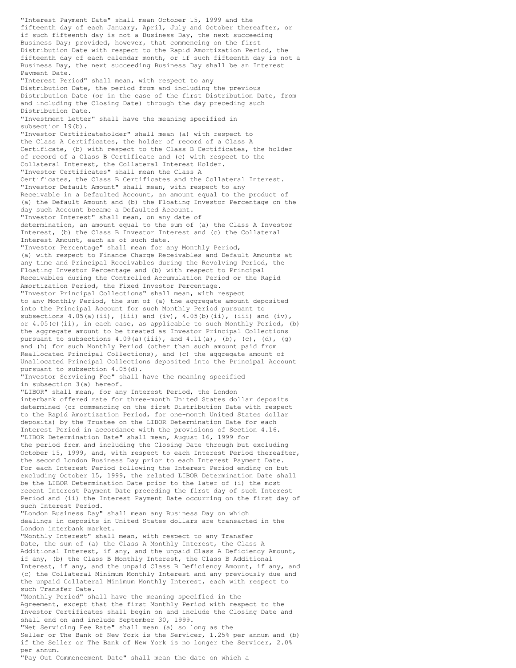"Interest Payment Date" shall mean October 15, 1999 and the fifteenth day of each January, April, July and October thereafter, or if such fifteenth day is not a Business Day, the next succeeding Business Day; provided, however, that commencing on the first Distribution Date with respect to the Rapid Amortization Period, the fifteenth day of each calendar month, or if such fifteenth day is not a Business Day, the next succeeding Business Day shall be an Interest Payment Date. "Interest Period" shall mean, with respect to any Distribution Date, the period from and including the previous Distribution Date (or in the case of the first Distribution Date, from and including the Closing Date) through the day preceding such Distribution Date. "Investment Letter" shall have the meaning specified in subsection 19(b). "Investor Certificateholder" shall mean (a) with respect to the Class A Certificates, the holder of record of a Class A Certificate, (b) with respect to the Class B Certificates, the holder of record of a Class B Certificate and (c) with respect to the Collateral Interest, the Collateral Interest Holder. "Investor Certificates" shall mean the Class A Certificates, the Class B Certificates and the Collateral Interest. "Investor Default Amount" shall mean, with respect to any Receivable in a Defaulted Account, an amount equal to the product of (a) the Default Amount and (b) the Floating Investor Percentage on the day such Account became a Defaulted Account. "Investor Interest" shall mean, on any date of determination, an amount equal to the sum of (a) the Class A Investor Interest, (b) the Class B Investor Interest and (c) the Collateral Interest Amount, each as of such date. "Investor Percentage" shall mean for any Monthly Period, (a) with respect to Finance Charge Receivables and Default Amounts at any time and Principal Receivables during the Revolving Period, the Floating Investor Percentage and (b) with respect to Principal Receivables during the Controlled Accumulation Period or the Rapid Amortization Period, the Fixed Investor Percentage. "Investor Principal Collections" shall mean, with respect to any Monthly Period, the sum of (a) the aggregate amount deposited into the Principal Account for such Monthly Period pursuant to subsections  $4.05(a)(ii)$ , (iii) and (iv),  $4.05(b)(ii)$ , (iii) and (iv), or 4.05(c)(ii), in each case, as applicable to such Monthly Period, (b) the aggregate amount to be treated as Investor Principal Collections pursuant to subsections  $4.09(a)(iii)$ , and  $4.11(a)$ , (b), (c), (d), (g) and (h) for such Monthly Period (other than such amount paid from Reallocated Principal Collections), and (c) the aggregate amount of Unallocated Principal Collections deposited into the Principal Account pursuant to subsection 4.05(d). "Investor Servicing Fee" shall have the meaning specified in subsection 3(a) hereof. "LIBOR" shall mean, for any Interest Period, the London interbank offered rate for three-month United States dollar deposits determined (or commencing on the first Distribution Date with respect to the Rapid Amortization Period, for one-month United States dollar deposits) by the Trustee on the LIBOR Determination Date for each Interest Period in accordance with the provisions of Section 4.16. "LIBOR Determination Date" shall mean, August 16, 1999 for the period from and including the Closing Date through but excluding October 15, 1999, and, with respect to each Interest Period thereafter, the second London Business Day prior to each Interest Payment Date. For each Interest Period following the Interest Period ending on but excluding October 15, 1999, the related LIBOR Determination Date shall be the LIBOR Determination Date prior to the later of (i) the most recent Interest Payment Date preceding the first day of such Interest Period and (ii) the Interest Payment Date occurring on the first day of such Interest Period. "London Business Day" shall mean any Business Day on which dealings in deposits in United States dollars are transacted in the London interbank market. "Monthly Interest" shall mean, with respect to any Transfer Date, the sum of (a) the Class A Monthly Interest, the Class A Additional Interest, if any, and the unpaid Class A Deficiency Amount, if any, (b) the Class B Monthly Interest, the Class B Additional Interest, if any, and the unpaid Class B Deficiency Amount, if any, and (c) the Collateral Minimum Monthly Interest and any previously due and the unpaid Collateral Minimum Monthly Interest, each with respect to such Transfer Date. "Monthly Period" shall have the meaning specified in the Agreement, except that the first Monthly Period with respect to the Investor Certificates shall begin on and include the Closing Date and shall end on and include September 30, 1999. "Net Servicing Fee Rate" shall mean (a) so long as the Seller or The Bank of New York is the Servicer, 1.25% per annum and (b) if the Seller or The Bank of New York is no longer the Servicer, 2.0% per annum. "Pay Out Commencement Date" shall mean the date on which a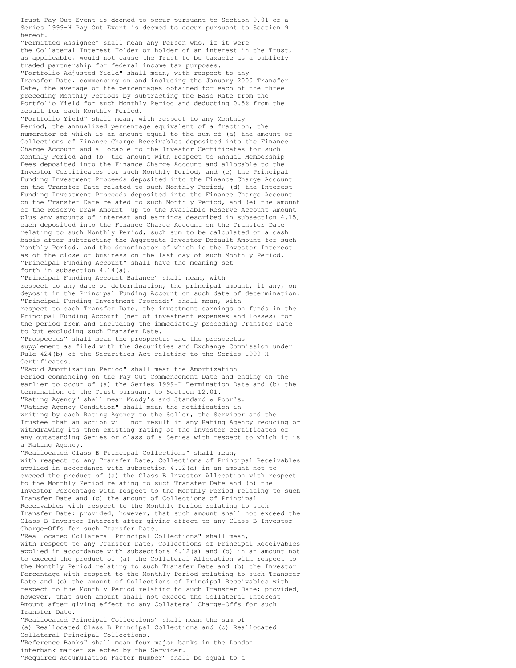Trust Pay Out Event is deemed to occur pursuant to Section 9.01 or a Series 1999-H Pay Out Event is deemed to occur pursuant to Section 9 hereof.

"Permitted Assignee" shall mean any Person who, if it were the Collateral Interest Holder or holder of an interest in the Trust, as applicable, would not cause the Trust to be taxable as a publicly traded partnership for federal income tax purposes. "Portfolio Adjusted Yield" shall mean, with respect to any Transfer Date, commencing on and including the January 2000 Transfer

Date, the average of the percentages obtained for each of the three preceding Monthly Periods by subtracting the Base Rate from the Portfolio Yield for such Monthly Period and deducting 0.5% from the result for each Monthly Period.

"Portfolio Yield" shall mean, with respect to any Monthly Period, the annualized percentage equivalent of a fraction, the numerator of which is an amount equal to the sum of (a) the amount of Collections of Finance Charge Receivables deposited into the Finance Charge Account and allocable to the Investor Certificates for such Monthly Period and (b) the amount with respect to Annual Membership Fees deposited into the Finance Charge Account and allocable to the Investor Certificates for such Monthly Period, and (c) the Principal Funding Investment Proceeds deposited into the Finance Charge Account on the Transfer Date related to such Monthly Period, (d) the Interest Funding Investment Proceeds deposited into the Finance Charge Account on the Transfer Date related to such Monthly Period, and (e) the amount of the Reserve Draw Amount (up to the Available Reserve Account Amount) plus any amounts of interest and earnings described in subsection 4.15, each deposited into the Finance Charge Account on the Transfer Date relating to such Monthly Period, such sum to be calculated on a cash basis after subtracting the Aggregate Investor Default Amount for such Monthly Period, and the denominator of which is the Investor Interest as of the close of business on the last day of such Monthly Period. "Principal Funding Account" shall have the meaning set forth in subsection 4.14(a).

"Principal Funding Account Balance" shall mean, with respect to any date of determination, the principal amount, if any, on deposit in the Principal Funding Account on such date of determination. "Principal Funding Investment Proceeds" shall mean, with respect to each Transfer Date, the investment earnings on funds in the Principal Funding Account (net of investment expenses and losses) for

the period from and including the immediately preceding Transfer Date to but excluding such Transfer Date. "Prospectus" shall mean the prospectus and the prospectus

supplement as filed with the Securities and Exchange Commission under Rule 424(b) of the Securities Act relating to the Series 1999-H Certificates.

"Rapid Amortization Period" shall mean the Amortization Period commencing on the Pay Out Commencement Date and ending on the earlier to occur of (a) the Series 1999-H Termination Date and (b) the termination of the Trust pursuant to Section 12.01.

"Rating Agency" shall mean Moody's and Standard & Poor's. "Rating Agency Condition" shall mean the notification in writing by each Rating Agency to the Seller, the Servicer and the Trustee that an action will not result in any Rating Agency reducing or withdrawing its then existing rating of the investor certificates of any outstanding Series or class of a Series with respect to which it is a Rating Agency.

"Reallocated Class B Principal Collections" shall mean, with respect to any Transfer Date, Collections of Principal Receivables applied in accordance with subsection 4.12(a) in an amount not to exceed the product of (a) the Class B Investor Allocation with respect to the Monthly Period relating to such Transfer Date and (b) the Investor Percentage with respect to the Monthly Period relating to such Transfer Date and (c) the amount of Collections of Principal Receivables with respect to the Monthly Period relating to such Transfer Date; provided, however, that such amount shall not exceed the Class B Investor Interest after giving effect to any Class B Investor Charge-Offs for such Transfer Date.

"Reallocated Collateral Principal Collections" shall mean, with respect to any Transfer Date, Collections of Principal Receivables applied in accordance with subsections 4.12(a) and (b) in an amount not to exceed the product of (a) the Collateral Allocation with respect to the Monthly Period relating to such Transfer Date and (b) the Investor Percentage with respect to the Monthly Period relating to such Transfer Date and (c) the amount of Collections of Principal Receivables with respect to the Monthly Period relating to such Transfer Date; provided, however, that such amount shall not exceed the Collateral Interest Amount after giving effect to any Collateral Charge-Offs for such Transfer Date.

"Reallocated Principal Collections" shall mean the sum of (a) Reallocated Class B Principal Collections and (b) Reallocated Collateral Principal Collections. "Reference Banks" shall mean four major banks in the London interbank market selected by the Servicer.

"Required Accumulation Factor Number" shall be equal to a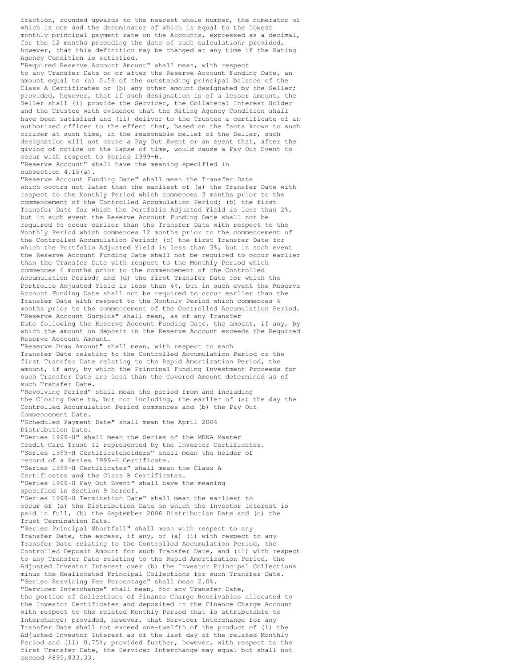fraction, rounded upwards to the nearest whole number, the numerator of which is one and the denominator of which is equal to the lowest monthly principal payment rate on the Accounts, expressed as a decimal, for the 12 months preceding the date of such calculation; provided, however, that this definition may be changed at any time if the Rating Agency Condition is satisfied.

"Required Reserve Account Amount" shall mean, with respect to any Transfer Date on or after the Reserve Account Funding Date, an amount equal to (a) 0.5% of the outstanding principal balance of the Class A Certificates or (b) any other amount designated by the Seller; provided, however, that if such designation is of a lesser amount, the Seller shall (i) provide the Servicer, the Collateral Interest Holder and the Trustee with evidence that the Rating Agency Condition shall have been satisfied and (ii) deliver to the Trustee a certificate of an authorized officer to the effect that, based on the facts known to such officer at such time, in the reasonable belief of the Seller, such designation will not cause a Pay Out Event or an event that, after the giving of notice or the lapse of time, would cause a Pay Out Event to occur with respect to Series 1999-H.

"Reserve Account" shall have the meaning specified in

# subsection 4.15(a).

"Reserve Account Funding Date" shall mean the Transfer Date which occurs not later than the earliest of (a) the Transfer Date with respect to the Monthly Period which commences 3 months prior to the commencement of the Controlled Accumulation Period; (b) the first Transfer Date for which the Portfolio Adjusted Yield is less than 2%, but in such event the Reserve Account Funding Date shall not be required to occur earlier than the Transfer Date with respect to the Monthly Period which commences 12 months prior to the commencement of the Controlled Accumulation Period; (c) the first Transfer Date for which the Portfolio Adjusted Yield is less than 3%, but in such event the Reserve Account Funding Date shall not be required to occur earlier than the Transfer Date with respect to the Monthly Period which commences 6 months prior to the commencement of the Controlled Accumulation Period; and (d) the first Transfer Date for which the Portfolio Adjusted Yield is less than 4%, but in such event the Reserve Account Funding Date shall not be required to occur earlier than the Transfer Date with respect to the Monthly Period which commences 4 months prior to the commencement of the Controlled Accumulation Period. "Reserve Account Surplus" shall mean, as of any Transfer Date following the Reserve Account Funding Date, the amount, if any, by

which the amount on deposit in the Reserve Account exceeds the Required Reserve Account Amount.

"Reserve Draw Amount" shall mean, with respect to each Transfer Date relating to the Controlled Accumulation Period or the first Transfer Date relating to the Rapid Amortization Period, the amount, if any, by which the Principal Funding Investment Proceeds for such Transfer Date are less than the Covered Amount determined as of such Transfer Date.

"Revolving Period" shall mean the period from and including the Closing Date to, but not including, the earlier of (a) the day the Controlled Accumulation Period commences and (b) the Pay Out Commencement Date.

"Scheduled Payment Date" shall mean the April 2004 Distribution Date.

"Series 1999-H" shall mean the Series of the MBNA Master Credit Card Trust II represented by the Investor Certificates. "Series 1999-H Certificateholders" shall mean the holder of record of a Series 1999-H Certificate. "Series 1999-H Certificates" shall mean the Class A

Certificates and the Class B Certificates.

"Series 1999-H Pay Out Event" shall have the meaning specified in Section 9 hereof.

"Series 1999-H Termination Date" shall mean the earliest to occur of (a) the Distribution Date on which the Investor Interest is paid in full, (b) the September 2006 Distribution Date and (c) the Trust Termination Date.

"Series Principal Shortfall" shall mean with respect to any Transfer Date, the excess, if any, of (a) (i) with respect to any Transfer Date relating to the Controlled Accumulation Period, the Controlled Deposit Amount for such Transfer Date, and (ii) with respect to any Transfer Date relating to the Rapid Amortization Period, the Adjusted Investor Interest over (b) the Investor Principal Collections minus the Reallocated Principal Collections for such Transfer Date. "Series Servicing Fee Percentage" shall mean 2.0%. "Servicer Interchange" shall mean, for any Transfer Date, the portion of Collections of Finance Charge Receivables allocated to the Investor Certificates and deposited in the Finance Charge Account with respect to the related Monthly Period that is attributable to Interchange; provided, however, that Servicer Interchange for any Transfer Date shall not exceed one-twelfth of the product of (i) the Adjusted Investor Interest as of the last day of the related Monthly Period and (ii) 0.75%; provided further, however, with respect to the first Transfer Date, the Servicer Interchange may equal but shall not exceed \$895,833.33.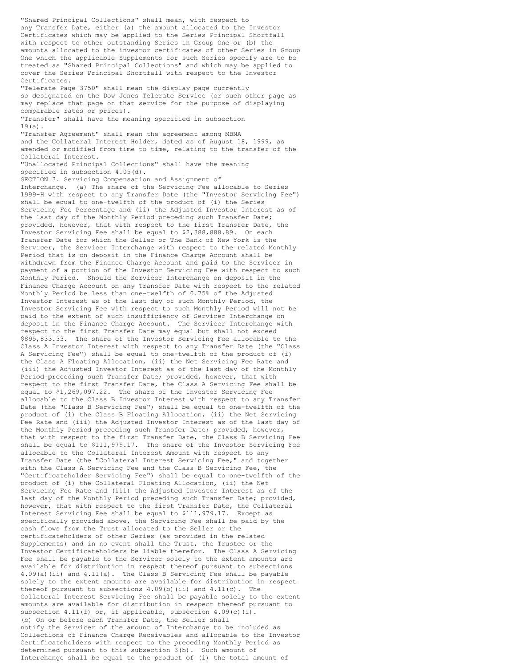"Shared Principal Collections" shall mean, with respect to any Transfer Date, either (a) the amount allocated to the Investor Certificates which may be applied to the Series Principal Shortfall with respect to other outstanding Series in Group One or (b) the amounts allocated to the investor certificates of other Series in Group One which the applicable Supplements for such Series specify are to be treated as "Shared Principal Collections" and which may be applied to cover the Series Principal Shortfall with respect to the Investor Certificates. "Telerate Page 3750" shall mean the display page currently so designated on the Dow Jones Telerate Service (or such other page as may replace that page on that service for the purpose of displaying comparable rates or prices). "Transfer" shall have the meaning specified in subsection 19(a). "Transfer Agreement" shall mean the agreement among MBNA and the Collateral Interest Holder, dated as of August 18, 1999, as amended or modified from time to time, relating to the transfer of the Collateral Interest. "Unallocated Principal Collections" shall have the meaning specified in subsection 4.05(d). SECTION 3. Servicing Compensation and Assignment of Interchange. (a) The share of the Servicing Fee allocable to Series 1999-H with respect to any Transfer Date (the "Investor Servicing Fee") shall be equal to one-twelfth of the product of (i) the Series Servicing Fee Percentage and (ii) the Adjusted Investor Interest as of the last day of the Monthly Period preceding such Transfer Date; provided, however, that with respect to the first Transfer Date, the Investor Servicing Fee shall be equal to \$2,388,888.89. On each Transfer Date for which the Seller or The Bank of New York is the Servicer, the Servicer Interchange with respect to the related Monthly Period that is on deposit in the Finance Charge Account shall be withdrawn from the Finance Charge Account and paid to the Servicer in payment of a portion of the Investor Servicing Fee with respect to such Monthly Period. Should the Servicer Interchange on deposit in the Finance Charge Account on any Transfer Date with respect to the related Monthly Period be less than one-twelfth of 0.75% of the Adjusted Investor Interest as of the last day of such Monthly Period, the Investor Servicing Fee with respect to such Monthly Period will not be paid to the extent of such insufficiency of Servicer Interchange on deposit in the Finance Charge Account. The Servicer Interchange with respect to the first Transfer Date may equal but shall not exceed \$895,833.33. The share of the Investor Servicing Fee allocable to the Class A Investor Interest with respect to any Transfer Date (the "Class A Servicing Fee") shall be equal to one-twelfth of the product of (i) the Class A Floating Allocation, (ii) the Net Servicing Fee Rate and (iii) the Adjusted Investor Interest as of the last day of the Monthly Period preceding such Transfer Date; provided, however, that with respect to the first Transfer Date, the Class A Servicing Fee shall be equal to \$1,269,097.22. The share of the Investor Servicing Fee allocable to the Class B Investor Interest with respect to any Transfer Date (the "Class B Servicing Fee") shall be equal to one-twelfth of the product of (i) the Class B Floating Allocation, (ii) the Net Servicing Fee Rate and (iii) the Adjusted Investor Interest as of the last day of the Monthly Period preceding such Transfer Date; provided, however, that with respect to the first Transfer Date, the Class B Servicing Fee shall be equal to \$111,979.17. The share of the Investor Servicing Fee allocable to the Collateral Interest Amount with respect to any Transfer Date (the "Collateral Interest Servicing Fee," and together with the Class A Servicing Fee and the Class B Servicing Fee, the "Certificateholder Servicing Fee") shall be equal to one-twelfth of the product of (i) the Collateral Floating Allocation, (ii) the Net Servicing Fee Rate and (iii) the Adjusted Investor Interest as of the last day of the Monthly Period preceding such Transfer Date; provided, however, that with respect to the first Transfer Date, the Collateral Interest Servicing Fee shall be equal to \$111,979.17. Except as specifically provided above, the Servicing Fee shall be paid by the cash flows from the Trust allocated to the Seller or the certificateholders of other Series (as provided in the related Supplements) and in no event shall the Trust, the Trustee or the Investor Certificateholders be liable therefor. The Class A Servicing Fee shall be payable to the Servicer solely to the extent amounts are available for distribution in respect thereof pursuant to subsections 4.09(a)(ii) and 4.11(a). The Class B Servicing Fee shall be payable solely to the extent amounts are available for distribution in respect thereof pursuant to subsections 4.09(b)(ii) and 4.11(c). The Collateral Interest Servicing Fee shall be payable solely to the extent amounts are available for distribution in respect thereof pursuant to subsection 4.11(f) or, if applicable, subsection 4.09(c)(i). (b) On or before each Transfer Date, the Seller shall notify the Servicer of the amount of Interchange to be included as Collections of Finance Charge Receivables and allocable to the Investor Certificateholders with respect to the preceding Monthly Period as determined pursuant to this subsection 3(b). Such amount of Interchange shall be equal to the product of (i) the total amount of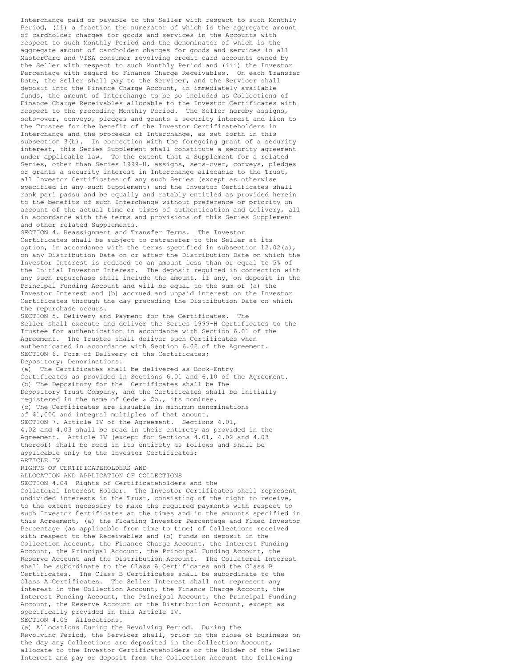Interchange paid or payable to the Seller with respect to such Monthly Period, (ii) a fraction the numerator of which is the aggregate amount of cardholder charges for goods and services in the Accounts with respect to such Monthly Period and the denominator of which is the aggregate amount of cardholder charges for goods and services in all MasterCard and VISA consumer revolving credit card accounts owned by the Seller with respect to such Monthly Period and (iii) the Investor Percentage with regard to Finance Charge Receivables. On each Transfer Date, the Seller shall pay to the Servicer, and the Servicer shall deposit into the Finance Charge Account, in immediately available funds, the amount of Interchange to be so included as Collections of Finance Charge Receivables allocable to the Investor Certificates with respect to the preceding Monthly Period. The Seller hereby assigns, sets-over, conveys, pledges and grants a security interest and lien to the Trustee for the benefit of the Investor Certificateholders in Interchange and the proceeds of Interchange, as set forth in this subsection 3(b). In connection with the foregoing grant of a security interest, this Series Supplement shall constitute a security agreement under applicable law. To the extent that a Supplement for a related Series, other than Series 1999-H, assigns, sets-over, conveys, pledges or grants a security interest in Interchange allocable to the Trust, all Investor Certificates of any such Series (except as otherwise specified in any such Supplement) and the Investor Certificates shall rank pari passu and be equally and ratably entitled as provided herein to the benefits of such Interchange without preference or priority on account of the actual time or times of authentication and delivery, all in accordance with the terms and provisions of this Series Supplement and other related Supplements. SECTION 4. Reassignment and Transfer Terms. The Investor Certificates shall be subject to retransfer to the Seller at its option, in accordance with the terms specified in subsection 12.02(a), on any Distribution Date on or after the Distribution Date on which the Investor Interest is reduced to an amount less than or equal to 5% of the Initial Investor Interest. The deposit required in connection with any such repurchase shall include the amount, if any, on deposit in the Principal Funding Account and will be equal to the sum of (a) the Investor Interest and (b) accrued and unpaid interest on the Investor Certificates through the day preceding the Distribution Date on which the repurchase occurs. SECTION 5. Delivery and Payment for the Certificates. The Seller shall execute and deliver the Series 1999-H Certificates to the Trustee for authentication in accordance with Section 6.01 of the Agreement. The Trustee shall deliver such Certificates when authenticated in accordance with Section 6.02 of the Agreement. SECTION 6. Form of Delivery of the Certificates; Depository; Denominations. (a) The Certificates shall be delivered as Book-Entry Certificates as provided in Sections 6.01 and 6.10 of the Agreement. (b) The Depository for the Certificates shall be The Depository Trust Company, and the Certificates shall be initially registered in the name of Cede & Co., its nominee. (c) The Certificates are issuable in minimum denominations of \$1,000 and integral multiples of that amount. SECTION 7. Article IV of the Agreement. Sections 4.01, 4.02 and 4.03 shall be read in their entirety as provided in the Agreement. Article IV (except for Sections 4.01, 4.02 and 4.03 thereof) shall be read in its entirety as follows and shall be applicable only to the Investor Certificates: ARTICLE IV RIGHTS OF CERTIFICATEHOLDERS AND ALLOCATION AND APPLICATION OF COLLECTIONS SECTION 4.04 Rights of Certificateholders and the Collateral Interest Holder. The Investor Certificates shall represent undivided interests in the Trust, consisting of the right to receive, to the extent necessary to make the required payments with respect to such Investor Certificates at the times and in the amounts specified in this Agreement, (a) the Floating Investor Percentage and Fixed Investor Percentage (as applicable from time to time) of Collections received with respect to the Receivables and (b) funds on deposit in the Collection Account, the Finance Charge Account, the Interest Funding Account, the Principal Account, the Principal Funding Account, the Reserve Account and the Distribution Account. The Collateral Interest shall be subordinate to the Class A Certificates and the Class B Certificates. The Class B Certificates shall be subordinate to the Class A Certificates. The Seller Interest shall not represent any interest in the Collection Account, the Finance Charge Account, the Interest Funding Account, the Principal Account, the Principal Funding Account, the Reserve Account or the Distribution Account, except as specifically provided in this Article IV. SECTION 4.05 Allocations. (a) Allocations During the Revolving Period. During the Revolving Period, the Servicer shall, prior to the close of business on the day any Collections are deposited in the Collection Account,

allocate to the Investor Certificateholders or the Holder of the Seller Interest and pay or deposit from the Collection Account the following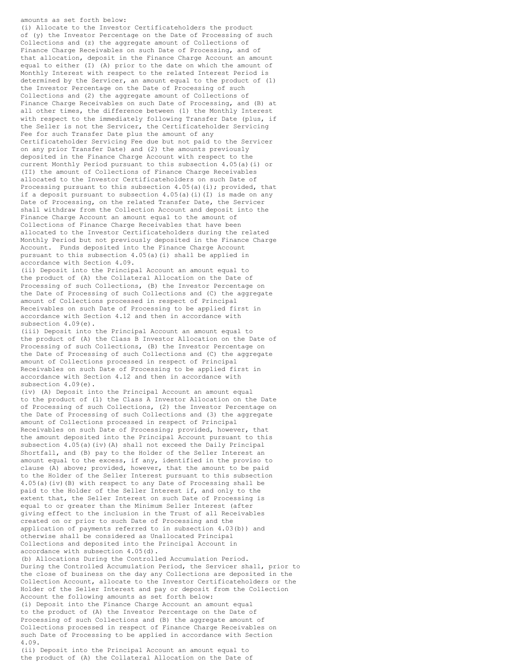amounts as set forth below: (i) Allocate to the Investor Certificateholders the product of (y) the Investor Percentage on the Date of Processing of such Collections and (z) the aggregate amount of Collections of Finance Charge Receivables on such Date of Processing, and of that allocation, deposit in the Finance Charge Account an amount equal to either (I) (A) prior to the date on which the amount of Monthly Interest with respect to the related Interest Period is determined by the Servicer, an amount equal to the product of (1) the Investor Percentage on the Date of Processing of such Collections and (2) the aggregate amount of Collections of Finance Charge Receivables on such Date of Processing, and (B) at all other times, the difference between (1) the Monthly Interest with respect to the immediately following Transfer Date (plus, if the Seller is not the Servicer, the Certificateholder Servicing Fee for such Transfer Date plus the amount of any Certificateholder Servicing Fee due but not paid to the Servicer on any prior Transfer Date) and (2) the amounts previously deposited in the Finance Charge Account with respect to the current Monthly Period pursuant to this subsection 4.05(a)(i) or (II) the amount of Collections of Finance Charge Receivables allocated to the Investor Certificateholders on such Date of Processing pursuant to this subsection  $4.05(a)(i)$ ; provided, that if a deposit pursuant to subsection 4.05(a)(i)(I) is made on any Date of Processing, on the related Transfer Date, the Servicer shall withdraw from the Collection Account and deposit into the Finance Charge Account an amount equal to the amount of Collections of Finance Charge Receivables that have been allocated to the Investor Certificateholders during the related Monthly Period but not previously deposited in the Finance Charge Account. Funds deposited into the Finance Charge Account pursuant to this subsection 4.05(a)(i) shall be applied in accordance with Section 4.09.

(ii) Deposit into the Principal Account an amount equal to the product of (A) the Collateral Allocation on the Date of Processing of such Collections, (B) the Investor Percentage on the Date of Processing of such Collections and (C) the aggregate amount of Collections processed in respect of Principal Receivables on such Date of Processing to be applied first in accordance with Section 4.12 and then in accordance with subsection 4.09(e).

(iii) Deposit into the Principal Account an amount equal to the product of (A) the Class B Investor Allocation on the Date of Processing of such Collections, (B) the Investor Percentage on the Date of Processing of such Collections and (C) the aggregate amount of Collections processed in respect of Principal Receivables on such Date of Processing to be applied first in accordance with Section 4.12 and then in accordance with subsection 4.09(e).

(iv) (A) Deposit into the Principal Account an amount equal to the product of (1) the Class A Investor Allocation on the Date of Processing of such Collections, (2) the Investor Percentage on the Date of Processing of such Collections and (3) the aggregate amount of Collections processed in respect of Principal Receivables on such Date of Processing; provided, however, that the amount deposited into the Principal Account pursuant to this subsection 4.05(a)(iv)(A) shall not exceed the Daily Principal Shortfall, and (B) pay to the Holder of the Seller Interest an amount equal to the excess, if any, identified in the proviso to clause (A) above; provided, however, that the amount to be paid to the Holder of the Seller Interest pursuant to this subsection 4.05(a)(iv)(B) with respect to any Date of Processing shall be paid to the Holder of the Seller Interest if, and only to the extent that, the Seller Interest on such Date of Processing is equal to or greater than the Minimum Seller Interest (after giving effect to the inclusion in the Trust of all Receivables created on or prior to such Date of Processing and the application of payments referred to in subsection 4.03(b)) and otherwise shall be considered as Unallocated Principal Collections and deposited into the Principal Account in accordance with subsection 4.05(d).

(b) Allocations During the Controlled Accumulation Period. During the Controlled Accumulation Period, the Servicer shall, prior to the close of business on the day any Collections are deposited in the Collection Account, allocate to the Investor Certificateholders or the Holder of the Seller Interest and pay or deposit from the Collection Account the following amounts as set forth below: (i) Deposit into the Finance Charge Account an amount equal to the product of (A) the Investor Percentage on the Date of Processing of such Collections and (B) the aggregate amount of Collections processed in respect of Finance Charge Receivables on such Date of Processing to be applied in accordance with Section 4.09. (ii) Deposit into the Principal Account an amount equal to

the product of (A) the Collateral Allocation on the Date of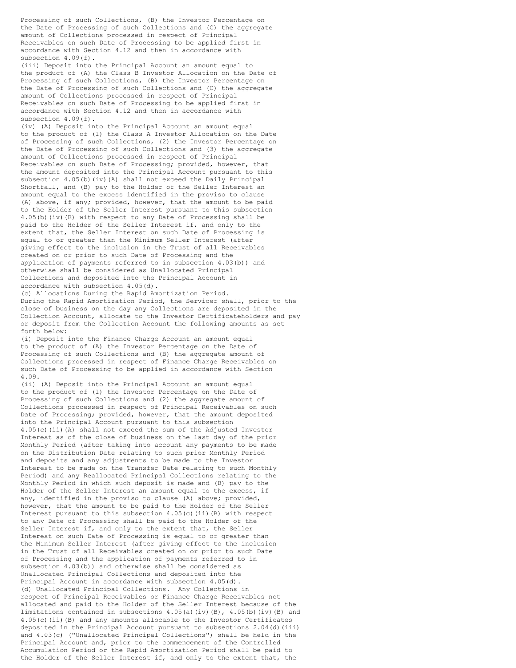Processing of such Collections, (B) the Investor Percentage on the Date of Processing of such Collections and (C) the aggregate amount of Collections processed in respect of Principal Receivables on such Date of Processing to be applied first in accordance with Section 4.12 and then in accordance with subsection 4.09(f).

(iii) Deposit into the Principal Account an amount equal to the product of (A) the Class B Investor Allocation on the Date of Processing of such Collections, (B) the Investor Percentage on the Date of Processing of such Collections and (C) the aggregate amount of Collections processed in respect of Principal Receivables on such Date of Processing to be applied first in accordance with Section 4.12 and then in accordance with subsection 4.09(f).

(iv) (A) Deposit into the Principal Account an amount equal to the product of (1) the Class A Investor Allocation on the Date of Processing of such Collections, (2) the Investor Percentage on the Date of Processing of such Collections and (3) the aggregate amount of Collections processed in respect of Principal Receivables on such Date of Processing; provided, however, that the amount deposited into the Principal Account pursuant to this subsection 4.05(b)(iv)(A) shall not exceed the Daily Principal Shortfall, and (B) pay to the Holder of the Seller Interest an amount equal to the excess identified in the proviso to clause (A) above, if any; provided, however, that the amount to be paid to the Holder of the Seller Interest pursuant to this subsection 4.05(b)(iv)(B) with respect to any Date of Processing shall be paid to the Holder of the Seller Interest if, and only to the extent that, the Seller Interest on such Date of Processing is equal to or greater than the Minimum Seller Interest (after giving effect to the inclusion in the Trust of all Receivables created on or prior to such Date of Processing and the application of payments referred to in subsection 4.03(b)) and otherwise shall be considered as Unallocated Principal Collections and deposited into the Principal Account in accordance with subsection 4.05(d).

(c) Allocations During the Rapid Amortization Period. During the Rapid Amortization Period, the Servicer shall, prior to the close of business on the day any Collections are deposited in the Collection Account, allocate to the Investor Certificateholders and pay or deposit from the Collection Account the following amounts as set forth below:

(i) Deposit into the Finance Charge Account an amount equal to the product of (A) the Investor Percentage on the Date of Processing of such Collections and (B) the aggregate amount of Collections processed in respect of Finance Charge Receivables on such Date of Processing to be applied in accordance with Section 4.09.

(ii) (A) Deposit into the Principal Account an amount equal to the product of (1) the Investor Percentage on the Date of Processing of such Collections and (2) the aggregate amount of Collections processed in respect of Principal Receivables on such Date of Processing; provided, however, that the amount deposited into the Principal Account pursuant to this subsection 4.05(c)(ii)(A) shall not exceed the sum of the Adjusted Investor Interest as of the close of business on the last day of the prior Monthly Period (after taking into account any payments to be made on the Distribution Date relating to such prior Monthly Period and deposits and any adjustments to be made to the Investor Interest to be made on the Transfer Date relating to such Monthly Period) and any Reallocated Principal Collections relating to the Monthly Period in which such deposit is made and (B) pay to the Holder of the Seller Interest an amount equal to the excess, if any, identified in the proviso to clause (A) above; provided, however, that the amount to be paid to the Holder of the Seller Interest pursuant to this subsection  $4.05(c)$  (ii)(B) with respect to any Date of Processing shall be paid to the Holder of the Seller Interest if, and only to the extent that, the Seller Interest on such Date of Processing is equal to or greater than the Minimum Seller Interest (after giving effect to the inclusion in the Trust of all Receivables created on or prior to such Date of Processing and the application of payments referred to in subsection 4.03(b)) and otherwise shall be considered as Unallocated Principal Collections and deposited into the Principal Account in accordance with subsection 4.05(d). (d) Unallocated Principal Collections. Any Collections in respect of Principal Receivables or Finance Charge Receivables not allocated and paid to the Holder of the Seller Interest because of the limitations contained in subsections  $4.05(a)(iv)(B)$ ,  $4.05(b)(iv)(B)$  and 4.05(c)(ii)(B) and any amounts allocable to the Investor Certificates deposited in the Principal Account pursuant to subsections 2.04(d)(iii) and 4.03(c) ("Unallocated Principal Collections") shall be held in the Principal Account and, prior to the commencement of the Controlled Accumulation Period or the Rapid Amortization Period shall be paid to the Holder of the Seller Interest if, and only to the extent that, the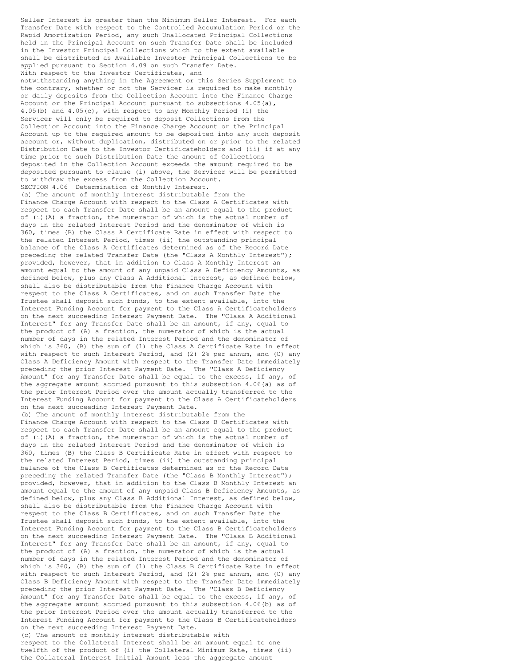Seller Interest is greater than the Minimum Seller Interest. For each Transfer Date with respect to the Controlled Accumulation Period or the Rapid Amortization Period, any such Unallocated Principal Collections held in the Principal Account on such Transfer Date shall be included in the Investor Principal Collections which to the extent available shall be distributed as Available Investor Principal Collections to be applied pursuant to Section 4.09 on such Transfer Date. With respect to the Investor Certificates, and notwithstanding anything in the Agreement or this Series Supplement to the contrary, whether or not the Servicer is required to make monthly or daily deposits from the Collection Account into the Finance Charge Account or the Principal Account pursuant to subsections 4.05(a), 4.05(b) and 4.05(c), with respect to any Monthly Period (i) the Servicer will only be required to deposit Collections from the Collection Account into the Finance Charge Account or the Principal Account up to the required amount to be deposited into any such deposit account or, without duplication, distributed on or prior to the related Distribution Date to the Investor Certificateholders and (ii) if at any time prior to such Distribution Date the amount of Collections deposited in the Collection Account exceeds the amount required to be deposited pursuant to clause (i) above, the Servicer will be permitted to withdraw the excess from the Collection Account. SECTION 4.06 Determination of Monthly Interest. (a) The amount of monthly interest distributable from the Finance Charge Account with respect to the Class A Certificates with respect to each Transfer Date shall be an amount equal to the product of (i)(A) a fraction, the numerator of which is the actual number of days in the related Interest Period and the denominator of which is 360, times (B) the Class A Certificate Rate in effect with respect to the related Interest Period, times (ii) the outstanding principal balance of the Class A Certificates determined as of the Record Date preceding the related Transfer Date (the "Class A Monthly Interest"); provided, however, that in addition to Class A Monthly Interest an amount equal to the amount of any unpaid Class A Deficiency Amounts, as defined below, plus any Class A Additional Interest, as defined below, shall also be distributable from the Finance Charge Account with respect to the Class A Certificates, and on such Transfer Date the Trustee shall deposit such funds, to the extent available, into the Interest Funding Account for payment to the Class A Certificateholders on the next succeeding Interest Payment Date. The "Class A Additional Interest" for any Transfer Date shall be an amount, if any, equal to the product of (A) a fraction, the numerator of which is the actual number of days in the related Interest Period and the denominator of which is 360, (B) the sum of (1) the Class A Certificate Rate in effect with respect to such Interest Period, and (2) 2% per annum, and (C) any Class A Deficiency Amount with respect to the Transfer Date immediately preceding the prior Interest Payment Date. The "Class A Deficiency Amount" for any Transfer Date shall be equal to the excess, if any, of the aggregate amount accrued pursuant to this subsection 4.06(a) as of the prior Interest Period over the amount actually transferred to the Interest Funding Account for payment to the Class A Certificateholders on the next succeeding Interest Payment Date. (b) The amount of monthly interest distributable from the Finance Charge Account with respect to the Class B Certificates with respect to each Transfer Date shall be an amount equal to the product of (i)(A) a fraction, the numerator of which is the actual number of days in the related Interest Period and the denominator of which is 360, times (B) the Class B Certificate Rate in effect with respect to the related Interest Period, times (ii) the outstanding principal balance of the Class B Certificates determined as of the Record Date preceding the related Transfer Date (the "Class B Monthly Interest"); provided, however, that in addition to the Class B Monthly Interest an amount equal to the amount of any unpaid Class B Deficiency Amounts, as defined below, plus any Class B Additional Interest, as defined below, shall also be distributable from the Finance Charge Account with respect to the Class B Certificates, and on such Transfer Date the Trustee shall deposit such funds, to the extent available, into the Interest Funding Account for payment to the Class B Certificateholders on the next succeeding Interest Payment Date. The "Class B Additional Interest" for any Transfer Date shall be an amount, if any, equal to the product of (A) a fraction, the numerator of which is the actual number of days in the related Interest Period and the denominator of which is 360, (B) the sum of (1) the Class B Certificate Rate in effect with respect to such Interest Period, and (2) 2% per annum, and (C) any Class B Deficiency Amount with respect to the Transfer Date immediately preceding the prior Interest Payment Date. The "Class B Deficiency Amount" for any Transfer Date shall be equal to the excess, if any, of the aggregate amount accrued pursuant to this subsection 4.06(b) as of the prior Interest Period over the amount actually transferred to the Interest Funding Account for payment to the Class B Certificateholders on the next succeeding Interest Payment Date. (c) The amount of monthly interest distributable with respect to the Collateral Interest shall be an amount equal to one twelfth of the product of (i) the Collateral Minimum Rate, times (ii) the Collateral Interest Initial Amount less the aggregate amount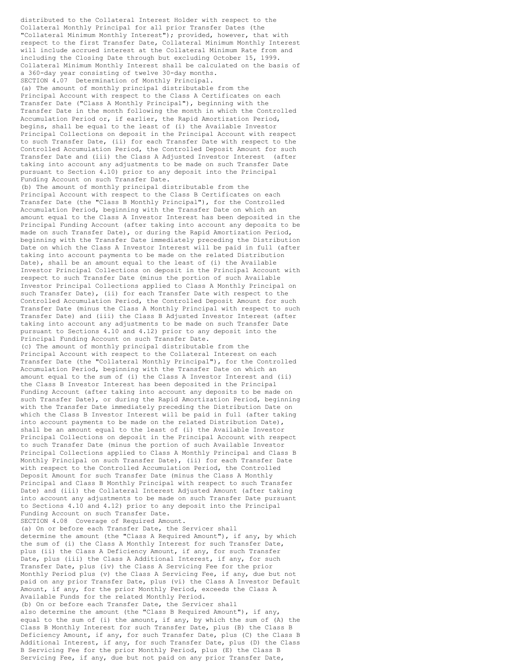distributed to the Collateral Interest Holder with respect to the Collateral Monthly Principal for all prior Transfer Dates (the "Collateral Minimum Monthly Interest"); provided, however, that with respect to the first Transfer Date, Collateral Minimum Monthly Interest will include accrued interest at the Collateral Minimum Rate from and including the Closing Date through but excluding October 15, 1999. Collateral Minimum Monthly Interest shall be calculated on the basis of a 360-day year consisting of twelve 30-day months. SECTION 4.07 Determination of Monthly Principal. (a) The amount of monthly principal distributable from the Principal Account with respect to the Class A Certificates on each Transfer Date ("Class A Monthly Principal"), beginning with the Transfer Date in the month following the month in which the Controlled Accumulation Period or, if earlier, the Rapid Amortization Period, begins, shall be equal to the least of (i) the Available Investor Principal Collections on deposit in the Principal Account with respect to such Transfer Date, (ii) for each Transfer Date with respect to the Controlled Accumulation Period, the Controlled Deposit Amount for such Transfer Date and (iii) the Class A Adjusted Investor Interest (after taking into account any adjustments to be made on such Transfer Date pursuant to Section 4.10) prior to any deposit into the Principal Funding Account on such Transfer Date. (b) The amount of monthly principal distributable from the Principal Account with respect to the Class B Certificates on each Transfer Date (the "Class B Monthly Principal"), for the Controlled Accumulation Period, beginning with the Transfer Date on which an amount equal to the Class A Investor Interest has been deposited in the Principal Funding Account (after taking into account any deposits to be made on such Transfer Date), or during the Rapid Amortization Period, beginning with the Transfer Date immediately preceding the Distribution Date on which the Class A Investor Interest will be paid in full (after taking into account payments to be made on the related Distribution Date), shall be an amount equal to the least of (i) the Available Investor Principal Collections on deposit in the Principal Account with respect to such Transfer Date (minus the portion of such Available Investor Principal Collections applied to Class A Monthly Principal on such Transfer Date), (ii) for each Transfer Date with respect to the Controlled Accumulation Period, the Controlled Deposit Amount for such Transfer Date (minus the Class A Monthly Principal with respect to such Transfer Date) and (iii) the Class B Adjusted Investor Interest (after taking into account any adjustments to be made on such Transfer Date pursuant to Sections 4.10 and 4.12) prior to any deposit into the Principal Funding Account on such Transfer Date. (c) The amount of monthly principal distributable from the Principal Account with respect to the Collateral Interest on each Transfer Date (the "Collateral Monthly Principal"), for the Controlled Accumulation Period, beginning with the Transfer Date on which an amount equal to the sum of (i) the Class A Investor Interest and (ii) the Class B Investor Interest has been deposited in the Principal Funding Account (after taking into account any deposits to be made on such Transfer Date), or during the Rapid Amortization Period, beginning with the Transfer Date immediately preceding the Distribution Date on which the Class B Investor Interest will be paid in full (after taking into account payments to be made on the related Distribution Date), shall be an amount equal to the least of (i) the Available Investor Principal Collections on deposit in the Principal Account with respect to such Transfer Date (minus the portion of such Available Investor Principal Collections applied to Class A Monthly Principal and Class B Monthly Principal on such Transfer Date), (ii) for each Transfer Date with respect to the Controlled Accumulation Period, the Controlled Deposit Amount for such Transfer Date (minus the Class A Monthly Principal and Class B Monthly Principal with respect to such Transfer Date) and (iii) the Collateral Interest Adjusted Amount (after taking into account any adjustments to be made on such Transfer Date pursuant to Sections 4.10 and 4.12) prior to any deposit into the Principal Funding Account on such Transfer Date. SECTION 4.08 Coverage of Required Amount. (a) On or before each Transfer Date, the Servicer shall determine the amount (the "Class A Required Amount"), if any, by which the sum of (i) the Class A Monthly Interest for such Transfer Date, plus (ii) the Class A Deficiency Amount, if any, for such Transfer Date, plus (iii) the Class A Additional Interest, if any, for such Transfer Date, plus (iv) the Class A Servicing Fee for the prior Monthly Period plus (v) the Class A Servicing Fee, if any, due but not paid on any prior Transfer Date, plus (vi) the Class A Investor Default Amount, if any, for the prior Monthly Period, exceeds the Class A Available Funds for the related Monthly Period. (b) On or before each Transfer Date, the Servicer shall also determine the amount (the "Class B Required Amount"), if any, equal to the sum of (i) the amount, if any, by which the sum of (A) the Class B Monthly Interest for such Transfer Date, plus (B) the Class B Deficiency Amount, if any, for such Transfer Date, plus (C) the Class B Additional Interest, if any, for such Transfer Date, plus (D) the Class B Servicing Fee for the prior Monthly Period, plus (E) the Class B Servicing Fee, if any, due but not paid on any prior Transfer Date,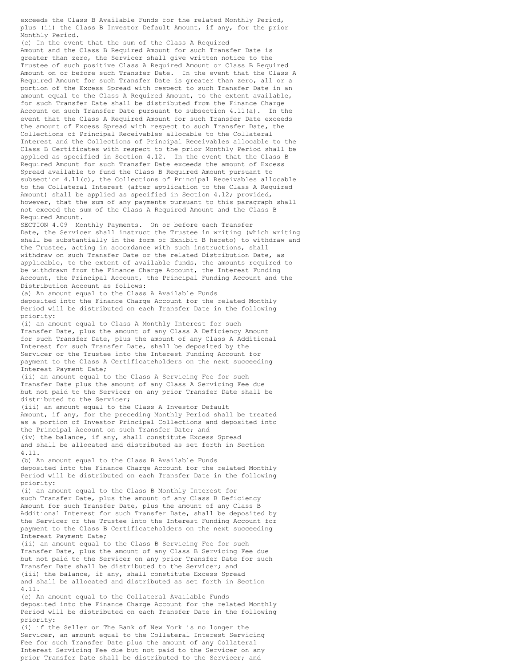exceeds the Class B Available Funds for the related Monthly Period, plus (ii) the Class B Investor Default Amount, if any, for the prior Monthly Period.

(c) In the event that the sum of the Class A Required Amount and the Class B Required Amount for such Transfer Date is greater than zero, the Servicer shall give written notice to the Trustee of such positive Class A Required Amount or Class B Required Amount on or before such Transfer Date. In the event that the Class A Required Amount for such Transfer Date is greater than zero, all or a portion of the Excess Spread with respect to such Transfer Date in an amount equal to the Class A Required Amount, to the extent available, for such Transfer Date shall be distributed from the Finance Charge Account on such Transfer Date pursuant to subsection 4.11(a). In the event that the Class A Required Amount for such Transfer Date exceeds the amount of Excess Spread with respect to such Transfer Date, the Collections of Principal Receivables allocable to the Collateral Interest and the Collections of Principal Receivables allocable to the Class B Certificates with respect to the prior Monthly Period shall be applied as specified in Section 4.12. In the event that the Class B Required Amount for such Transfer Date exceeds the amount of Excess Spread available to fund the Class B Required Amount pursuant to subsection 4.11(c), the Collections of Principal Receivables allocable to the Collateral Interest (after application to the Class A Required Amount) shall be applied as specified in Section 4.12; provided, however, that the sum of any payments pursuant to this paragraph shall not exceed the sum of the Class A Required Amount and the Class B Required Amount.

SECTION 4.09 Monthly Payments. On or before each Transfer Date, the Servicer shall instruct the Trustee in writing (which writing shall be substantially in the form of Exhibit B hereto) to withdraw and the Trustee, acting in accordance with such instructions, shall withdraw on such Transfer Date or the related Distribution Date, as applicable, to the extent of available funds, the amounts required to be withdrawn from the Finance Charge Account, the Interest Funding Account, the Principal Account, the Principal Funding Account and the Distribution Account as follows:

(a) An amount equal to the Class A Available Funds deposited into the Finance Charge Account for the related Monthly Period will be distributed on each Transfer Date in the following priority:

(i) an amount equal to Class A Monthly Interest for such Transfer Date, plus the amount of any Class A Deficiency Amount for such Transfer Date, plus the amount of any Class A Additional Interest for such Transfer Date, shall be deposited by the Servicer or the Trustee into the Interest Funding Account for payment to the Class A Certificateholders on the next succeeding Interest Payment Date;

(ii) an amount equal to the Class A Servicing Fee for such Transfer Date plus the amount of any Class A Servicing Fee due but not paid to the Servicer on any prior Transfer Date shall be distributed to the Servicer;

(iii) an amount equal to the Class A Investor Default Amount, if any, for the preceding Monthly Period shall be treated as a portion of Investor Principal Collections and deposited into the Principal Account on such Transfer Date; and (iv) the balance, if any, shall constitute Excess Spread and shall be allocated and distributed as set forth in Section

4.11. (b) An amount equal to the Class B Available Funds

deposited into the Finance Charge Account for the related Monthly Period will be distributed on each Transfer Date in the following priority:

(i) an amount equal to the Class B Monthly Interest for such Transfer Date, plus the amount of any Class B Deficiency Amount for such Transfer Date, plus the amount of any Class B Additional Interest for such Transfer Date, shall be deposited by the Servicer or the Trustee into the Interest Funding Account for payment to the Class B Certificateholders on the next succeeding Interest Payment Date;

(ii) an amount equal to the Class B Servicing Fee for such Transfer Date, plus the amount of any Class B Servicing Fee due but not paid to the Servicer on any prior Transfer Date for such Transfer Date shall be distributed to the Servicer; and (iii) the balance, if any, shall constitute Excess Spread and shall be allocated and distributed as set forth in Section 4.11.

(c) An amount equal to the Collateral Available Funds deposited into the Finance Charge Account for the related Monthly Period will be distributed on each Transfer Date in the following priority:

(i) if the Seller or The Bank of New York is no longer the Servicer, an amount equal to the Collateral Interest Servicing Fee for such Transfer Date plus the amount of any Collateral Interest Servicing Fee due but not paid to the Servicer on any prior Transfer Date shall be distributed to the Servicer; and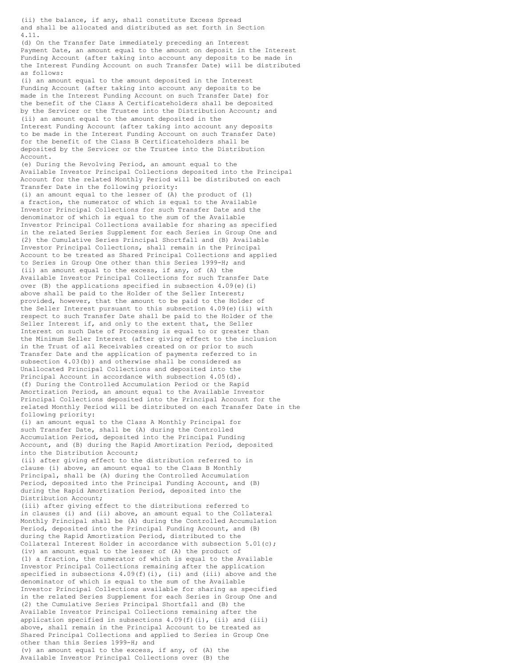(ii) the balance, if any, shall constitute Excess Spread and shall be allocated and distributed as set forth in Section 4.11. (d) On the Transfer Date immediately preceding an Interest Payment Date, an amount equal to the amount on deposit in the Interest Funding Account (after taking into account any deposits to be made in the Interest Funding Account on such Transfer Date) will be distributed as follows: (i) an amount equal to the amount deposited in the Interest Funding Account (after taking into account any deposits to be made in the Interest Funding Account on such Transfer Date) for the benefit of the Class A Certificateholders shall be deposited by the Servicer or the Trustee into the Distribution Account; and (ii) an amount equal to the amount deposited in the Interest Funding Account (after taking into account any deposits to be made in the Interest Funding Account on such Transfer Date) for the benefit of the Class B Certificateholders shall be deposited by the Servicer or the Trustee into the Distribution Account. (e) During the Revolving Period, an amount equal to the Available Investor Principal Collections deposited into the Principal Account for the related Monthly Period will be distributed on each Transfer Date in the following priority: (i) an amount equal to the lesser of (A) the product of (1) a fraction, the numerator of which is equal to the Available Investor Principal Collections for such Transfer Date and the denominator of which is equal to the sum of the Available Investor Principal Collections available for sharing as specified in the related Series Supplement for each Series in Group One and (2) the Cumulative Series Principal Shortfall and (B) Available Investor Principal Collections, shall remain in the Principal Account to be treated as Shared Principal Collections and applied to Series in Group One other than this Series 1999-H; and (ii) an amount equal to the excess, if any, of (A) the Available Investor Principal Collections for such Transfer Date over (B) the applications specified in subsection 4.09(e)(i) above shall be paid to the Holder of the Seller Interest; provided, however, that the amount to be paid to the Holder of the Seller Interest pursuant to this subsection 4.09(e)(ii) with respect to such Transfer Date shall be paid to the Holder of the Seller Interest if, and only to the extent that, the Seller Interest on such Date of Processing is equal to or greater than the Minimum Seller Interest (after giving effect to the inclusion in the Trust of all Receivables created on or prior to such Transfer Date and the application of payments referred to in subsection 4.03(b)) and otherwise shall be considered as Unallocated Principal Collections and deposited into the Principal Account in accordance with subsection 4.05(d). (f) During the Controlled Accumulation Period or the Rapid Amortization Period, an amount equal to the Available Investor Principal Collections deposited into the Principal Account for the related Monthly Period will be distributed on each Transfer Date in the following priority: (i) an amount equal to the Class A Monthly Principal for such Transfer Date, shall be (A) during the Controlled Accumulation Period, deposited into the Principal Funding Account, and (B) during the Rapid Amortization Period, deposited into the Distribution Account; (ii) after giving effect to the distribution referred to in clause (i) above, an amount equal to the Class B Monthly Principal, shall be (A) during the Controlled Accumulation Period, deposited into the Principal Funding Account, and (B) during the Rapid Amortization Period, deposited into the Distribution Account; (iii) after giving effect to the distributions referred to in clauses (i) and (ii) above, an amount equal to the Collateral Monthly Principal shall be (A) during the Controlled Accumulation Period, deposited into the Principal Funding Account, and (B) during the Rapid Amortization Period, distributed to the Collateral Interest Holder in accordance with subsection  $5.01(c)$ ; (iv) an amount equal to the lesser of (A) the product of (1) a fraction, the numerator of which is equal to the Available Investor Principal Collections remaining after the application specified in subsections  $4.09(f)(i)$ , (ii) and (iii) above and the denominator of which is equal to the sum of the Available Investor Principal Collections available for sharing as specified in the related Series Supplement for each Series in Group One and (2) the Cumulative Series Principal Shortfall and (B) the Available Investor Principal Collections remaining after the application specified in subsections  $4.09(f)(i)$ , (ii) and (iii) above, shall remain in the Principal Account to be treated as Shared Principal Collections and applied to Series in Group One other than this Series 1999-H; and (v) an amount equal to the excess, if any, of (A) the Available Investor Principal Collections over (B) the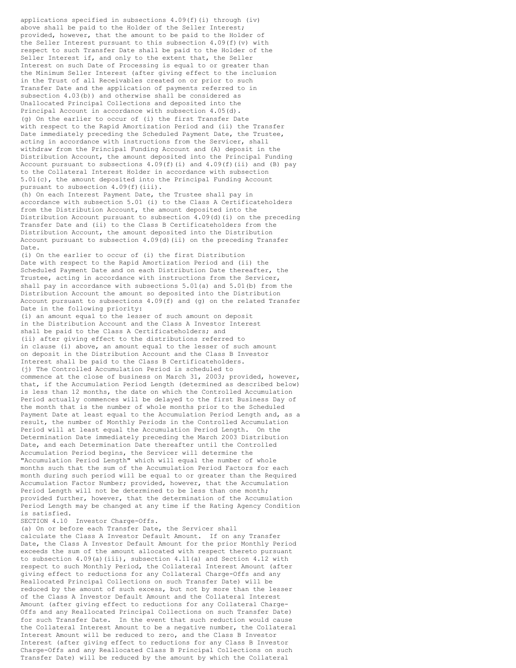applications specified in subsections 4.09(f)(i) through (iv) above shall be paid to the Holder of the Seller Interest; provided, however, that the amount to be paid to the Holder of the Seller Interest pursuant to this subsection  $4.09(f)(v)$  with respect to such Transfer Date shall be paid to the Holder of the Seller Interest if, and only to the extent that, the Seller Interest on such Date of Processing is equal to or greater than the Minimum Seller Interest (after giving effect to the inclusion in the Trust of all Receivables created on or prior to such Transfer Date and the application of payments referred to in subsection 4.03(b)) and otherwise shall be considered as Unallocated Principal Collections and deposited into the Principal Account in accordance with subsection 4.05(d). (g) On the earlier to occur of (i) the first Transfer Date with respect to the Rapid Amortization Period and (ii) the Transfer Date immediately preceding the Scheduled Payment Date, the Trustee, acting in accordance with instructions from the Servicer, shall withdraw from the Principal Funding Account and (A) deposit in the Distribution Account, the amount deposited into the Principal Funding Account pursuant to subsections  $4.09(f)(i)$  and  $4.09(f)(ii)$  and (B) pay to the Collateral Interest Holder in accordance with subsection 5.01(c), the amount deposited into the Principal Funding Account pursuant to subsection 4.09(f)(iii). (h) On each Interest Payment Date, the Trustee shall pay in

accordance with subsection 5.01 (i) to the Class A Certificateholders from the Distribution Account, the amount deposited into the Distribution Account pursuant to subsection 4.09(d)(i) on the preceding Transfer Date and (ii) to the Class B Certificateholders from the Distribution Account, the amount deposited into the Distribution Account pursuant to subsection 4.09(d)(ii) on the preceding Transfer Date.

(i) On the earlier to occur of (i) the first Distribution Date with respect to the Rapid Amortization Period and (ii) the Scheduled Payment Date and on each Distribution Date thereafter, the Trustee, acting in accordance with instructions from the Servicer, shall pay in accordance with subsections 5.01(a) and 5.01(b) from the Distribution Account the amount so deposited into the Distribution Account pursuant to subsections 4.09(f) and (g) on the related Transfer Date in the following priority:

(i) an amount equal to the lesser of such amount on deposit in the Distribution Account and the Class A Investor Interest shall be paid to the Class A Certificateholders; and (ii) after giving effect to the distributions referred to in clause (i) above, an amount equal to the lesser of such amount on deposit in the Distribution Account and the Class B Investor Interest shall be paid to the Class B Certificateholders. (j) The Controlled Accumulation Period is scheduled to commence at the close of business on March 31, 2003; provided, however, that, if the Accumulation Period Length (determined as described below) is less than 12 months, the date on which the Controlled Accumulation Period actually commences will be delayed to the first Business Day of the month that is the number of whole months prior to the Scheduled Payment Date at least equal to the Accumulation Period Length and, as a result, the number of Monthly Periods in the Controlled Accumulation Period will at least equal the Accumulation Period Length. On the Determination Date immediately preceding the March 2003 Distribution Date, and each Determination Date thereafter until the Controlled Accumulation Period begins, the Servicer will determine the "Accumulation Period Length" which will equal the number of whole months such that the sum of the Accumulation Period Factors for each month during such period will be equal to or greater than the Required Accumulation Factor Number; provided, however, that the Accumulation Period Length will not be determined to be less than one month; provided further, however, that the determination of the Accumulation Period Length may be changed at any time if the Rating Agency Condition is satisfied.

#### SECTION 4.10 Investor Charge-Offs.

(a) On or before each Transfer Date, the Servicer shall calculate the Class A Investor Default Amount. If on any Transfer Date, the Class A Investor Default Amount for the prior Monthly Period exceeds the sum of the amount allocated with respect thereto pursuant to subsection 4.09(a)(iii), subsection 4.11(a) and Section 4.12 with respect to such Monthly Period, the Collateral Interest Amount (after giving effect to reductions for any Collateral Charge-Offs and any Reallocated Principal Collections on such Transfer Date) will be reduced by the amount of such excess, but not by more than the lesser of the Class A Investor Default Amount and the Collateral Interest Amount (after giving effect to reductions for any Collateral Charge-Offs and any Reallocated Principal Collections on such Transfer Date) for such Transfer Date. In the event that such reduction would cause the Collateral Interest Amount to be a negative number, the Collateral Interest Amount will be reduced to zero, and the Class B Investor Interest (after giving effect to reductions for any Class B Investor Charge-Offs and any Reallocated Class B Principal Collections on such Transfer Date) will be reduced by the amount by which the Collateral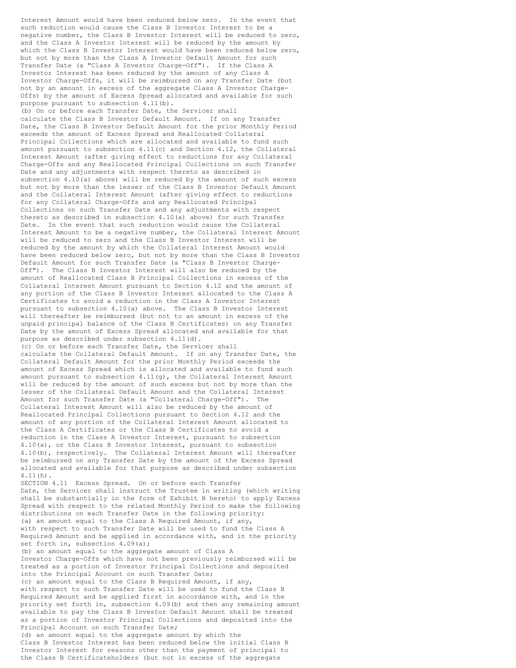Interest Amount would have been reduced below zero. In the event that such reduction would cause the Class B Investor Interest to be a negative number, the Class B Investor Interest will be reduced to zero, and the Class A Investor Interest will be reduced by the amount by which the Class B Investor Interest would have been reduced below zero, but not by more than the Class A Investor Default Amount for such Transfer Date (a "Class A Investor Charge-Off"). If the Class A Investor Interest has been reduced by the amount of any Class A Investor Charge-Offs, it will be reimbursed on any Transfer Date (but not by an amount in excess of the aggregate Class A Investor Charge-Offs) by the amount of Excess Spread allocated and available for such purpose pursuant to subsection 4.11(b). (b) On or before each Transfer Date, the Servicer shall calculate the Class B Investor Default Amount. If on any Transfer Date, the Class B Investor Default Amount for the prior Monthly Period exceeds the amount of Excess Spread and Reallocated Collateral Principal Collections which are allocated and available to fund such amount pursuant to subsection 4.11(c) and Section 4.12, the Collateral Interest Amount (after giving effect to reductions for any Collateral Charge-Offs and any Reallocated Principal Collections on such Transfer Date and any adjustments with respect thereto as described in subsection 4.10(a) above) will be reduced by the amount of such excess but not by more than the lesser of the Class B Investor Default Amount and the Collateral Interest Amount (after giving effect to reductions for any Collateral Charge-Offs and any Reallocated Principal Collections on such Transfer Date and any adjustments with respect thereto as described in subsection 4.10(a) above) for such Transfer Date. In the event that such reduction would cause the Collateral Interest Amount to be a negative number, the Collateral Interest Amount will be reduced to zero and the Class B Investor Interest will be reduced by the amount by which the Collateral Interest Amount would have been reduced below zero, but not by more than the Class B Investor Default Amount for such Transfer Date (a "Class B Investor Charge-Off"). The Class B Investor Interest will also be reduced by the amount of Reallocated Class B Principal Collections in excess of the Collateral Interest Amount pursuant to Section 4.12 and the amount of any portion of the Class B Investor Interest allocated to the Class A Certificates to avoid a reduction in the Class A Investor Interest pursuant to subsection 4.10(a) above. The Class B Investor Interest will thereafter be reimbursed (but not to an amount in excess of the unpaid principal balance of the Class B Certificates) on any Transfer Date by the amount of Excess Spread allocated and available for that purpose as described under subsection 4.11(d). (c) On or before each Transfer Date, the Servicer shall calculate the Collateral Default Amount. If on any Transfer Date, the Collateral Default Amount for the prior Monthly Period exceeds the amount of Excess Spread which is allocated and available to fund such amount pursuant to subsection  $4.11(g)$ , the Collateral Interest Amount will be reduced by the amount of such excess but not by more than the lesser of the Collateral Default Amount and the Collateral Interest Amount for such Transfer Date (a "Collateral Charge-Off"). The Collateral Interest Amount will also be reduced by the amount of Reallocated Principal Collections pursuant to Section 4.12 and the amount of any portion of the Collateral Interest Amount allocated to the Class A Certificates or the Class B Certificates to avoid a reduction in the Class A Investor Interest, pursuant to subsection 4.10(a), or the Class B Investor Interest, pursuant to subsection 4.10(b), respectively. The Collateral Interest Amount will thereafter be reimbursed on any Transfer Date by the amount of the Excess Spread allocated and available for that purpose as described under subsection 4.11(h). SECTION 4.11 Excess Spread. On or before each Transfer Date, the Servicer shall instruct the Trustee in writing (which writing shall be substantially in the form of Exhibit B hereto) to apply Excess Spread with respect to the related Monthly Period to make the following distributions on each Transfer Date in the following priority: (a) an amount equal to the Class A Required Amount, if any, with respect to such Transfer Date will be used to fund the Class A Required Amount and be applied in accordance with, and in the priority set forth in, subsection 4.09(a); (b) an amount equal to the aggregate amount of Class A Investor Charge-Offs which have not been previously reimbursed will be treated as a portion of Investor Principal Collections and deposited into the Principal Account on such Transfer Date; (c) an amount equal to the Class B Required Amount, if any, with respect to such Transfer Date will be used to fund the Class B Required Amount and be applied first in accordance with, and in the priority set forth in, subsection 4.09(b) and then any remaining amount available to pay the Class B Investor Default Amount shall be treated as a portion of Investor Principal Collections and deposited into the Principal Account on such Transfer Date; (d) an amount equal to the aggregate amount by which the Class B Investor Interest has been reduced below the initial Class B Investor Interest for reasons other than the payment of principal to the Class B Certificateholders (but not in excess of the aggregate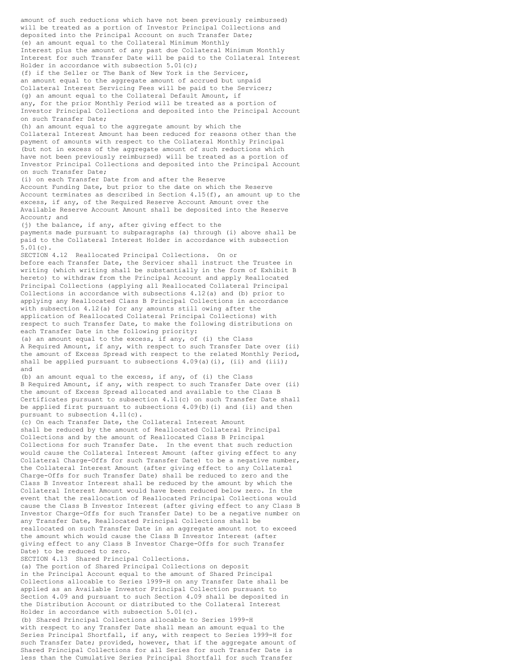amount of such reductions which have not been previously reimbursed) will be treated as a portion of Investor Principal Collections and deposited into the Principal Account on such Transfer Date; (e) an amount equal to the Collateral Minimum Monthly Interest plus the amount of any past due Collateral Minimum Monthly Interest for such Transfer Date will be paid to the Collateral Interest Holder in accordance with subsection 5.01(c); (f) if the Seller or The Bank of New York is the Servicer, an amount equal to the aggregate amount of accrued but unpaid Collateral Interest Servicing Fees will be paid to the Servicer; (g) an amount equal to the Collateral Default Amount, if any, for the prior Monthly Period will be treated as a portion of Investor Principal Collections and deposited into the Principal Account on such Transfer Date; (h) an amount equal to the aggregate amount by which the Collateral Interest Amount has been reduced for reasons other than the payment of amounts with respect to the Collateral Monthly Principal (but not in excess of the aggregate amount of such reductions which have not been previously reimbursed) will be treated as a portion of Investor Principal Collections and deposited into the Principal Account on such Transfer Date; (i) on each Transfer Date from and after the Reserve Account Funding Date, but prior to the date on which the Reserve Account terminates as described in Section 4.15(f), an amount up to the excess, if any, of the Required Reserve Account Amount over the Available Reserve Account Amount shall be deposited into the Reserve Account; and (j) the balance, if any, after giving effect to the payments made pursuant to subparagraphs (a) through (i) above shall be paid to the Collateral Interest Holder in accordance with subsection 5.01(c). SECTION 4.12 Reallocated Principal Collections. On or before each Transfer Date, the Servicer shall instruct the Trustee in writing (which writing shall be substantially in the form of Exhibit B hereto) to withdraw from the Principal Account and apply Reallocated Principal Collections (applying all Reallocated Collateral Principal Collections in accordance with subsections 4.12(a) and (b) prior to applying any Reallocated Class B Principal Collections in accordance with subsection 4.12(a) for any amounts still owing after the application of Reallocated Collateral Principal Collections) with respect to such Transfer Date, to make the following distributions on each Transfer Date in the following priority: (a) an amount equal to the excess, if any, of (i) the Class A Required Amount, if any, with respect to such Transfer Date over (ii) the amount of Excess Spread with respect to the related Monthly Period, shall be applied pursuant to subsections  $4.09(a)(i)$ , (ii) and (iii); and (b) an amount equal to the excess, if any, of (i) the Class B Required Amount, if any, with respect to such Transfer Date over (ii) the amount of Excess Spread allocated and available to the Class B Certificates pursuant to subsection 4.11(c) on such Transfer Date shall be applied first pursuant to subsections 4.09(b)(i) and (ii) and then pursuant to subsection 4.11(c). (c) On each Transfer Date, the Collateral Interest Amount shall be reduced by the amount of Reallocated Collateral Principal Collections and by the amount of Reallocated Class B Principal Collections for such Transfer Date. In the event that such reduction would cause the Collateral Interest Amount (after giving effect to any Collateral Charge-Offs for such Transfer Date) to be a negative number, the Collateral Interest Amount (after giving effect to any Collateral Charge-Offs for such Transfer Date) shall be reduced to zero and the Class B Investor Interest shall be reduced by the amount by which the Collateral Interest Amount would have been reduced below zero. In the event that the reallocation of Reallocated Principal Collections would cause the Class B Investor Interest (after giving effect to any Class B Investor Charge-Offs for such Transfer Date) to be a negative number on any Transfer Date, Reallocated Principal Collections shall be reallocated on such Transfer Date in an aggregate amount not to exceed the amount which would cause the Class B Investor Interest (after giving effect to any Class B Investor Charge-Offs for such Transfer Date) to be reduced to zero. SECTION 4.13 Shared Principal Collections. (a) The portion of Shared Principal Collections on deposit in the Principal Account equal to the amount of Shared Principal

Collections allocable to Series 1999-H on any Transfer Date shall be applied as an Available Investor Principal Collection pursuant to Section 4.09 and pursuant to such Section 4.09 shall be deposited in the Distribution Account or distributed to the Collateral Interest Holder in accordance with subsection 5.01(c).

(b) Shared Principal Collections allocable to Series 1999-H with respect to any Transfer Date shall mean an amount equal to the Series Principal Shortfall, if any, with respect to Series 1999-H for such Transfer Date; provided, however, that if the aggregate amount of Shared Principal Collections for all Series for such Transfer Date is less than the Cumulative Series Principal Shortfall for such Transfer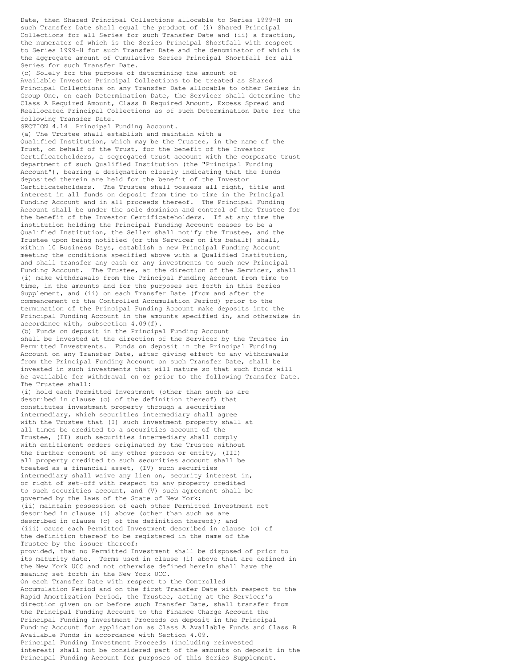Date, then Shared Principal Collections allocable to Series 1999-H on such Transfer Date shall equal the product of (i) Shared Principal Collections for all Series for such Transfer Date and (ii) a fraction, the numerator of which is the Series Principal Shortfall with respect to Series 1999-H for such Transfer Date and the denominator of which is the aggregate amount of Cumulative Series Principal Shortfall for all Series for such Transfer Date.

(c) Solely for the purpose of determining the amount of Available Investor Principal Collections to be treated as Shared Principal Collections on any Transfer Date allocable to other Series in Group One, on each Determination Date, the Servicer shall determine the Class A Required Amount, Class B Required Amount, Excess Spread and Reallocated Principal Collections as of such Determination Date for the following Transfer Date.

SECTION 4.14 Principal Funding Account.

(a) The Trustee shall establish and maintain with a Qualified Institution, which may be the Trustee, in the name of the Trust, on behalf of the Trust, for the benefit of the Investor Certificateholders, a segregated trust account with the corporate trust department of such Qualified Institution (the "Principal Funding Account"), bearing a designation clearly indicating that the funds deposited therein are held for the benefit of the Investor Certificateholders. The Trustee shall possess all right, title and interest in all funds on deposit from time to time in the Principal Funding Account and in all proceeds thereof. The Principal Funding Account shall be under the sole dominion and control of the Trustee for the benefit of the Investor Certificateholders. If at any time the institution holding the Principal Funding Account ceases to be a Qualified Institution, the Seller shall notify the Trustee, and the Trustee upon being notified (or the Servicer on its behalf) shall, within 10 Business Days, establish a new Principal Funding Account meeting the conditions specified above with a Qualified Institution, and shall transfer any cash or any investments to such new Principal Funding Account. The Trustee, at the direction of the Servicer, shall (i) make withdrawals from the Principal Funding Account from time to time, in the amounts and for the purposes set forth in this Series Supplement, and (ii) on each Transfer Date (from and after the commencement of the Controlled Accumulation Period) prior to the termination of the Principal Funding Account make deposits into the Principal Funding Account in the amounts specified in, and otherwise in accordance with, subsection 4.09(f).

(b) Funds on deposit in the Principal Funding Account shall be invested at the direction of the Servicer by the Trustee in Permitted Investments. Funds on deposit in the Principal Funding Account on any Transfer Date, after giving effect to any withdrawals from the Principal Funding Account on such Transfer Date, shall be invested in such investments that will mature so that such funds will be available for withdrawal on or prior to the following Transfer Date. The Trustee shall:

(i) hold each Permitted Investment (other than such as are described in clause (c) of the definition thereof) that constitutes investment property through a securities intermediary, which securities intermediary shall agree with the Trustee that (I) such investment property shall at all times be credited to a securities account of the Trustee, (II) such securities intermediary shall comply with entitlement orders originated by the Trustee without the further consent of any other person or entity, (III) all property credited to such securities account shall be treated as a financial asset, (IV) such securities intermediary shall waive any lien on, security interest in, or right of set-off with respect to any property credited to such securities account, and (V) such agreement shall be governed by the laws of the State of New York; (ii) maintain possession of each other Permitted Investment not described in clause (i) above (other than such as are described in clause (c) of the definition thereof); and (iii) cause each Permitted Investment described in clause (c) of the definition thereof to be registered in the name of the Trustee by the issuer thereof; provided, that no Permitted Investment shall be disposed of prior to its maturity date. Terms used in clause (i) above that are defined in the New York UCC and not otherwise defined herein shall have the meaning set forth in the New York UCC. On each Transfer Date with respect to the Controlled Accumulation Period and on the first Transfer Date with respect to the Rapid Amortization Period, the Trustee, acting at the Servicer's direction given on or before such Transfer Date, shall transfer from the Principal Funding Account to the Finance Charge Account the Principal Funding Investment Proceeds on deposit in the Principal Funding Account for application as Class A Available Funds and Class B Available Funds in accordance with Section 4.09. Principal Funding Investment Proceeds (including reinvested interest) shall not be considered part of the amounts on deposit in the Principal Funding Account for purposes of this Series Supplement.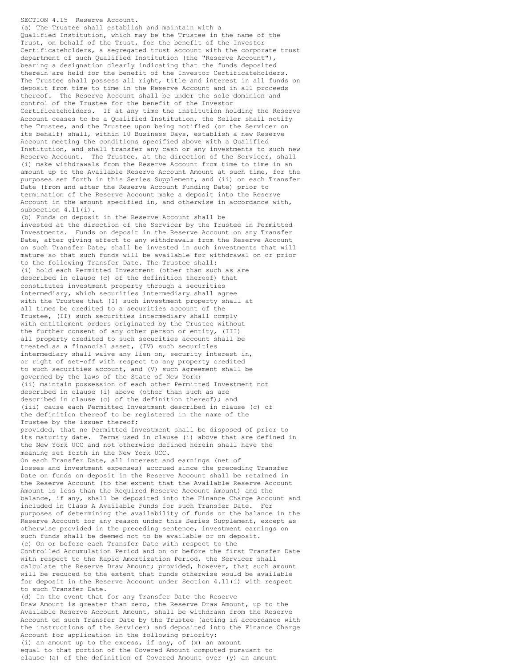SECTION 4.15 Reserve Account. (a) The Trustee shall establish and maintain with a Qualified Institution, which may be the Trustee in the name of the Trust, on behalf of the Trust, for the benefit of the Investor Certificateholders, a segregated trust account with the corporate trust department of such Qualified Institution (the "Reserve Account"), bearing a designation clearly indicating that the funds deposited therein are held for the benefit of the Investor Certificateholders. The Trustee shall possess all right, title and interest in all funds on deposit from time to time in the Reserve Account and in all proceeds thereof. The Reserve Account shall be under the sole dominion and control of the Trustee for the benefit of the Investor Certificateholders. If at any time the institution holding the Reserve Account ceases to be a Qualified Institution, the Seller shall notify the Trustee, and the Trustee upon being notified (or the Servicer on its behalf) shall, within 10 Business Days, establish a new Reserve Account meeting the conditions specified above with a Qualified Institution, and shall transfer any cash or any investments to such new Reserve Account. The Trustee, at the direction of the Servicer, shall (i) make withdrawals from the Reserve Account from time to time in an amount up to the Available Reserve Account Amount at such time, for the purposes set forth in this Series Supplement, and (ii) on each Transfer Date (from and after the Reserve Account Funding Date) prior to termination of the Reserve Account make a deposit into the Reserve Account in the amount specified in, and otherwise in accordance with, subsection 4.11(i). (b) Funds on deposit in the Reserve Account shall be invested at the direction of the Servicer by the Trustee in Permitted Investments. Funds on deposit in the Reserve Account on any Transfer Date, after giving effect to any withdrawals from the Reserve Account on such Transfer Date, shall be invested in such investments that will mature so that such funds will be available for withdrawal on or prior to the following Transfer Date. The Trustee shall: (i) hold each Permitted Investment (other than such as are described in clause (c) of the definition thereof) that constitutes investment property through a securities intermediary, which securities intermediary shall agree with the Trustee that (I) such investment property shall at all times be credited to a securities account of the Trustee, (II) such securities intermediary shall comply with entitlement orders originated by the Trustee without the further consent of any other person or entity, (III) all property credited to such securities account shall be treated as a financial asset, (IV) such securities intermediary shall waive any lien on, security interest in, or right of set-off with respect to any property credited to such securities account, and (V) such agreement shall be governed by the laws of the State of New York; (ii) maintain possession of each other Permitted Investment not described in clause (i) above (other than such as are described in clause (c) of the definition thereof); and (iii) cause each Permitted Investment described in clause (c) of the definition thereof to be registered in the name of the Trustee by the issuer thereof; provided, that no Permitted Investment shall be disposed of prior to its maturity date. Terms used in clause (i) above that are defined in the New York UCC and not otherwise defined herein shall have the meaning set forth in the New York UCC. On each Transfer Date, all interest and earnings (net of losses and investment expenses) accrued since the preceding Transfer Date on funds on deposit in the Reserve Account shall be retained in the Reserve Account (to the extent that the Available Reserve Account Amount is less than the Required Reserve Account Amount) and the balance, if any, shall be deposited into the Finance Charge Account and included in Class A Available Funds for such Transfer Date. For purposes of determining the availability of funds or the balance in the Reserve Account for any reason under this Series Supplement, except as otherwise provided in the preceding sentence, investment earnings on such funds shall be deemed not to be available or on deposit. (c) On or before each Transfer Date with respect to the Controlled Accumulation Period and on or before the first Transfer Date with respect to the Rapid Amortization Period, the Servicer shall calculate the Reserve Draw Amount; provided, however, that such amount will be reduced to the extent that funds otherwise would be available for deposit in the Reserve Account under Section 4.11(i) with respect to such Transfer Date. (d) In the event that for any Transfer Date the Reserve Draw Amount is greater than zero, the Reserve Draw Amount, up to the Available Reserve Account Amount, shall be withdrawn from the Reserve Account on such Transfer Date by the Trustee (acting in accordance with the instructions of the Servicer) and deposited into the Finance Charge Account for application in the following priority:

(i) an amount up to the excess, if any, of (x) an amount equal to that portion of the Covered Amount computed pursuant to clause (a) of the definition of Covered Amount over (y) an amount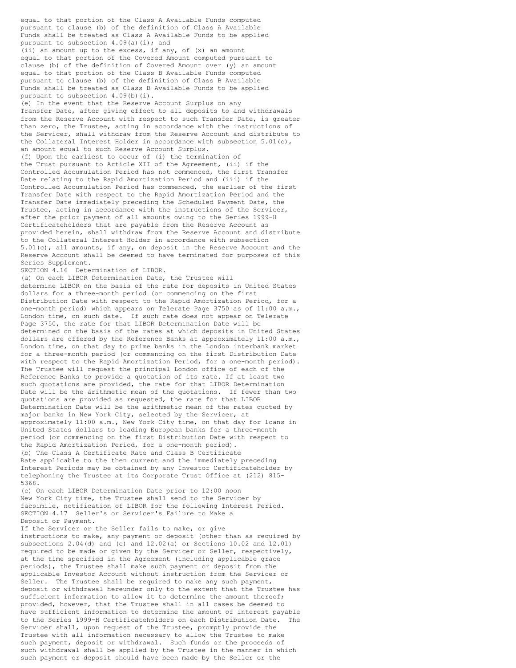equal to that portion of the Class A Available Funds computed pursuant to clause (b) of the definition of Class A Available Funds shall be treated as Class A Available Funds to be applied pursuant to subsection  $4.09(a)(i)$ ; and

(ii) an amount up to the excess, if any, of (x) an amount equal to that portion of the Covered Amount computed pursuant to clause (b) of the definition of Covered Amount over (y) an amount equal to that portion of the Class B Available Funds computed pursuant to clause (b) of the definition of Class B Available Funds shall be treated as Class B Available Funds to be applied pursuant to subsection 4.09(b)(i).

(e) In the event that the Reserve Account Surplus on any Transfer Date, after giving effect to all deposits to and withdrawals from the Reserve Account with respect to such Transfer Date, is greater than zero, the Trustee, acting in accordance with the instructions of the Servicer, shall withdraw from the Reserve Account and distribute to the Collateral Interest Holder in accordance with subsection 5.01(c), an amount equal to such Reserve Account Surplus.

(f) Upon the earliest to occur of (i) the termination of the Trust pursuant to Article XII of the Agreement, (ii) if the Controlled Accumulation Period has not commenced, the first Transfer Date relating to the Rapid Amortization Period and (iii) if the Controlled Accumulation Period has commenced, the earlier of the first Transfer Date with respect to the Rapid Amortization Period and the Transfer Date immediately preceding the Scheduled Payment Date, the Trustee, acting in accordance with the instructions of the Servicer, after the prior payment of all amounts owing to the Series 1999-H Certificateholders that are payable from the Reserve Account as provided herein, shall withdraw from the Reserve Account and distribute to the Collateral Interest Holder in accordance with subsection 5.01(c), all amounts, if any, on deposit in the Reserve Account and the Reserve Account shall be deemed to have terminated for purposes of this Series Supplement.

SECTION 4.16 Determination of LIBOR.

(a) On each LIBOR Determination Date, the Trustee will determine LIBOR on the basis of the rate for deposits in United States dollars for a three-month period (or commencing on the first Distribution Date with respect to the Rapid Amortization Period, for a one-month period) which appears on Telerate Page 3750 as of 11:00 a.m., London time, on such date. If such rate does not appear on Telerate Page 3750, the rate for that LIBOR Determination Date will be determined on the basis of the rates at which deposits in United States dollars are offered by the Reference Banks at approximately 11:00 a.m., London time, on that day to prime banks in the London interbank market for a three-month period (or commencing on the first Distribution Date with respect to the Rapid Amortization Period, for a one-month period). The Trustee will request the principal London office of each of the Reference Banks to provide a quotation of its rate. If at least two such quotations are provided, the rate for that LIBOR Determination Date will be the arithmetic mean of the quotations. If fewer than two quotations are provided as requested, the rate for that LIBOR Determination Date will be the arithmetic mean of the rates quoted by major banks in New York City, selected by the Servicer, at approximately 11:00 a.m., New York City time, on that day for loans in United States dollars to leading European banks for a three-month period (or commencing on the first Distribution Date with respect to the Rapid Amortization Period, for a one-month period). (b) The Class A Certificate Rate and Class B Certificate Rate applicable to the then current and the immediately preceding Interest Periods may be obtained by any Investor Certificateholder by telephoning the Trustee at its Corporate Trust Office at (212) 815- 5368.

(c) On each LIBOR Determination Date prior to 12:00 noon New York City time, the Trustee shall send to the Servicer by facsimile, notification of LIBOR for the following Interest Period. SECTION 4.17 Seller's or Servicer's Failure to Make a Deposit or Payment.

If the Servicer or the Seller fails to make, or give instructions to make, any payment or deposit (other than as required by subsections 2.04(d) and (e) and 12.02(a) or Sections 10.02 and 12.01) required to be made or given by the Servicer or Seller, respectively, at the time specified in the Agreement (including applicable grace periods), the Trustee shall make such payment or deposit from the applicable Investor Account without instruction from the Servicer or Seller. The Trustee shall be required to make any such payment, deposit or withdrawal hereunder only to the extent that the Trustee has sufficient information to allow it to determine the amount thereof; provided, however, that the Trustee shall in all cases be deemed to have sufficient information to determine the amount of interest payable to the Series 1999-H Certificateholders on each Distribution Date. The Servicer shall, upon request of the Trustee, promptly provide the Trustee with all information necessary to allow the Trustee to make such payment, deposit or withdrawal. Such funds or the proceeds of such withdrawal shall be applied by the Trustee in the manner in which such payment or deposit should have been made by the Seller or the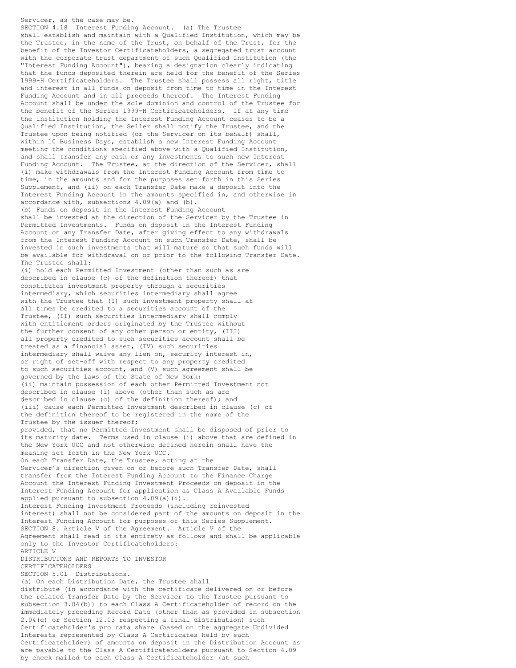SECTION 4.18 Interest Funding Account. (a) The Trustee shall establish and maintain with a Qualified Institution, which may be the Trustee, in the name of the Trust, on behalf of the Trust, for the benefit of the Investor Certificateholders, a segregated trust account with the corporate trust department of such Qualified Institution (the "Interest Funding Account"), bearing a designation clearly indicating that the funds deposited therein are held for the benefit of the Series 1999-H Certificateholders. The Trustee shall possess all right, title and interest in all funds on deposit from time to time in the Interest Funding Account and in all proceeds thereof. The Interest Funding Account shall be under the sole dominion and control of the Trustee for the benefit of the Series 1999-H Certificateholders. If at any time the institution holding the Interest Funding Account ceases to be a Qualified Institution, the Seller shall notify the Trustee, and the Trustee upon being notified (or the Servicer on its behalf) shall, within 10 Business Days, establish a new Interest Funding Account meeting the conditions specified above with a Qualified Institution, and shall transfer any cash or any investments to such new Interest Funding Account. The Trustee, at the direction of the Servicer, shall (i) make withdrawals from the Interest Funding Account from time to time, in the amounts and for the purposes set forth in this Series Supplement, and (ii) on each Transfer Date make a deposit into the Interest Funding Account in the amounts specified in, and otherwise in accordance with, subsections 4.09(a) and (b). (b) Funds on deposit in the Interest Funding Account shall be invested at the direction of the Servicer by the Trustee in Permitted Investments. Funds on deposit in the Interest Funding Account on any Transfer Date, after giving effect to any withdrawals from the Interest Funding Account on such Transfer Date, shall be invested in such investments that will mature so that such funds will be available for withdrawal on or prior to the following Transfer Date. The Trustee shall: (i) hold each Permitted Investment (other than such as are described in clause (c) of the definition thereof) that constitutes investment property through a securities intermediary, which securities intermediary shall agree with the Trustee that (I) such investment property shall at all times be credited to a securities account of the Trustee, (II) such securities intermediary shall comply with entitlement orders originated by the Trustee without the further consent of any other person or entity, (III) all property credited to such securities account shall be treated as a financial asset, (IV) such securities intermediary shall waive any lien on, security interest in, or right of set-off with respect to any property credited to such securities account, and (V) such agreement shall be governed by the laws of the State of New York; (ii) maintain possession of each other Permitted Investment not described in clause (i) above (other than such as are described in clause (c) of the definition thereof); and (iii) cause each Permitted Investment described in clause (c) of the definition thereof to be registered in the name of the Trustee by the issuer thereof; provided, that no Permitted Investment shall be disposed of prior to its maturity date. Terms used in clause (i) above that are defined in the New York UCC and not otherwise defined herein shall have the meaning set forth in the New York UCC. On each Transfer Date, the Trustee, acting at the Servicer's direction given on or before such Transfer Date, shall transfer from the Interest Funding Account to the Finance Charge Account the Interest Funding Investment Proceeds on deposit in the Interest Funding Account for application as Class A Available Funds applied pursuant to subsection 4.09(a)(i). Interest Funding Investment Proceeds (including reinvested interest) shall not be considered part of the amounts on deposit in the Interest Funding Account for purposes of this Series Supplement. SECTION 8. Article V of the Agreement. Article V of the Agreement shall read in its entirety as follows and shall be applicable only to the Investor Certificateholders: ARTICLE V DISTRIBUTIONS AND REPORTS TO INVESTOR CERTIFICATEHOLDERS SECTION 5.01 Distributions. (a) On each Distribution Date, the Trustee shall distribute (in accordance with the certificate delivered on or before the related Transfer Date by the Servicer to the Trustee pursuant to subsection 3.04(b)) to each Class A Certificateholder of record on the immediately preceding Record Date (other than as provided in subsection 2.04(e) or Section 12.03 respecting a final distribution) such Certificateholder's pro rata share (based on the aggregate Undivided Interests represented by Class A Certificates held by such Certificateholder) of amounts on deposit in the Distribution Account as are payable to the Class A Certificateholders pursuant to Section 4.09

by check mailed to each Class A Certificateholder (at such

Servicer, as the case may be.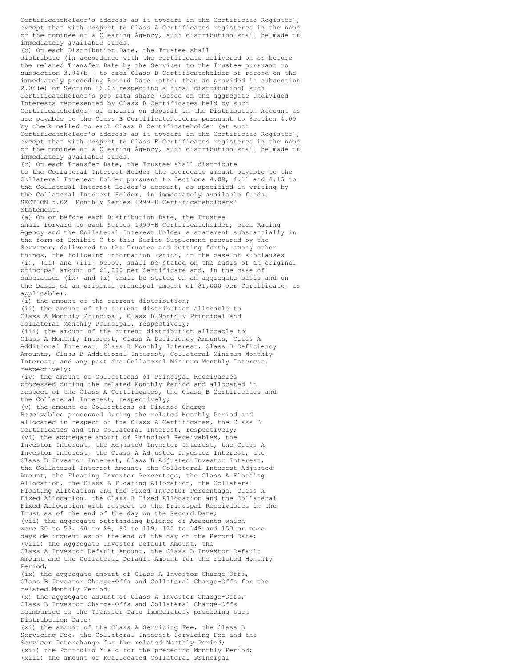Certificateholder's address as it appears in the Certificate Register), except that with respect to Class A Certificates registered in the name of the nominee of a Clearing Agency, such distribution shall be made in immediately available funds.

(b) On each Distribution Date, the Trustee shall distribute (in accordance with the certificate delivered on or before the related Transfer Date by the Servicer to the Trustee pursuant to subsection 3.04(b)) to each Class B Certificateholder of record on the immediately preceding Record Date (other than as provided in subsection 2.04(e) or Section 12.03 respecting a final distribution) such Certificateholder's pro rata share (based on the aggregate Undivided Interests represented by Class B Certificates held by such Certificateholder) of amounts on deposit in the Distribution Account as are payable to the Class B Certificateholders pursuant to Section 4.09 by check mailed to each Class B Certificateholder (at such Certificateholder's address as it appears in the Certificate Register), except that with respect to Class B Certificates registered in the name of the nominee of a Clearing Agency, such distribution shall be made in immediately available funds.

(c) On each Transfer Date, the Trustee shall distribute to the Collateral Interest Holder the aggregate amount payable to the Collateral Interest Holder pursuant to Sections 4.09, 4.11 and 4.15 to the Collateral Interest Holder's account, as specified in writing by the Collateral Interest Holder, in immediately available funds. SECTION 5.02 Monthly Series 1999-H Certificateholders' Statement.

(a) On or before each Distribution Date, the Trustee shall forward to each Series 1999-H Certificateholder, each Rating Agency and the Collateral Interest Holder a statement substantially in the form of Exhibit C to this Series Supplement prepared by the Servicer, delivered to the Trustee and setting forth, among other things, the following information (which, in the case of subclauses (i), (ii) and (iii) below, shall be stated on the basis of an original principal amount of \$1,000 per Certificate and, in the case of subclauses (ix) and (x) shall be stated on an aggregate basis and on the basis of an original principal amount of \$1,000 per Certificate, as applicable):

(i) the amount of the current distribution; (ii) the amount of the current distribution allocable to Class A Monthly Principal, Class B Monthly Principal and Collateral Monthly Principal, respectively; (iii) the amount of the current distribution allocable to Class A Monthly Interest, Class A Deficiency Amounts, Class A Additional Interest, Class B Monthly Interest, Class B Deficiency Amounts, Class B Additional Interest, Collateral Minimum Monthly

Interest, and any past due Collateral Minimum Monthly Interest, respectively; (iv) the amount of Collections of Principal Receivables

processed during the related Monthly Period and allocated in respect of the Class A Certificates, the Class B Certificates and the Collateral Interest, respectively; (v) the amount of Collections of Finance Charge

Receivables processed during the related Monthly Period and allocated in respect of the Class A Certificates, the Class B Certificates and the Collateral Interest, respectively; (vi) the aggregate amount of Principal Receivables, the Investor Interest, the Adjusted Investor Interest, the Class A Investor Interest, the Class A Adjusted Investor Interest, the Class B Investor Interest, Class B Adjusted Investor Interest, the Collateral Interest Amount, the Collateral Interest Adjusted Amount, the Floating Investor Percentage, the Class A Floating Allocation, the Class B Floating Allocation, the Collateral Floating Allocation and the Fixed Investor Percentage, Class A Fixed Allocation, the Class B Fixed Allocation and the Collateral Fixed Allocation with respect to the Principal Receivables in the Trust as of the end of the day on the Record Date; (vii) the aggregate outstanding balance of Accounts which were 30 to 59, 60 to 89, 90 to 119, 120 to 149 and 150 or more days delinquent as of the end of the day on the Record Date; (viii) the Aggregate Investor Default Amount, the Class A Investor Default Amount, the Class B Investor Default Amount and the Collateral Default Amount for the related Monthly Period;

(ix) the aggregate amount of Class A Investor Charge-Offs, Class B Investor Charge-Offs and Collateral Charge-Offs for the related Monthly Period;

(x) the aggregate amount of Class A Investor Charge-Offs, Class B Investor Charge-Offs and Collateral Charge-Offs reimbursed on the Transfer Date immediately preceding such Distribution Date;

(xi) the amount of the Class A Servicing Fee, the Class B Servicing Fee, the Collateral Interest Servicing Fee and the Servicer Interchange for the related Monthly Period; (xii) the Portfolio Yield for the preceding Monthly Period; (xiii) the amount of Reallocated Collateral Principal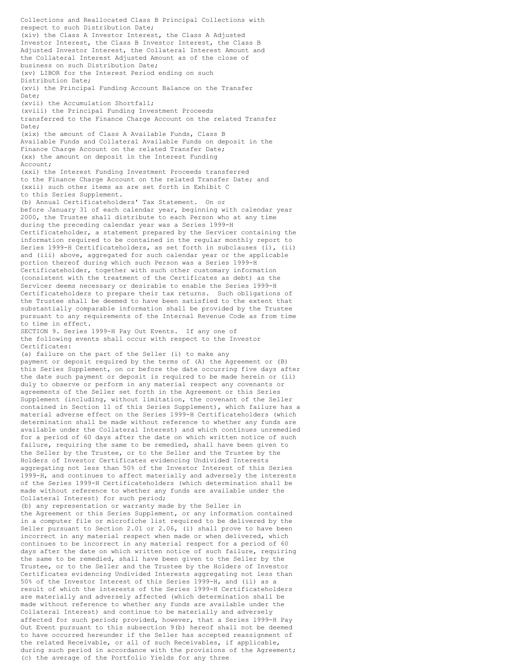respect to such Distribution Date; (xiv) the Class A Investor Interest, the Class A Adjusted Investor Interest, the Class B Investor Interest, the Class B Adjusted Investor Interest, the Collateral Interest Amount and the Collateral Interest Adjusted Amount as of the close of business on such Distribution Date; (xv) LIBOR for the Interest Period ending on such Distribution Date; (xvi) the Principal Funding Account Balance on the Transfer Date; (xvii) the Accumulation Shortfall; (xviii) the Principal Funding Investment Proceeds transferred to the Finance Charge Account on the related Transfer Date; (xix) the amount of Class A Available Funds, Class B Available Funds and Collateral Available Funds on deposit in the Finance Charge Account on the related Transfer Date; (xx) the amount on deposit in the Interest Funding Account; (xxi) the Interest Funding Investment Proceeds transferred to the Finance Charge Account on the related Transfer Date; and (xxii) such other items as are set forth in Exhibit C to this Series Supplement. (b) Annual Certificateholders' Tax Statement. On or before January 31 of each calendar year, beginning with calendar year 2000, the Trustee shall distribute to each Person who at any time during the preceding calendar year was a Series 1999-H Certificateholder, a statement prepared by the Servicer containing the information required to be contained in the regular monthly report to Series 1999-H Certificateholders, as set forth in subclauses (i), (ii) and (iii) above, aggregated for such calendar year or the applicable portion thereof during which such Person was a Series 1999-H Certificateholder, together with such other customary information (consistent with the treatment of the Certificates as debt) as the Servicer deems necessary or desirable to enable the Series 1999-H Certificateholders to prepare their tax returns. Such obligations of the Trustee shall be deemed to have been satisfied to the extent that substantially comparable information shall be provided by the Trustee pursuant to any requirements of the Internal Revenue Code as from time to time in effect. SECTION 9. Series 1999-H Pay Out Events. If any one of the following events shall occur with respect to the Investor Certificates: (a) failure on the part of the Seller (i) to make any payment or deposit required by the terms of (A) the Agreement or (B) this Series Supplement, on or before the date occurring five days after the date such payment or deposit is required to be made herein or (ii) duly to observe or perform in any material respect any covenants or agreements of the Seller set forth in the Agreement or this Series Supplement (including, without limitation, the covenant of the Seller contained in Section 11 of this Series Supplement), which failure has a material adverse effect on the Series 1999-H Certificateholders (which determination shall be made without reference to whether any funds are available under the Collateral Interest) and which continues unremedied for a period of 60 days after the date on which written notice of such failure, requiring the same to be remedied, shall have been given to the Seller by the Trustee, or to the Seller and the Trustee by the Holders of Investor Certificates evidencing Undivided Interests aggregating not less than 50% of the Investor Interest of this Series 1999-H, and continues to affect materially and adversely the interests of the Series 1999-H Certificateholders (which determination shall be made without reference to whether any funds are available under the Collateral Interest) for such period; (b) any representation or warranty made by the Seller in the Agreement or this Series Supplement, or any information contained in a computer file or microfiche list required to be delivered by the Seller pursuant to Section 2.01 or 2.06, (i) shall prove to have been incorrect in any material respect when made or when delivered, which continues to be incorrect in any material respect for a period of 60 days after the date on which written notice of such failure, requiring the same to be remedied, shall have been given to the Seller by the Trustee, or to the Seller and the Trustee by the Holders of Investor Certificates evidencing Undivided Interests aggregating not less than 50% of the Investor Interest of this Series 1999-H, and (ii) as a result of which the interests of the Series 1999-H Certificateholders are materially and adversely affected (which determination shall be made without reference to whether any funds are available under the Collateral Interest) and continue to be materially and adversely affected for such period; provided, however, that a Series 1999-H Pay Out Event pursuant to this subsection 9(b) hereof shall not be deemed to have occurred hereunder if the Seller has accepted reassignment of the related Receivable, or all of such Receivables, if applicable, during such period in accordance with the provisions of the Agreement; (c) the average of the Portfolio Yields for any three

Collections and Reallocated Class B Principal Collections with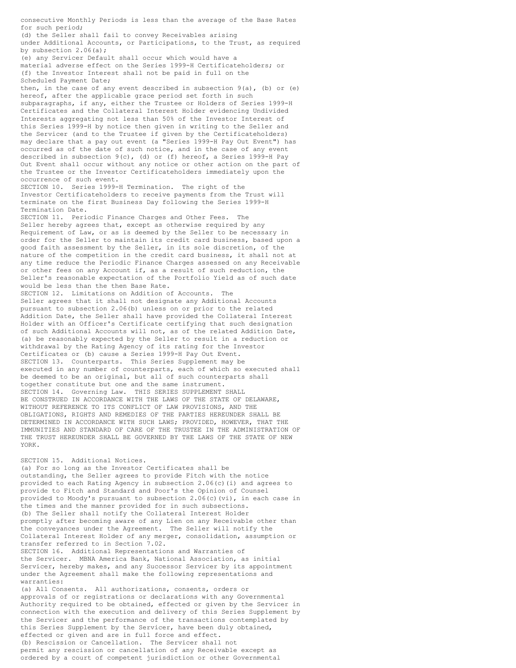consecutive Monthly Periods is less than the average of the Base Rates for such period; (d) the Seller shall fail to convey Receivables arising under Additional Accounts, or Participations, to the Trust, as required by subsection 2.06(a); (e) any Servicer Default shall occur which would have a material adverse effect on the Series 1999-H Certificateholders; or (f) the Investor Interest shall not be paid in full on the Scheduled Payment Date; then, in the case of any event described in subsection  $9(a)$ , (b) or (e) hereof, after the applicable grace period set forth in such subparagraphs, if any, either the Trustee or Holders of Series 1999-H Certificates and the Collateral Interest Holder evidencing Undivided Interests aggregating not less than 50% of the Investor Interest of this Series 1999-H by notice then given in writing to the Seller and the Servicer (and to the Trustee if given by the Certificateholders) may declare that a pay out event (a "Series 1999-H Pay Out Event") has occurred as of the date of such notice, and in the case of any event described in subsection 9(c), (d) or (f) hereof, a Series 1999-H Pay Out Event shall occur without any notice or other action on the part of the Trustee or the Investor Certificateholders immediately upon the occurrence of such event. SECTION 10. Series 1999-H Termination. The right of the Investor Certificateholders to receive payments from the Trust will terminate on the first Business Day following the Series 1999-H Termination Date. SECTION 11. Periodic Finance Charges and Other Fees. The Seller hereby agrees that, except as otherwise required by any Requirement of Law, or as is deemed by the Seller to be necessary in order for the Seller to maintain its credit card business, based upon a good faith assessment by the Seller, in its sole discretion, of the nature of the competition in the credit card business, it shall not at any time reduce the Periodic Finance Charges assessed on any Receivable or other fees on any Account if, as a result of such reduction, the Seller's reasonable expectation of the Portfolio Yield as of such date would be less than the then Base Rate. SECTION 12. Limitations on Addition of Accounts. The Seller agrees that it shall not designate any Additional Accounts pursuant to subsection 2.06(b) unless on or prior to the related Addition Date, the Seller shall have provided the Collateral Interest Holder with an Officer's Certificate certifying that such designation of such Additional Accounts will not, as of the related Addition Date, (a) be reasonably expected by the Seller to result in a reduction or withdrawal by the Rating Agency of its rating for the Investor Certificates or (b) cause a Series 1999-H Pay Out Event. SECTION 13. Counterparts. This Series Supplement may be executed in any number of counterparts, each of which so executed shall be deemed to be an original, but all of such counterparts shall together constitute but one and the same instrument. SECTION 14. Governing Law. THIS SERIES SUPPLEMENT SHALL BE CONSTRUED IN ACCORDANCE WITH THE LAWS OF THE STATE OF DELAWARE, WITHOUT REFERENCE TO ITS CONFLICT OF LAW PROVISIONS, AND THE OBLIGATIONS, RIGHTS AND REMEDIES OF THE PARTIES HEREUNDER SHALL BE DETERMINED IN ACCORDANCE WITH SUCH LAWS; PROVIDED, HOWEVER, THAT THE IMMUNITIES AND STANDARD OF CARE OF THE TRUSTEE IN THE ADMINISTRATION OF THE TRUST HEREUNDER SHALL BE GOVERNED BY THE LAWS OF THE STATE OF NEW YORK.

### SECTION 15. Additional Notices.

(a) For so long as the Investor Certificates shall be outstanding, the Seller agrees to provide Fitch with the notice provided to each Rating Agency in subsection 2.06(c)(i) and agrees to provide to Fitch and Standard and Poor's the Opinion of Counsel provided to Moody's pursuant to subsection 2.06(c)(vi), in each case in the times and the manner provided for in such subsections. (b) The Seller shall notify the Collateral Interest Holder promptly after becoming aware of any Lien on any Receivable other than the conveyances under the Agreement. The Seller will notify the Collateral Interest Holder of any merger, consolidation, assumption or transfer referred to in Section 7.02. SECTION 16. Additional Representations and Warranties of

the Servicer. MBNA America Bank, National Association, as initial Servicer, hereby makes, and any Successor Servicer by its appointment under the Agreement shall make the following representations and warranties:

(a) All Consents. All authorizations, consents, orders or approvals of or registrations or declarations with any Governmental Authority required to be obtained, effected or given by the Servicer in connection with the execution and delivery of this Series Supplement by the Servicer and the performance of the transactions contemplated by this Series Supplement by the Servicer, have been duly obtained, effected or given and are in full force and effect. (b) Rescission or Cancellation. The Servicer shall not permit any rescission or cancellation of any Receivable except as ordered by a court of competent jurisdiction or other Governmental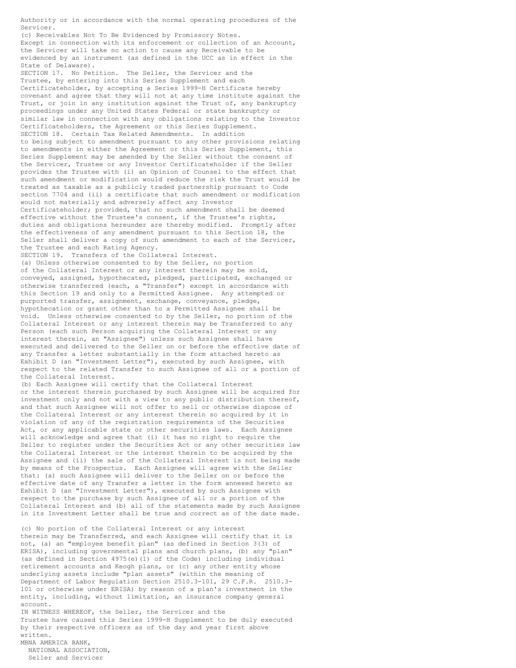Authority or in accordance with the normal operating procedures of the Servicer.

(c) Receivables Not To Be Evidenced by Promissory Notes. Except in connection with its enforcement or collection of an Account, the Servicer will take no action to cause any Receivable to be evidenced by an instrument (as defined in the UCC as in effect in the State of Delaware). SECTION 17. No Petition. The Seller, the Servicer and the Trustee, by entering into this Series Supplement and each

Certificateholder, by accepting a Series 1999-H Certificate hereby covenant and agree that they will not at any time institute against the Trust, or join in any institution against the Trust of, any bankruptcy proceedings under any United States Federal or state bankruptcy or similar law in connection with any obligations relating to the Investor Certificateholders, the Agreement or this Series Supplement. SECTION 18. Certain Tax Related Amendments. In addition to being subject to amendment pursuant to any other provisions relating to amendments in either the Agreement or this Series Supplement, this Series Supplement may be amended by the Seller without the consent of the Servicer, Trustee or any Investor Certificateholder if the Seller provides the Trustee with (i) an Opinion of Counsel to the effect that such amendment or modification would reduce the risk the Trust would be treated as taxable as a publicly traded partnership pursuant to Code section 7704 and (ii) a certificate that such amendment or modification would not materially and adversely affect any Investor Certificateholder; provided, that no such amendment shall be deemed effective without the Trustee's consent, if the Trustee's rights, duties and obligations hereunder are thereby modified. Promptly after the effectiveness of any amendment pursuant to this Section 18, the Seller shall deliver a copy of such amendment to each of the Servicer, the Trustee and each Rating Agency.

SECTION 19. Transfers of the Collateral Interest.

(a) Unless otherwise consented to by the Seller, no portion of the Collateral Interest or any interest therein may be sold, conveyed, assigned, hypothecated, pledged, participated, exchanged or otherwise transferred (each, a "Transfer") except in accordance with this Section 19 and only to a Permitted Assignee. Any attempted or purported transfer, assignment, exchange, conveyance, pledge, hypothecation or grant other than to a Permitted Assignee shall be void. Unless otherwise consented to by the Seller, no portion of the Collateral Interest or any interest therein may be Transferred to any Person (each such Person acquiring the Collateral Interest or any interest therein, an "Assignee") unless such Assignee shall have executed and delivered to the Seller on or before the effective date of any Transfer a letter substantially in the form attached hereto as Exhibit D (an "Investment Letter"), executed by such Assignee, with respect to the related Transfer to such Assignee of all or a portion of the Collateral Interest.

(b) Each Assignee will certify that the Collateral Interest or the interest therein purchased by such Assignee will be acquired for investment only and not with a view to any public distribution thereof, and that such Assignee will not offer to sell or otherwise dispose of the Collateral Interest or any interest therein so acquired by it in violation of any of the registration requirements of the Securities Act, or any applicable state or other securities laws. Each Assignee will acknowledge and agree that (i) it has no right to require the Seller to register under the Securities Act or any other securities law the Collateral Interest or the interest therein to be acquired by the Assignee and (ii) the sale of the Collateral Interest is not being made by means of the Prospectus. Each Assignee will agree with the Seller that: (a) such Assignee will deliver to the Seller on or before the effective date of any Transfer a letter in the form annexed hereto as Exhibit D (an "Investment Letter"), executed by such Assignee with respect to the purchase by such Assignee of all or a portion of the Collateral Interest and (b) all of the statements made by such Assignee in its Investment Letter shall be true and correct as of the date made.

(c) No portion of the Collateral Interest or any interest therein may be Transferred, and each Assignee will certify that it is not, (a) an "employee benefit plan" (as defined in Section 3(3) of ERISA), including governmental plans and church plans, (b) any "plan" (as defined in Section 4975(e)(1) of the Code) including individual retirement accounts and Keogh plans, or (c) any other entity whose underlying assets include "plan assets" (within the meaning of Department of Labor Regulation Section 2510.3-101, 29 C.F.R. 2510.3- 101 or otherwise under ERISA) by reason of a plan's investment in the entity, including, without limitation, an insurance company general account.

IN WITNESS WHEREOF, the Seller, the Servicer and the Trustee have caused this Series 1999-H Supplement to be duly executed by their respective officers as of the day and year first above written. MBNA AMERICA BANK,

NATIONAL ASSOCIATION, Seller and Servicer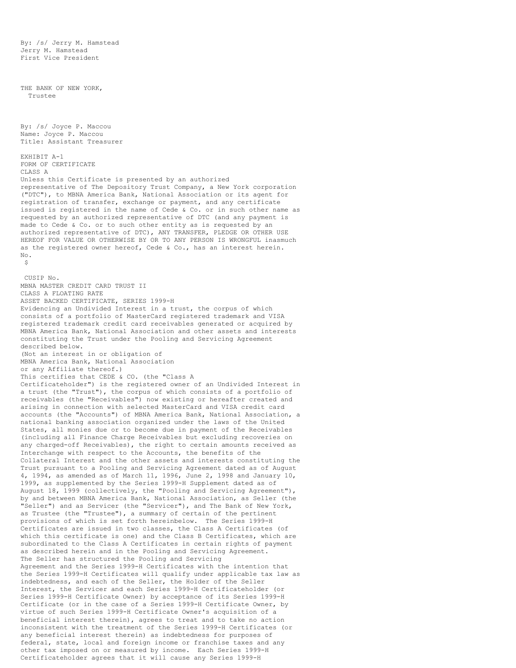By: /s/ Jerry M. Hamstead Jerry M. Hamstead First Vice President

THE BANK OF NEW YORK, Trustee

By: /s/ Joyce P. Maccou Name: Joyce P. Maccou Title: Assistant Treasurer

EXHIBIT A-1 FORM OF CERTIFICATE CLASS A Unless this Certificate is presented by an authorized representative of The Depository Trust Company, a New York corporation ("DTC"), to MBNA America Bank, National Association or its agent for registration of transfer, exchange or payment, and any certificate issued is registered in the name of Cede & Co. or in such other name as requested by an authorized representative of DTC (and any payment is made to Cede & Co. or to such other entity as is requested by an authorized representative of DTC), ANY TRANSFER, PLEDGE OR OTHER USE HEREOF FOR VALUE OR OTHERWISE BY OR TO ANY PERSON IS WRONGFUL inasmuch as the registered owner hereof, Cede & Co., has an interest herein.  $N_{\Omega}$ .  $\mathsf{S}$ CUSIP No. MBNA MASTER CREDIT CARD TRUST II CLASS A FLOATING RATE ASSET BACKED CERTIFICATE, SERIES 1999-H Evidencing an Undivided Interest in a trust, the corpus of which consists of a portfolio of MasterCard registered trademark and VISA registered trademark credit card receivables generated or acquired by MBNA America Bank, National Association and other assets and interests constituting the Trust under the Pooling and Servicing Agreement described below. (Not an interest in or obligation of MBNA America Bank, National Association or any Affiliate thereof.) This certifies that CEDE & CO. (the "Class A Certificateholder") is the registered owner of an Undivided Interest in a trust (the "Trust"), the corpus of which consists of a portfolio of receivables (the "Receivables") now existing or hereafter created and arising in connection with selected MasterCard and VISA credit card accounts (the "Accounts") of MBNA America Bank, National Association, a national banking association organized under the laws of the United States, all monies due or to become due in payment of the Receivables (including all Finance Charge Receivables but excluding recoveries on any charged-off Receivables), the right to certain amounts received as Interchange with respect to the Accounts, the benefits of the Collateral Interest and the other assets and interests constituting the Trust pursuant to a Pooling and Servicing Agreement dated as of August 4, 1994, as amended as of March 11, 1996, June 2, 1998 and January 10, 1999, as supplemented by the Series 1999-H Supplement dated as of August 18, 1999 (collectively, the "Pooling and Servicing Agreement"), by and between MBNA America Bank, National Association, as Seller (the "Seller") and as Servicer (the "Servicer"), and The Bank of New York, as Trustee (the "Trustee"), a summary of certain of the pertinent provisions of which is set forth hereinbelow. The Series 1999-H Certificates are issued in two classes, the Class A Certificates (of which this certificate is one) and the Class B Certificates, which are subordinated to the Class A Certificates in certain rights of payment as described herein and in the Pooling and Servicing Agreement. The Seller has structured the Pooling and Servicing Agreement and the Series 1999-H Certificates with the intention that the Series 1999-H Certificates will qualify under applicable tax law as indebtedness, and each of the Seller, the Holder of the Seller Interest, the Servicer and each Series 1999-H Certificateholder (or Series 1999-H Certificate Owner) by acceptance of its Series 1999-H Certificate (or in the case of a Series 1999-H Certificate Owner, by virtue of such Series 1999-H Certificate Owner's acquisition of a beneficial interest therein), agrees to treat and to take no action inconsistent with the treatment of the Series 1999-H Certificates (or any beneficial interest therein) as indebtedness for purposes of federal, state, local and foreign income or franchise taxes and any other tax imposed on or measured by income. Each Series 1999-H Certificateholder agrees that it will cause any Series 1999-H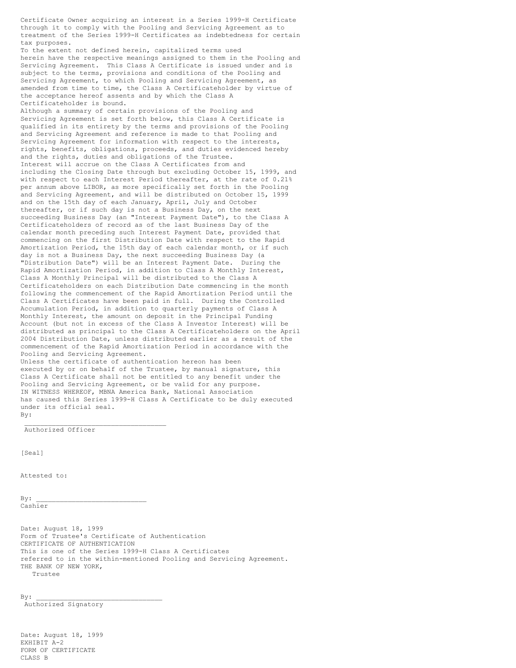Certificate Owner acquiring an interest in a Series 1999-H Certificate through it to comply with the Pooling and Servicing Agreement as to treatment of the Series 1999-H Certificates as indebtedness for certain tax purposes.

To the extent not defined herein, capitalized terms used herein have the respective meanings assigned to them in the Pooling and Servicing Agreement. This Class A Certificate is issued under and is subject to the terms, provisions and conditions of the Pooling and Servicing Agreement, to which Pooling and Servicing Agreement, as amended from time to time, the Class A Certificateholder by virtue of the acceptance hereof assents and by which the Class A Certificateholder is bound.

Although a summary of certain provisions of the Pooling and Servicing Agreement is set forth below, this Class A Certificate is qualified in its entirety by the terms and provisions of the Pooling and Servicing Agreement and reference is made to that Pooling and Servicing Agreement for information with respect to the interests, rights, benefits, obligations, proceeds, and duties evidenced hereby and the rights, duties and obligations of the Trustee. Interest will accrue on the Class A Certificates from and including the Closing Date through but excluding October 15, 1999, and with respect to each Interest Period thereafter, at the rate of 0.21% per annum above LIBOR, as more specifically set forth in the Pooling and Servicing Agreement, and will be distributed on October 15, 1999 and on the 15th day of each January, April, July and October thereafter, or if such day is not a Business Day, on the next succeeding Business Day (an "Interest Payment Date"), to the Class A Certificateholders of record as of the last Business Day of the calendar month preceding such Interest Payment Date, provided that commencing on the first Distribution Date with respect to the Rapid Amortization Period, the 15th day of each calendar month, or if such day is not a Business Day, the next succeeding Business Day (a "Distribution Date") will be an Interest Payment Date. During the Rapid Amortization Period, in addition to Class A Monthly Interest, Class A Monthly Principal will be distributed to the Class A Certificateholders on each Distribution Date commencing in the month following the commencement of the Rapid Amortization Period until the Class A Certificates have been paid in full. During the Controlled Accumulation Period, in addition to quarterly payments of Class A Monthly Interest, the amount on deposit in the Principal Funding Account (but not in excess of the Class A Investor Interest) will be distributed as principal to the Class A Certificateholders on the April 2004 Distribution Date, unless distributed earlier as a result of the commencement of the Rapid Amortization Period in accordance with the Pooling and Servicing Agreement. Unless the certificate of authentication hereon has been executed by or on behalf of the Trustee, by manual signature, this Class A Certificate shall not be entitled to any benefit under the

Pooling and Servicing Agreement, or be valid for any purpose. IN WITNESS WHEREOF, MBNA America Bank, National Association has caused this Series 1999-H Class A Certificate to be duly executed under its official seal. By:

\_\_\_\_\_\_\_\_\_\_\_\_\_\_\_\_\_\_\_\_\_\_\_\_\_\_\_\_\_\_\_\_\_\_\_\_ Authorized Officer

[Seal]

Attested to:

 $\mathbf{By:}$ Cashier

Date: August 18, 1999

Form of Trustee's Certificate of Authentication CERTIFICATE OF AUTHENTICATION This is one of the Series 1999-H Class A Certificates referred to in the within-mentioned Pooling and Servicing Agreement. THE BANK OF NEW YORK, Trustee

 $\mathbf{By:}$ Authorized Signatory

Date: August 18, 1999 EXHIBIT A-2 FORM OF CERTIFICATE CLASS B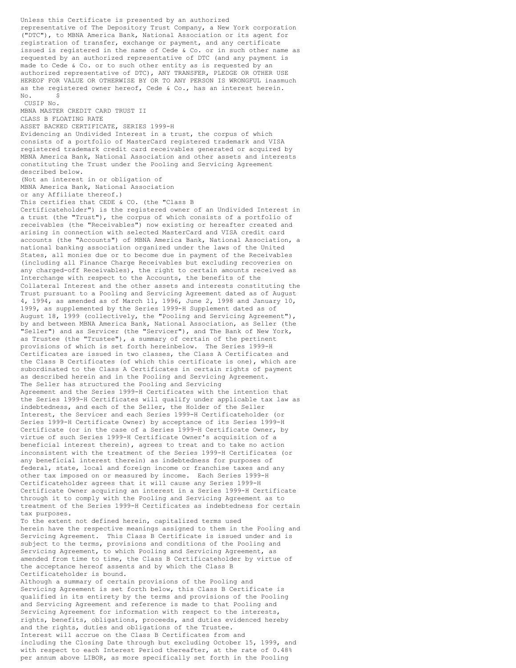Unless this Certificate is presented by an authorized representative of The Depository Trust Company, a New York corporation ("DTC"), to MBNA America Bank, National Association or its agent for registration of transfer, exchange or payment, and any certificate issued is registered in the name of Cede & Co. or in such other name as requested by an authorized representative of DTC (and any payment is made to Cede & Co. or to such other entity as is requested by an authorized representative of DTC), ANY TRANSFER, PLEDGE OR OTHER USE HEREOF FOR VALUE OR OTHERWISE BY OR TO ANY PERSON IS WRONGFUL inasmuch as the registered owner hereof, Cede & Co., has an interest herein.  $No. S$ CUSIP No. MBNA MASTER CREDIT CARD TRUST II CLASS B FLOATING RATE ASSET BACKED CERTIFICATE, SERIES 1999-H Evidencing an Undivided Interest in a trust, the corpus of which consists of a portfolio of MasterCard registered trademark and VISA registered trademark credit card receivables generated or acquired by MBNA America Bank, National Association and other assets and interests constituting the Trust under the Pooling and Servicing Agreement described below. (Not an interest in or obligation of MBNA America Bank, National Association or any Affiliate thereof.) This certifies that CEDE & CO. (the "Class B Certificateholder") is the registered owner of an Undivided Interest in a trust (the "Trust"), the corpus of which consists of a portfolio of receivables (the "Receivables") now existing or hereafter created and arising in connection with selected MasterCard and VISA credit card accounts (the "Accounts") of MBNA America Bank, National Association, a national banking association organized under the laws of the United States, all monies due or to become due in payment of the Receivables (including all Finance Charge Receivables but excluding recoveries on any charged-off Receivables), the right to certain amounts received as Interchange with respect to the Accounts, the benefits of the Collateral Interest and the other assets and interests constituting the Trust pursuant to a Pooling and Servicing Agreement dated as of August 4, 1994, as amended as of March 11, 1996, June 2, 1998 and January 10, 1999, as supplemented by the Series 1999-H Supplement dated as of August 18, 1999 (collectively, the "Pooling and Servicing Agreement"), by and between MBNA America Bank, National Association, as Seller (the "Seller") and as Servicer (the "Servicer"), and The Bank of New York, as Trustee (the "Trustee"), a summary of certain of the pertinent provisions of which is set forth hereinbelow. The Series 1999-H Certificates are issued in two classes, the Class A Certificates and the Class B Certificates (of which this certificate is one), which are subordinated to the Class A Certificates in certain rights of payment as described herein and in the Pooling and Servicing Agreement. The Seller has structured the Pooling and Servicing Agreement and the Series 1999-H Certificates with the intention that the Series 1999-H Certificates will qualify under applicable tax law as indebtedness, and each of the Seller, the Holder of the Seller Interest, the Servicer and each Series 1999-H Certificateholder (or Series 1999-H Certificate Owner) by acceptance of its Series 1999-H Certificate (or in the case of a Series 1999-H Certificate Owner, by virtue of such Series 1999-H Certificate Owner's acquisition of a beneficial interest therein), agrees to treat and to take no action inconsistent with the treatment of the Series 1999-H Certificates (or any beneficial interest therein) as indebtedness for purposes of federal, state, local and foreign income or franchise taxes and any other tax imposed on or measured by income. Each Series 1999-H Certificateholder agrees that it will cause any Series 1999-H Certificate Owner acquiring an interest in a Series 1999-H Certificate through it to comply with the Pooling and Servicing Agreement as to treatment of the Series 1999-H Certificates as indebtedness for certain tax purposes. To the extent not defined herein, capitalized terms used herein have the respective meanings assigned to them in the Pooling and Servicing Agreement. This Class B Certificate is issued under and is subject to the terms, provisions and conditions of the Pooling and Servicing Agreement, to which Pooling and Servicing Agreement, as amended from time to time, the Class B Certificateholder by virtue of the acceptance hereof assents and by which the Class B Certificateholder is bound. Although a summary of certain provisions of the Pooling and Servicing Agreement is set forth below, this Class B Certificate is qualified in its entirety by the terms and provisions of the Pooling and Servicing Agreement and reference is made to that Pooling and Servicing Agreement for information with respect to the interests, rights, benefits, obligations, proceeds, and duties evidenced hereby

and the rights, duties and obligations of the Trustee. Interest will accrue on the Class B Certificates from and including the Closing Date through but excluding October 15, 1999, and with respect to each Interest Period thereafter, at the rate of 0.48% per annum above LIBOR, as more specifically set forth in the Pooling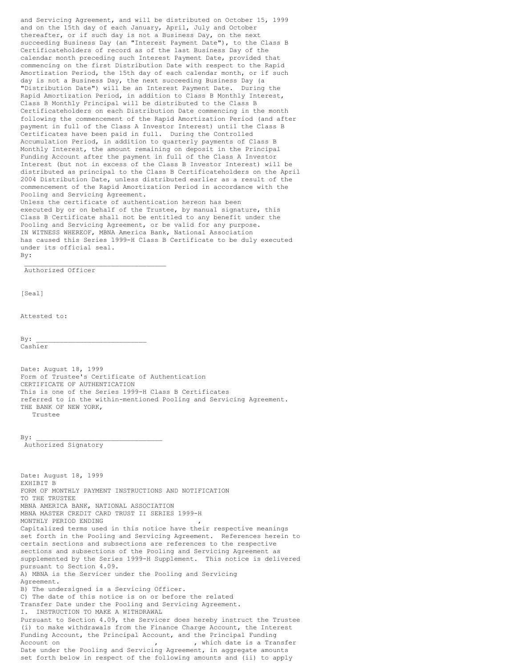and Servicing Agreement, and will be distributed on October 15, 1999 and on the 15th day of each January, April, July and October thereafter, or if such day is not a Business Day, on the next succeeding Business Day (an "Interest Payment Date"), to the Class B Certificateholders of record as of the last Business Day of the calendar month preceding such Interest Payment Date, provided that commencing on the first Distribution Date with respect to the Rapid Amortization Period, the 15th day of each calendar month, or if such day is not a Business Day, the next succeeding Business Day (a "Distribution Date") will be an Interest Payment Date. During the Rapid Amortization Period, in addition to Class B Monthly Interest, Class B Monthly Principal will be distributed to the Class B Certificateholders on each Distribution Date commencing in the month following the commencement of the Rapid Amortization Period (and after payment in full of the Class A Investor Interest) until the Class B Certificates have been paid in full. During the Controlled Accumulation Period, in addition to quarterly payments of Class B Monthly Interest, the amount remaining on deposit in the Principal Funding Account after the payment in full of the Class A Investor Interest (but not in excess of the Class B Investor Interest) will be distributed as principal to the Class B Certificateholders on the April 2004 Distribution Date, unless distributed earlier as a result of the commencement of the Rapid Amortization Period in accordance with the Pooling and Servicing Agreement. Unless the certificate of authentication hereon has been executed by or on behalf of the Trustee, by manual signature, this Class B Certificate shall not be entitled to any benefit under the Pooling and Servicing Agreement, or be valid for any purpose. IN WITNESS WHEREOF, MBNA America Bank, National Association has caused this Series 1999-H Class B Certificate to be duly executed under its official seal. By: \_\_\_\_\_\_\_\_\_\_\_\_\_\_\_\_\_\_\_\_\_\_\_\_\_\_\_\_\_\_\_\_\_\_\_\_

Authorized Officer

[Seal]

Attested to:

 $\mathbf{By:}$ 

Cashier

Date: August 18, 1999 Form of Trustee's Certificate of Authentication CERTIFICATE OF AUTHENTICATION This is one of the Series 1999-H Class B Certificates referred to in the within-mentioned Pooling and Servicing Agreement. THE BANK OF NEW YORK, Trustee

 $\mathbf{By:}$ 

Authorized Signatory

Date: August 18, 1999 EXHIBIT B FORM OF MONTHLY PAYMENT INSTRUCTIONS AND NOTIFICATION TO THE TRUSTEE MBNA AMERICA BANK, NATIONAL ASSOCIATION MBNA MASTER CREDIT CARD TRUST II SERIES 1999-H MONTHLY PERIOD ENDING Capitalized terms used in this notice have their respective meanings set forth in the Pooling and Servicing Agreement. References herein to certain sections and subsections are references to the respective sections and subsections of the Pooling and Servicing Agreement as supplemented by the Series 1999-H Supplement. This notice is delivered pursuant to Section 4.09. A) MBNA is the Servicer under the Pooling and Servicing Agreement. B) The undersigned is a Servicing Officer. C) The date of this notice is on or before the related Transfer Date under the Pooling and Servicing Agreement. I. INSTRUCTION TO MAKE A WITHDRAWAL Pursuant to Section 4.09, the Servicer does hereby instruct the Trustee (i) to make withdrawals from the Finance Charge Account, the Interest Funding Account, the Principal Account, and the Principal Funding Account on , , , , , , , , which date is a Transfer Date under the Pooling and Servicing Agreement, in aggregate amounts set forth below in respect of the following amounts and (ii) to apply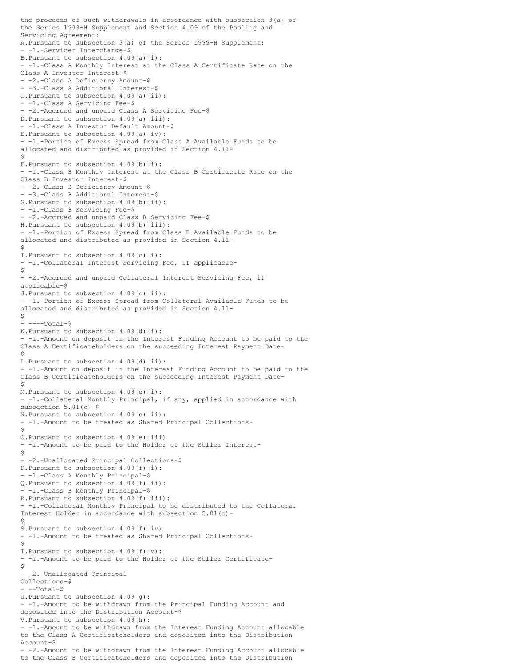the proceeds of such withdrawals in accordance with subsection 3(a) of the Series 1999-H Supplement and Section 4.09 of the Pooling and Servicing Agreement: A.Pursuant to subsection 3(a) of the Series 1999-H Supplement: - -1.-Servicer Interchange-\$ B. Pursuant to subsection  $4.09(a)(i):$ - -1.-Class A Monthly Interest at the Class A Certificate Rate on the Class A Investor Interest-\$ - -2.-Class A Deficiency Amount-\$ - -3.-Class A Additional Interest-\$ C. Pursuant to subsection 4.09(a)(ii): - -1.-Class A Servicing Fee-\$ - -2.-Accrued and unpaid Class A Servicing Fee-\$ D. Pursuant to subsection 4.09(a)(iii): - -1.-Class A Investor Default Amount-\$ E. Pursuant to subsection  $4.09(a)(iv)$ : - -1.-Portion of Excess Spread from Class A Available Funds to be allocated and distributed as provided in Section 4.11-  $\leq$ F.Pursuant to subsection 4.09(b)(i): - -1.-Class B Monthly Interest at the Class B Certificate Rate on the Class B Investor Interest-\$ - -2.-Class B Deficiency Amount-\$ - -3.-Class B Additional Interest-\$ G. Pursuant to subsection 4.09(b)(ii): - -1.-Class B Servicing Fee-\$ - -2.-Accrued and unpaid Class B Servicing Fee-\$ H. Pursuant to subsection 4.09(b)(iii): - -1.-Portion of Excess Spread from Class B Available Funds to be allocated and distributed as provided in Section 4.11- \$ I.Pursuant to subsection 4.09(c)(i): - -1.-Collateral Interest Servicing Fee, if applicable- \$ - -2.-Accrued and unpaid Collateral Interest Servicing Fee, if applicable-\$ J. Pursuant to subsection 4.09(c)(ii): - -1.-Portion of Excess Spread from Collateral Available Funds to be allocated and distributed as provided in Section 4.11- \$ - ----Total-\$ K. Pursuant to subsection  $4.09$  (d)(i): - -1.-Amount on deposit in the Interest Funding Account to be paid to the Class A Certificateholders on the succeeding Interest Payment Date- \$ L.Pursuant to subsection 4.09(d)(ii): - -1.-Amount on deposit in the Interest Funding Account to be paid to the Class B Certificateholders on the succeeding Interest Payment Date-  $\leq$ M. Pursuant to subsection 4.09(e)(i): - -1.-Collateral Monthly Principal, if any, applied in accordance with subsection 5.01(c)-\$ N. Pursuant to subsection 4.09(e)(ii): - -1.-Amount to be treated as Shared Principal Collections- \$ O.Pursuant to subsection 4.09(e)(iii) - -1.-Amount to be paid to the Holder of the Seller Interest-  $\mathsf{S}$ - -2.-Unallocated Principal Collections-\$ P.Pursuant to subsection 4.09(f)(i): - -1.-Class A Monthly Principal-\$ Q.Pursuant to subsection 4.09(f)(ii): - -1.-Class B Monthly Principal-\$ R. Pursuant to subsection 4.09(f)(iii): - -1.-Collateral Monthly Principal to be distributed to the Collateral Interest Holder in accordance with subsection 5.01(c)- \$ S. Pursuant to subsection 4.09(f)(iv) - -1.-Amount to be treated as Shared Principal Collections-  $\mathsf{S}$ T.Pursuant to subsection 4.09(f)(v): - -1.-Amount to be paid to the Holder of the Seller Certificate- \$ - -2.-Unallocated Principal Collections-\$ - --Total-\$ U.Pursuant to subsection 4.09(g): - -1.-Amount to be withdrawn from the Principal Funding Account and deposited into the Distribution Account-\$ V.Pursuant to subsection 4.09(h): - -1.-Amount to be withdrawn from the Interest Funding Account allocable to the Class A Certificateholders and deposited into the Distribution Account-\$ - -2.-Amount to be withdrawn from the Interest Funding Account allocable to the Class B Certificateholders and deposited into the Distribution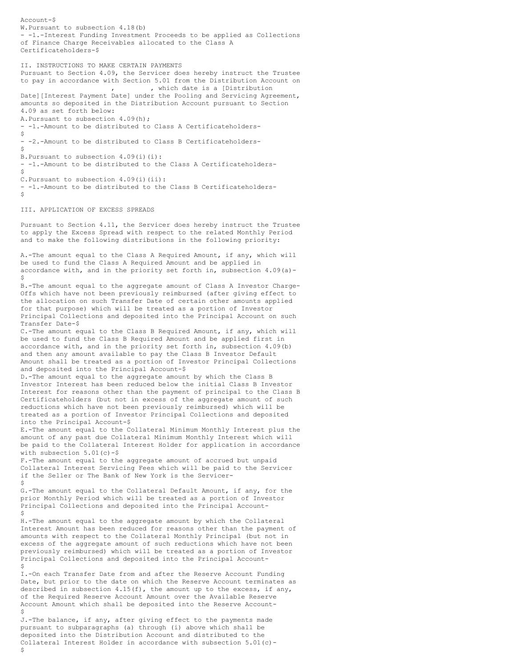Account-\$ W.Pursuant to subsection 4.18(b) - -1.-Interest Funding Investment Proceeds to be applied as Collections of Finance Charge Receivables allocated to the Class A Certificateholders-\$

## II. INSTRUCTIONS TO MAKE CERTAIN PAYMENTS

Pursuant to Section 4.09, the Servicer does hereby instruct the Trustee to pay in accordance with Section 5.01 from the Distribution Account on , which date is a [Distribution Date][Interest Payment Date] under the Pooling and Servicing Agreement, amounts so deposited in the Distribution Account pursuant to Section 4.09 as set forth below: A.Pursuant to subsection 4.09(h); - -1.-Amount to be distributed to Class A Certificateholders-  $\mathsf{S}$ - -2.-Amount to be distributed to Class B Certificateholders-  $\mathsf{S}$ B. Pursuant to subsection 4.09(i)(i): - -1.-Amount to be distributed to the Class A Certificateholders- \$ C. Pursuant to subsection 4.09(i)(ii): - -1.-Amount to be distributed to the Class B Certificateholders-  $\mathsf{S}$ 

#### III. APPLICATION OF EXCESS SPREADS

Pursuant to Section 4.11, the Servicer does hereby instruct the Trustee to apply the Excess Spread with respect to the related Monthly Period and to make the following distributions in the following priority:

A.-The amount equal to the Class A Required Amount, if any, which will be used to fund the Class A Required Amount and be applied in accordance with, and in the priority set forth in, subsection 4.09(a)- \$

B.-The amount equal to the aggregate amount of Class A Investor Charge-Offs which have not been previously reimbursed (after giving effect to the allocation on such Transfer Date of certain other amounts applied for that purpose) which will be treated as a portion of Investor Principal Collections and deposited into the Principal Account on such Transfer Date-\$

C.-The amount equal to the Class B Required Amount, if any, which will be used to fund the Class B Required Amount and be applied first in accordance with, and in the priority set forth in, subsection 4.09(b) and then any amount available to pay the Class B Investor Default Amount shall be treated as a portion of Investor Principal Collections and deposited into the Principal Account-\$

D.-The amount equal to the aggregate amount by which the Class B Investor Interest has been reduced below the initial Class B Investor Interest for reasons other than the payment of principal to the Class B Certificateholders (but not in excess of the aggregate amount of such reductions which have not been previously reimbursed) which will be treated as a portion of Investor Principal Collections and deposited into the Principal Account-\$

E.-The amount equal to the Collateral Minimum Monthly Interest plus the amount of any past due Collateral Minimum Monthly Interest which will be paid to the Collateral Interest Holder for application in accordance with subsection 5.01(c)-\$

F.-The amount equal to the aggregate amount of accrued but unpaid Collateral Interest Servicing Fees which will be paid to the Servicer if the Seller or The Bank of New York is the Servicer- \$

G.-The amount equal to the Collateral Default Amount, if any, for the prior Monthly Period which will be treated as a portion of Investor Principal Collections and deposited into the Principal Account- \$

H.-The amount equal to the aggregate amount by which the Collateral Interest Amount has been reduced for reasons other than the payment of amounts with respect to the Collateral Monthly Principal (but not in excess of the aggregate amount of such reductions which have not been previously reimbursed) which will be treated as a portion of Investor Principal Collections and deposited into the Principal Account- \$

I.-On each Transfer Date from and after the Reserve Account Funding Date, but prior to the date on which the Reserve Account terminates as described in subsection  $4.15(f)$ , the amount up to the excess, if any, of the Required Reserve Account Amount over the Available Reserve Account Amount which shall be deposited into the Reserve Account- \$

J.-The balance, if any, after giving effect to the payments made pursuant to subparagraphs (a) through (i) above which shall be deposited into the Distribution Account and distributed to the Collateral Interest Holder in accordance with subsection 5.01(c)- \$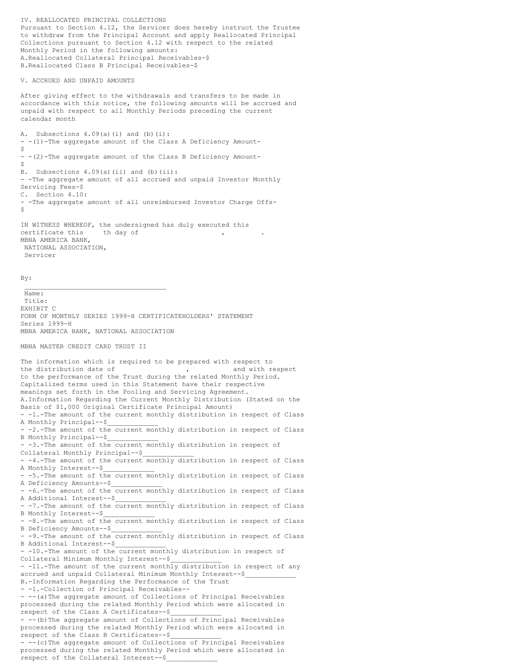IV. REALLOCATED PRINCIPAL COLLECTIONS Pursuant to Section 4.12, the Servicer does hereby instruct the Trustee to withdraw from the Principal Account and apply Reallocated Principal Collections pursuant to Section 4.12 with respect to the related Monthly Period in the following amounts: A.Reallocated Collateral Principal Receivables-\$ B.Reallocated Class B Principal Receivables-\$ V. ACCRUED AND UNPAID AMOUNTS After giving effect to the withdrawals and transfers to be made in accordance with this notice, the following amounts will be accrued and unpaid with respect to all Monthly Periods preceding the current calendar month A. Subsections  $4.09(a)(i)$  and  $(b)(i)$ : - -(1)-The aggregate amount of the Class A Deficiency Amount-  $\mathsf S$ - -(2)-The aggregate amount of the Class B Deficiency Amount-  $\ddot{\phantom{1}}$ B. Subsections  $4.09(a)(ii)$  and (b)(ii): - -The aggregate amount of all accrued and unpaid Investor Monthly Servicing Fees-\$ C. Section 4.10: - -The aggregate amount of all unreimbursed Investor Charge Offs-  $\mathsf{S}$ IN WITNESS WHEREOF, the undersigned has duly executed this certificate this th day of MBNA AMERICA BANK, NATIONAL ASSOCIATION, Servicer By: \_\_\_\_\_\_\_\_\_\_\_\_\_\_\_\_\_\_\_\_\_\_\_\_\_\_\_\_\_\_\_\_\_\_\_\_ Name: Title: EXHIBIT C FORM OF MONTHLY SERIES 1999-H CERTIFICATEHOLDERS' STATEMENT Series 1999-H MBNA AMERICA BANK, NATIONAL ASSOCIATION MBNA MASTER CREDIT CARD TRUST II The information which is required to be prepared with respect to the distribution date of  $\qquad \qquad$  , and with respect to the performance of the Trust during the related Monthly Period. Capitalized terms used in this Statement have their respective meanings set forth in the Pooling and Servicing Agreement. A.Information Regarding the Current Monthly Distribution (Stated on the Basis of \$1,000 Original Certificate Principal Amount) - -1.-The amount of the current monthly distribution in respect of Class A Monthly Principal--\$ - -2.-The amount of the current monthly distribution in respect of Class B Monthly Principal--\$ -3.-The amount of the current monthly distribution in respect of Collateral Monthly Principal--\$\_\_\_\_\_\_\_\_\_\_\_\_\_ - -4.-The amount of the current monthly distribution in respect of Class A Monthly Interest--\$\_\_\_\_\_\_\_\_\_\_\_\_\_ - -5.-The amount of the current monthly distribution in respect of Class A Deficiency Amounts--\$ - -6.-The amount of the current monthly distribution in respect of Class A Additional Interest--\$ -7.-The amount of the current monthly distribution in respect of Class B Monthly Interest--\$ - -8.-The amount of the current monthly distribution in respect of Class B Deficiency Amounts--\$ - -9.-The amount of the current monthly distribution in respect of Class B Additional Interest--\$ -10.-The amount of the current monthly distribution in respect of Collateral Minimum Monthly Interest--\$ - -11.-The amount of the current monthly distribution in respect of any accrued and unpaid Collateral Minimum Monthly Interest--\$ B.-Information Regarding the Performance of the Trust - -1.-Collection of Principal Receivables-- - --(a)The aggregate amount of Collections of Principal Receivables processed during the related Monthly Period which were allocated in respect of the Class A Certificates--\$\_\_\_\_\_\_\_\_\_\_\_\_\_ - -- (b) The aggregate amount of Collections of Principal Receivables processed during the related Monthly Period which were allocated in respect of the Class B Certificates--\$\_\_\_\_\_\_\_\_\_\_\_\_\_ - -- (c) The aggregate amount of Collections of Principal Receivables processed during the related Monthly Period which were allocated in respect of the Collateral Interest--\$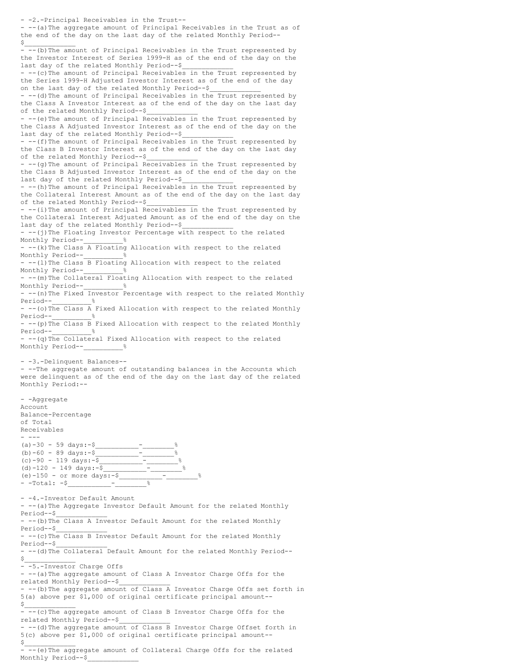- -2.-Principal Receivables in the Trust-- - --(a)The aggregate amount of Principal Receivables in the Trust as of the end of the day on the last day of the related Monthly Period--  $\sharp$ - --(b)The amount of Principal Receivables in the Trust represented by the Investor Interest of Series 1999-H as of the end of the day on the last day of the related Monthly Period--\$ - -- (c) The amount of Principal Receivables in the Trust represented by the Series 1999-H Adjusted Investor Interest as of the end of the day on the last day of the related Monthly Period--\$ - --(d)The amount of Principal Receivables in the Trust represented by the Class A Investor Interest as of the end of the day on the last day of the related Monthly Period--\$ - --(e)The amount of Principal Receivables in the Trust represented by the Class A Adjusted Investor Interest as of the end of the day on the last day of the related Monthly Period--\$ - --(f)The amount of Principal Receivables in the Trust represented by the Class B Investor Interest as of the end of the day on the last day of the related Monthly Period--\$ - -- (g) The amount of Principal Receivables in the Trust represented by the Class B Adjusted Investor Interest as of the end of the day on the last day of the related Monthly Period--\$ - --(h)The amount of Principal Receivables in the Trust represented by the Collateral Interest Amount as of the end of the day on the last day of the related Monthly Period--\$ - --(i)The amount of Principal Receivables in the Trust represented by the Collateral Interest Adjusted Amount as of the end of the day on the last day of the related Monthly Period--\$ - --(j)The Floating Investor Percentage with respect to the related Monthly Period--- -- (k) The Class A Floating Allocation with respect to the related Monthly Period-- $-(-1)$ The Class  $\overline{B}$  Floating Allocation with respect to the related Monthly Period--- -- (m) The Collateral Floating Allocation with respect to the related Monthly Period--- --(n)The Fixed Investor Percentage with respect to the related Monthly Period--\_\_\_\_\_\_\_\_\_\_% - --(o)The Class A Fixed Allocation with respect to the related Monthly Period-- % - --(p)The Class B Fixed Allocation with respect to the related Monthly Period-- % - --(q)The Collateral Fixed Allocation with respect to the related Monthly Period--- -3.-Delinquent Balances-- - --The aggregate amount of outstanding balances in the Accounts which were delinquent as of the end of the day on the last day of the related Monthly Period:-- - -Aggregate Account Balance-Percentage of Total Receivables - ---  $(a) -30 - 59 \text{ days} : -\$$ (b)-60 - 89 days:-\$  $(c) - 90 - 119 \text{ days:} - $$ (d)-120 - 149 days:-\$ (e)-150 - or more days:-\$ - -Total: -\$\_\_\_\_\_\_\_\_\_\_\_-\_\_\_\_\_\_\_\_% - -4.-Investor Default Amount - -- (a) The Aggregate Investor Default Amount for the related Monthly Period--\$\_\_\_\_\_\_\_\_\_\_\_\_\_ - -- (b) The Class A Investor Default Amount for the related Monthly Period--\$\_\_\_\_\_\_\_\_\_\_\_\_\_ - --(c)The Class B Investor Default Amount for the related Monthly Period--\$\_\_\_\_\_\_\_\_\_\_\_\_\_ - --(d)The Collateral Default Amount for the related Monthly Period--  $\ddot{\varphi}$ - -5.-Investor Charge Offs - -- (a) The aggregate amount of Class A Investor Charge Offs for the related Monthly Period--\$\_\_\_\_\_\_\_\_\_\_\_\_\_ - --(b)The aggregate amount of Class A Investor Charge Offs set forth in 5(a) above per \$1,000 of original certificate principal amount--  $\sharp$ - -- (c)The aggregate amount of Class B Investor Charge Offs for the related Monthly Period--\$\_\_\_\_\_\_\_\_\_\_\_\_\_ - -- (d) The aggregate amount of Class B Investor Charge Offset forth in 5(c) above per \$1,000 of original certificate principal amount--  $\sharp$ - -- (e) The aggregate amount of Collateral Charge Offs for the related Monthly Period--\$\_\_\_\_\_\_\_\_\_\_\_\_\_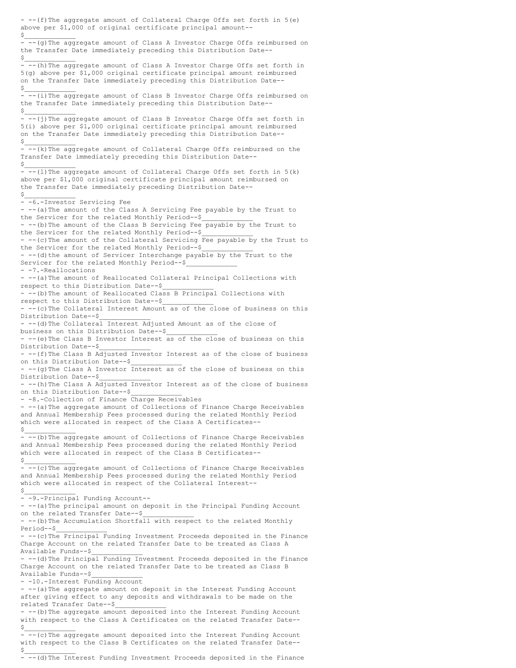- --(f)The aggregate amount of Collateral Charge Offs set forth in 5(e) above per \$1,000 of original certificate principal amount--  $\sharp$  $-\frac{(-1)^n}{n!}$  The aggregate amount of Class A Investor Charge Offs reimbursed on the Transfer Date immediately preceding this Distribution Date--  $\sharp$ - --(h)The aggregate amount of Class A Investor Charge Offs set forth in 5(g) above per \$1,000 original certificate principal amount reimbursed on the Transfer Date immediately preceding this Distribution Date--  $\sharp$  $-\frac{(-1)}{10}$  The aggregate amount of Class B Investor Charge Offs reimbursed on the Transfer Date immediately preceding this Distribution Date--  $\sharp$ - --(j)The aggregate amount of Class B Investor Charge Offs set forth in 5(i) above per \$1,000 original certificate principal amount reimbursed on the Transfer Date immediately preceding this Distribution Date--  $\sharp$  $-\frac{1}{1-(k)}$ The aggregate amount of Collateral Charge Offs reimbursed on the Transfer Date immediately preceding this Distribution Date--  $\sharp$  $-$  (1) The aggregate amount of Collateral Charge Offs set forth in 5(k) above per \$1,000 original certificate principal amount reimbursed on the Transfer Date immediately preceding Distribution Date--  $\sharp$ - -6.-Investor Servicing Fee - --(a)The amount of the Class A Servicing Fee payable by the Trust to the Servicer for the related Monthly Period--\$ - --(b)The amount of the Class B Servicing Fee payable by the Trust to the Servicer for the related Monthly Period--\$  $-$ -(c)The amount of the Collateral Servicing Fee payable by the Trust to the Servicer for the related Monthly Period--\$ - -- (d) the amount of Servicer Interchange payable by the Trust to the Servicer for the related Monthly Period--\$ - -7.-Reallocations - --(a)The amount of Reallocated Collateral Principal Collections with respect to this Distribution Date--\$\_\_\_\_\_\_\_\_\_\_\_\_\_ - --(b)The amount of Reallocated Class B Principal Collections with respect to this Distribution Date--\$\_\_\_\_\_\_\_\_\_\_\_\_\_ - --(c)The Collateral Interest Amount as of the close of business on this Distribution Date--\$ - -- (d) The Collateral Interest Adjusted Amount as of the close of business on this Distribution Date--\$\_\_\_\_\_\_\_\_\_\_\_\_\_  $-$ -(e)The Class B Investor Interest as of the close of business on this Distribution Date--\$ - --(f)The Class B Adjusted Investor Interest as of the close of business on this Distribution Date--\$\_\_\_\_\_\_\_\_\_\_\_\_\_ - --(g)The Class A Investor Interest as of the close of business on this Distribution Date--\$\_\_\_\_\_\_\_\_\_\_\_\_\_ - --(h)The Class A Adjusted Investor Interest as of the close of business on this Distribution Date--\$ - -8.-Collection of Finance Charge Receivables - --(a)The aggregate amount of Collections of Finance Charge Receivables and Annual Membership Fees processed during the related Monthly Period which were allocated in respect of the Class A Certificates--  $\sharp$ - --(b)The aggregate amount of Collections of Finance Charge Receivables and Annual Membership Fees processed during the related Monthly Period which were allocated in respect of the Class B Certificates--  $\sharp$ - -- (c) The aggregate amount of Collections of Finance Charge Receivables and Annual Membership Fees processed during the related Monthly Period which were allocated in respect of the Collateral Interest--  $\sharp$ - -9.-Principal Funding Account-- - --(a)The principal amount on deposit in the Principal Funding Account on the related Transfer Date--\$ - --(b)The Accumulation Shortfall with respect to the related Monthly Period--\$\_\_\_\_\_\_\_\_\_\_\_\_\_ - --(c)The Principal Funding Investment Proceeds deposited in the Finance Charge Account on the related Transfer Date to be treated as Class A Available Funds--\$\_\_\_\_\_\_\_\_\_\_\_\_\_ - --(d)The Principal Funding Investment Proceeds deposited in the Finance Charge Account on the related Transfer Date to be treated as Class B Available Funds--\$\_\_\_\_\_\_\_\_\_\_\_\_\_ - -10.-Interest Funding Account - -- (a) The aggregate amount on deposit in the Interest Funding Account after giving effect to any deposits and withdrawals to be made on the related Transfer Date--\$\_\_\_\_\_\_\_\_\_\_\_\_\_ - -- (b) The aggregate amount deposited into the Interest Funding Account with respect to the Class A Certificates on the related Transfer Date--  $\sharp$ - --(c)The aggregate amount deposited into the Interest Funding Account with respect to the Class B Certificates on the related Transfer Date--  $\sharp$ - -- (d) The Interest Funding Investment Proceeds deposited in the Finance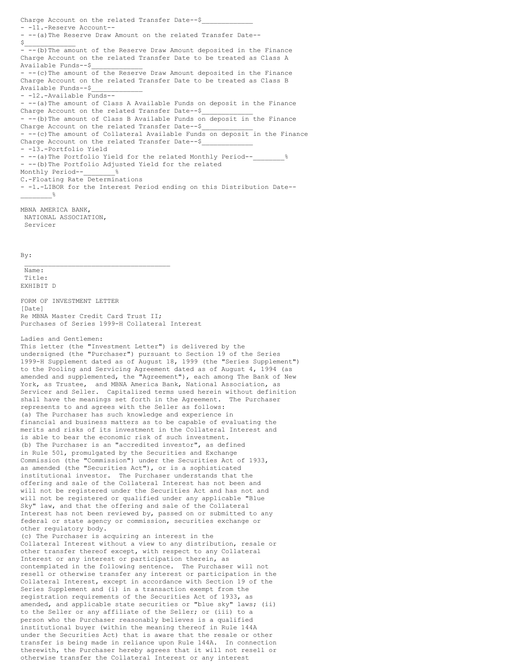Charge Account on the related Transfer Date--\$ - -11.-Reserve Account-- - --(a)The Reserve Draw Amount on the related Transfer Date--  $\mathsf{S}\_$ - -- (b) The amount of the Reserve Draw Amount deposited in the Finance Charge Account on the related Transfer Date to be treated as Class A Available Funds--\$\_\_\_\_\_\_\_\_\_\_\_\_\_ - -- (c) The amount of the Reserve Draw Amount deposited in the Finance Charge Account on the related Transfer Date to be treated as Class B Available Funds--\$\_\_\_\_\_\_\_\_\_\_\_\_\_ - -12.-Available Funds--- -- (a) The amount of Class A Available Funds on deposit in the Finance Charge Account on the related Transfer Date--\$ - --(b)The amount of Class B Available Funds on deposit in the Finance Charge Account on the related Transfer Date--\$ - --(c)The amount of Collateral Available Funds on deposit in the Finance Charge Account on the related Transfer Date--\$ - -13.-Portfolio Yield - --(a)The Portfolio Yield for the related Monthly Period--- --(b)The Portfolio Adjusted Yield for the related Monthly Period-- % C.-Floating Rate Determinations - -1.-LIBOR for the Interest Period ending on this Distribution Date--  $\frac{6}{9}$ 

MBNA AMERICA BANK, NATIONAL ASSOCIATION, Servicer

By:

Name: Title: EXHIBIT D

FORM OF INVESTMENT LETTER [Date] Re MBNA Master Credit Card Trust II; Purchases of Series 1999-H Collateral Interest

\_\_\_\_\_\_\_\_\_\_\_\_\_\_\_\_\_\_\_\_\_\_\_\_\_\_\_\_\_\_\_\_\_\_\_\_\_

Ladies and Gentlemen:

This letter (the "Investment Letter") is delivered by the undersigned (the "Purchaser") pursuant to Section 19 of the Series 1999-H Supplement dated as of August 18, 1999 (the "Series Supplement") to the Pooling and Servicing Agreement dated as of August 4, 1994 (as amended and supplemented, the "Agreement"), each among The Bank of New York, as Trustee, and MBNA America Bank, National Association, as Servicer and Seller. Capitalized terms used herein without definition shall have the meanings set forth in the Agreement. The Purchaser represents to and agrees with the Seller as follows: (a) The Purchaser has such knowledge and experience in financial and business matters as to be capable of evaluating the merits and risks of its investment in the Collateral Interest and is able to bear the economic risk of such investment. (b) The Purchaser is an "accredited investor", as defined in Rule 501, promulgated by the Securities and Exchange Commission (the "Commission") under the Securities Act of 1933, as amended (the "Securities Act"), or is a sophisticated institutional investor. The Purchaser understands that the offering and sale of the Collateral Interest has not been and will not be registered under the Securities Act and has not and will not be registered or qualified under any applicable "Blue Sky" law, and that the offering and sale of the Collateral Interest has not been reviewed by, passed on or submitted to any federal or state agency or commission, securities exchange or other regulatory body. (c) The Purchaser is acquiring an interest in the Collateral Interest without a view to any distribution, resale or other transfer thereof except, with respect to any Collateral Interest or any interest or participation therein, as contemplated in the following sentence. The Purchaser will not resell or otherwise transfer any interest or participation in the Collateral Interest, except in accordance with Section 19 of the Series Supplement and (i) in a transaction exempt from the registration requirements of the Securities Act of 1933, as amended, and applicable state securities or "blue sky" laws; (ii) to the Seller or any affiliate of the Seller; or (iii) to a person who the Purchaser reasonably believes is a qualified institutional buyer (within the meaning thereof in Rule 144A

under the Securities Act) that is aware that the resale or other transfer is being made in reliance upon Rule 144A. In connection therewith, the Purchaser hereby agrees that it will not resell or otherwise transfer the Collateral Interest or any interest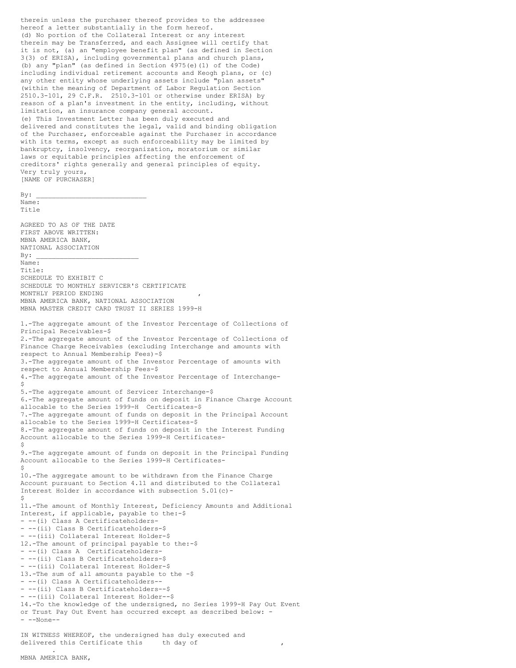therein unless the purchaser thereof provides to the addressee hereof a letter substantially in the form hereof. (d) No portion of the Collateral Interest or any interest therein may be Transferred, and each Assignee will certify that it is not, (a) an "employee benefit plan" (as defined in Section 3(3) of ERISA), including governmental plans and church plans, (b) any "plan" (as defined in Section 4975(e)(1) of the Code) including individual retirement accounts and Keogh plans, or (c) any other entity whose underlying assets include "plan assets" (within the meaning of Department of Labor Regulation Section 2510.3-101, 29 C.F.R. 2510.3-101 or otherwise under ERISA) by reason of a plan's investment in the entity, including, without limitation, an insurance company general account. (e) This Investment Letter has been duly executed and delivered and constitutes the legal, valid and binding obligation of the Purchaser, enforceable against the Purchaser in accordance with its terms, except as such enforceability may be limited by bankruptcy, insolvency, reorganization, moratorium or similar laws or equitable principles affecting the enforcement of creditors' rights generally and general principles of equity. Very truly yours, [NAME OF PURCHASER]  $\mathbf{By:}$ Name: Title AGREED TO AS OF THE DATE FIRST ABOVE WRITTEN: MBNA AMERICA BANK, NATIONAL ASSOCIATION  $By:$ Name: Title: SCHEDULE TO EXHIBIT C SCHEDULE TO MONTHLY SERVICER'S CERTIFICATE MONTHLY PERIOD ENDING MBNA AMERICA BANK, NATIONAL ASSOCIATION MBNA MASTER CREDIT CARD TRUST II SERIES 1999-H 1.-The aggregate amount of the Investor Percentage of Collections of Principal Receivables-\$ 2.-The aggregate amount of the Investor Percentage of Collections of Finance Charge Receivables (excluding Interchange and amounts with respect to Annual Membership Fees)-\$ 3.-The aggregate amount of the Investor Percentage of amounts with respect to Annual Membership Fees-\$ 4.-The aggregate amount of the Investor Percentage of Interchange-  $\ddot{\phantom{1}}$ 5.-The aggregate amount of Servicer Interchange-\$ 6.-The aggregate amount of funds on deposit in Finance Charge Account allocable to the Series 1999-H Certificates-\$ 7.-The aggregate amount of funds on deposit in the Principal Account allocable to the Series 1999-H Certificates-\$ 8.-The aggregate amount of funds on deposit in the Interest Funding Account allocable to the Series 1999-H Certificates- \$ 9.-The aggregate amount of funds on deposit in the Principal Funding Account allocable to the Series 1999-H Certificates- \$ 10.-The aggregate amount to be withdrawn from the Finance Charge Account pursuant to Section 4.11 and distributed to the Collateral Interest Holder in accordance with subsection 5.01(c)- \$ 11.-The amount of Monthly Interest, Deficiency Amounts and Additional Interest, if applicable, payable to the:-\$ - --(i) Class A Certificateholders- - --(ii) Class B Certificateholders-\$ - --(iii) Collateral Interest Holder-\$ 12.-The amount of principal payable to the:-\$ - --(i) Class A Certificateholders- - --(ii) Class B Certificateholders-\$ - --(iii) Collateral Interest Holder-\$ 13.-The sum of all amounts payable to the -\$ - --(i) Class A Certificateholders-- - --(ii) Class B Certificateholders--\$ - --(iii) Collateral Interest Holder--\$ 14.-To the knowledge of the undersigned, no Series 1999-H Pay Out Event or Trust Pay Out Event has occurred except as described below: -  $--$ None--

IN WITNESS WHEREOF, the undersigned has duly executed and delivered this Certificate this th day of

. MBNA AMERICA BANK,